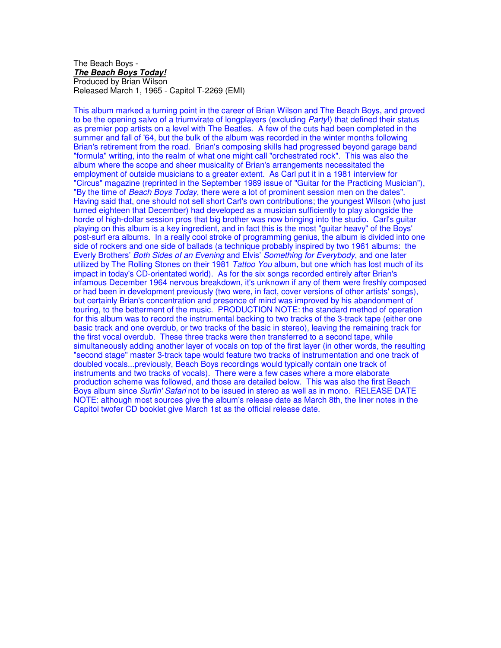#### The Beach Boys - **The Beach Boys Today!** Produced by Brian Wilson Released March 1, 1965 - Capitol T-2269 (EMI)

This album marked a turning point in the career of Brian Wilson and The Beach Boys, and proved to be the opening salvo of a triumvirate of longplayers (excluding Party!) that defined their status as premier pop artists on a level with The Beatles. A few of the cuts had been completed in the summer and fall of '64, but the bulk of the album was recorded in the winter months following Brian's retirement from the road. Brian's composing skills had progressed beyond garage band "formula" writing, into the realm of what one might call "orchestrated rock". This was also the album where the scope and sheer musicality of Brian's arrangements necessitated the employment of outside musicians to a greater extent. As Carl put it in a 1981 interview for "Circus" magazine (reprinted in the September 1989 issue of "Guitar for the Practicing Musician"), "By the time of *Beach Boys Today*, there were a lot of prominent session men on the dates". Having said that, one should not sell short Carl's own contributions; the youngest Wilson (who just turned eighteen that December) had developed as a musician sufficiently to play alongside the horde of high-dollar session pros that big brother was now bringing into the studio. Carl's guitar playing on this album is a key ingredient, and in fact this is the most "guitar heavy" of the Boys' post-surf era albums. In a really cool stroke of programming genius, the album is divided into one side of rockers and one side of ballads (a technique probably inspired by two 1961 albums: the Everly Brothers' Both Sides of an Evening and Elvis' Something for Everybody, and one later utilized by The Rolling Stones on their 1981 Tattoo You album, but one which has lost much of its impact in today's CD-orientated world). As for the six songs recorded entirely after Brian's infamous December 1964 nervous breakdown, it's unknown if any of them were freshly composed or had been in development previously (two were, in fact, cover versions of other artists' songs), but certainly Brian's concentration and presence of mind was improved by his abandonment of touring, to the betterment of the music. PRODUCTION NOTE: the standard method of operation for this album was to record the instrumental backing to two tracks of the 3-track tape (either one basic track and one overdub, or two tracks of the basic in stereo), leaving the remaining track for the first vocal overdub. These three tracks were then transferred to a second tape, while simultaneously adding another layer of vocals on top of the first layer (in other words, the resulting "second stage" master 3-track tape would feature two tracks of instrumentation and one track of doubled vocals...previously, Beach Boys recordings would typically contain one track of instruments and two tracks of vocals). There were a few cases where a more elaborate production scheme was followed, and those are detailed below. This was also the first Beach Boys album since Surfin' Safari not to be issued in stereo as well as in mono. RELEASE DATE NOTE: although most sources give the album's release date as March 8th, the liner notes in the Capitol twofer CD booklet give March 1st as the official release date.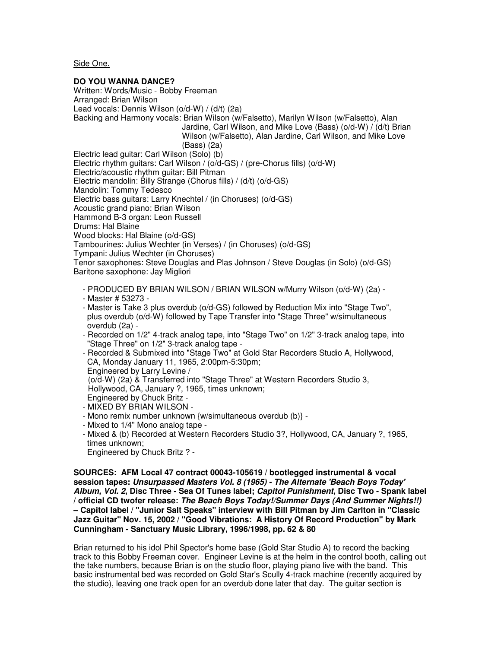Side One.

### **DO YOU WANNA DANCE?**

Written: Words/Music - Bobby Freeman Arranged: Brian Wilson Lead vocals: Dennis Wilson (o/d-W) / (d/t) (2a) Backing and Harmony vocals: Brian Wilson (w/Falsetto), Marilyn Wilson (w/Falsetto), Alan Jardine, Carl Wilson, and Mike Love (Bass) (o/d-W) / (d/t) Brian Wilson (w/Falsetto), Alan Jardine, Carl Wilson, and Mike Love (Bass) (2a) Electric lead guitar: Carl Wilson (Solo) (b) Electric rhythm guitars: Carl Wilson / (o/d-GS) / (pre-Chorus fills) (o/d-W) Electric/acoustic rhythm guitar: Bill Pitman Electric mandolin: Billy Strange (Chorus fills) / (d/t) (o/d-GS) Mandolin: Tommy Tedesco Electric bass guitars: Larry Knechtel / (in Choruses) (o/d-GS) Acoustic grand piano: Brian Wilson Hammond B-3 organ: Leon Russell Drums: Hal Blaine Wood blocks: Hal Blaine (o/d-GS) Tambourines: Julius Wechter (in Verses) / (in Choruses) (o/d-GS) Tympani: Julius Wechter (in Choruses) Tenor saxophones: Steve Douglas and Plas Johnson / Steve Douglas (in Solo) (o/d-GS) Baritone saxophone: Jay Migliori - PRODUCED BY BRIAN WILSON / BRIAN WILSON w/Murry Wilson (o/d-W) (2a) - - Master # 53273 - - Master is Take 3 plus overdub (o/d-GS) followed by Reduction Mix into "Stage Two", plus overdub (o/d-W) followed by Tape Transfer into "Stage Three" w/simultaneous overdub (2a) - - Recorded on 1/2" 4-track analog tape, into "Stage Two" on 1/2" 3-track analog tape, into "Stage Three" on 1/2" 3-track analog tape - - Recorded & Submixed into "Stage Two" at Gold Star Recorders Studio A, Hollywood, CA, Monday January 11, 1965, 2:00pm-5:30pm; Engineered by Larry Levine /

(o/d-W) (2a) & Transferred into "Stage Three" at Western Recorders Studio 3,

Hollywood, CA, January ?, 1965, times unknown;

- Engineered by Chuck Britz -
- MIXED BY BRIAN WILSON -
- Mono remix number unknown {w/simultaneous overdub (b)} -
- Mixed to 1/4" Mono analog tape -
- Mixed & (b) Recorded at Western Recorders Studio 3?, Hollywood, CA, January ?, 1965, times unknown; Engineered by Chuck Britz ? -

**SOURCES: AFM Local 47 contract 00043-105619 / bootlegged instrumental & vocal session tapes: Unsurpassed Masters Vol. 8 (1965) - The Alternate 'Beach Boys Today' Album, Vol. 2, Disc Three - Sea Of Tunes label; Capitol Punishment, Disc Two - Spank label / official CD twofer release: The Beach Boys Today!/Summer Days (And Summer Nights!!) – Capitol label / "Junior Salt Speaks" interview with Bill Pitman by Jim Carlton in "Classic Jazz Guitar" Nov. 15, 2002 / "Good Vibrations: A History Of Record Production" by Mark Cunningham - Sanctuary Music Library, 1996/1998, pp. 62 & 80**

Brian returned to his idol Phil Spector's home base (Gold Star Studio A) to record the backing track to this Bobby Freeman cover. Engineer Levine is at the helm in the control booth, calling out the take numbers, because Brian is on the studio floor, playing piano live with the band. This basic instrumental bed was recorded on Gold Star's Scully 4-track machine (recently acquired by the studio), leaving one track open for an overdub done later that day. The guitar section is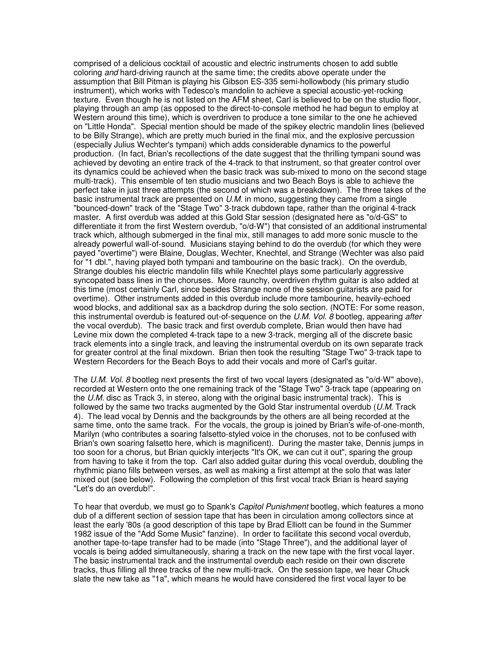comprised of a delicious cocktail of acoustic and electric instruments chosen to add subtle coloring and hard-driving raunch at the same time; the credits above operate under the assumption that Bill Pitman is playing his Gibson ES-335 semi-hollowbody (his primary studio instrument), which works with Tedesco's mandolin to achieve a special acoustic-yet-rocking texture. Even though he is not listed on the AFM sheet, Carl is believed to be on the studio floor, playing through an amp (as opposed to the direct-to-console method he had begun to employ at Western around this time), which is overdriven to produce a tone similar to the one he achieved on "Little Honda". Special mention should be made of the spikey electric mandolin lines (believed to be Billy Strange), which are pretty much buried in the final mix, and the explosive percussion (especially Julius Wechter's tympani) which adds considerable dynamics to the powerful production. (In fact, Brian's recollections of the date suggest that the thrilling tympani sound was achieved by devoting an entire track of the 4-track to that instrument, so that greater control over its dynamics could be achieved when the basic track was sub-mixed to mono on the second stage multi-track). This ensemble of ten studio musicians and two Beach Boys is able to achieve the perfect take in just three attempts (the second of which was a breakdown). The three takes of the basic instrumental track are presented on U.M. in mono, suggesting they came from a single "bounced-down" track of the "Stage Two" 3-track dubdown tape, rather than the original 4-track master. A first overdub was added at this Gold Star session (designated here as "o/d-GS" to differentiate it from the first Western overdub, "o/d-W") that consisted of an additional instrumental track which, although submerged in the final mix, still manages to add more sonic muscle to the already powerful wall-of-sound. Musicians staying behind to do the overdub (for which they were payed "overtime") were Blaine, Douglas, Wechter, Knechtel, and Strange (Wechter was also paid for "1 dbl.", having played both tympani and tambourine on the basic track). On the overdub, Strange doubles his electric mandolin fills while Knechtel plays some particularly aggressive syncopated bass lines in the choruses. More raunchy, overdriven rhythm guitar is also added at this time (most certainly Carl, since besides Strange none of the session guitarists are paid for overtime). Other instruments added in this overdub include more tambourine, heavily-echoed wood blocks, and additional sax as a backdrop during the solo section. (NOTE: For some reason, this instrumental overdub is featured out-of-sequence on the U.M. Vol. 8 bootleg, appearing after the vocal overdub). The basic track and first overdub complete, Brian would then have had Levine mix down the completed 4-track tape to a new 3-track, merging all of the discrete basic track elements into a single track, and leaving the instrumental overdub on its own separate track for greater control at the final mixdown. Brian then took the resulting "Stage Two" 3-track tape to Western Recorders for the Beach Boys to add their vocals and more of Carl's guitar.

The U.M. Vol. 8 bootleg next presents the first of two vocal layers (designated as "o/d-W" above), recorded at Western onto the one remaining track of the "Stage Two" 3-track tape (appearing on the U.M. disc as Track 3, in stereo, along with the original basic instrumental track). This is followed by the same two tracks augmented by the Gold Star instrumental overdub  $(U.M.$  Track 4). The lead vocal by Dennis and the backgrounds by the others are all being recorded at the same time, onto the same track. For the vocals, the group is joined by Brian's wife-of-one-month, Marilyn (who contributes a soaring falsetto-styled voice in the choruses, not to be confused with Brian's own soaring falsetto here, which is magnificent). During the master take, Dennis jumps in too soon for a chorus, but Brian quickly interjects "It's OK, we can cut it out", sparing the group from having to take it from the top. Carl also added guitar during this vocal overdub, doubling the rhythmic piano fills between verses, as well as making a first attempt at the solo that was later mixed out (see below). Following the completion of this first vocal track Brian is heard saying "Let's do an overdub!".

To hear that overdub, we must go to Spank's *Capitol Punishment* bootleg, which features a mono dub of a different section of session tape that has been in circulation among collectors since at least the early '80s (a good description of this tape by Brad Elliott can be found in the Summer 1982 issue of the "Add Some Music" fanzine). In order to facilitate this second vocal overdub, another tape-to-tape transfer had to be made (into "Stage Three"), and the additional layer of vocals is being added simultaneously, sharing a track on the new tape with the first vocal layer. The basic instrumental track and the instrumental overdub each reside on their own discrete tracks, thus filling all three tracks of the new multi-track. On the session tape, we hear Chuck slate the new take as "1a", which means he would have considered the first vocal layer to be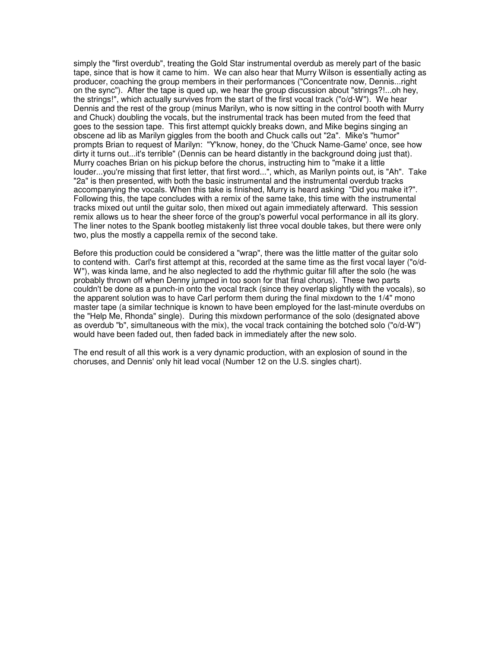simply the "first overdub", treating the Gold Star instrumental overdub as merely part of the basic tape, since that is how it came to him. We can also hear that Murry Wilson is essentially acting as producer, coaching the group members in their performances ("Concentrate now, Dennis...right on the sync"). After the tape is qued up, we hear the group discussion about "strings?!...oh hey, the strings!", which actually survives from the start of the first vocal track ("o/d-W"). We hear Dennis and the rest of the group (minus Marilyn, who is now sitting in the control booth with Murry and Chuck) doubling the vocals, but the instrumental track has been muted from the feed that goes to the session tape. This first attempt quickly breaks down, and Mike begins singing an obscene ad lib as Marilyn giggles from the booth and Chuck calls out "2a". Mike's "humor" prompts Brian to request of Marilyn: "Y'know, honey, do the 'Chuck Name-Game' once, see how dirty it turns out...it's terrible" (Dennis can be heard distantly in the background doing just that). Murry coaches Brian on his pickup before the chorus, instructing him to "make it a little louder...you're missing that first letter, that first word...", which, as Marilyn points out, is "Ah". Take "2a" is then presented, with both the basic instrumental and the instrumental overdub tracks accompanying the vocals. When this take is finished, Murry is heard asking "Did you make it?". Following this, the tape concludes with a remix of the same take, this time with the instrumental tracks mixed out until the guitar solo, then mixed out again immediately afterward. This session remix allows us to hear the sheer force of the group's powerful vocal performance in all its glory. The liner notes to the Spank bootleg mistakenly list three vocal double takes, but there were only two, plus the mostly a cappella remix of the second take.

Before this production could be considered a "wrap", there was the little matter of the guitar solo to contend with. Carl's first attempt at this, recorded at the same time as the first vocal layer ("o/d-W"), was kinda lame, and he also neglected to add the rhythmic guitar fill after the solo (he was probably thrown off when Denny jumped in too soon for that final chorus). These two parts couldn't be done as a punch-in onto the vocal track (since they overlap slightly with the vocals), so the apparent solution was to have Carl perform them during the final mixdown to the 1/4" mono master tape (a similar technique is known to have been employed for the last-minute overdubs on the "Help Me, Rhonda" single). During this mixdown performance of the solo (designated above as overdub "b", simultaneous with the mix), the vocal track containing the botched solo ("o/d-W") would have been faded out, then faded back in immediately after the new solo.

The end result of all this work is a very dynamic production, with an explosion of sound in the choruses, and Dennis' only hit lead vocal (Number 12 on the U.S. singles chart).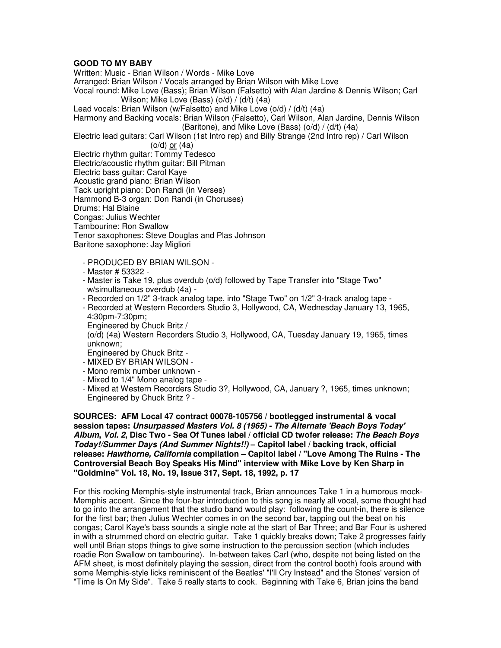# **GOOD TO MY BABY**

Written: Music - Brian Wilson / Words - Mike Love Arranged: Brian Wilson / Vocals arranged by Brian Wilson with Mike Love Vocal round: Mike Love (Bass); Brian Wilson (Falsetto) with Alan Jardine & Dennis Wilson; Carl Wilson; Mike Love (Bass) (o/d) / (d/t) (4a) Lead vocals: Brian Wilson (w/Falsetto) and Mike Love (o/d) / (d/t) (4a) Harmony and Backing vocals: Brian Wilson (Falsetto), Carl Wilson, Alan Jardine, Dennis Wilson (Baritone), and Mike Love (Bass)  $(o/d) / (d/t)$  (4a) Electric lead guitars: Carl Wilson (1st Intro rep) and Billy Strange (2nd Intro rep) / Carl Wilson (o/d) or (4a) Electric rhythm guitar: Tommy Tedesco Electric/acoustic rhythm guitar: Bill Pitman Electric bass guitar: Carol Kaye Acoustic grand piano: Brian Wilson Tack upright piano: Don Randi (in Verses) Hammond B-3 organ: Don Randi (in Choruses) Drums: Hal Blaine Congas: Julius Wechter Tambourine: Ron Swallow Tenor saxophones: Steve Douglas and Plas Johnson Baritone saxophone: Jay Migliori - PRODUCED BY BRIAN WILSON -

- Master # 53322 -
- Master is Take 19, plus overdub (o/d) followed by Tape Transfer into "Stage Two" w/simultaneous overdub (4a) -
- Recorded on 1/2" 3-track analog tape, into "Stage Two" on 1/2" 3-track analog tape -
- Recorded at Western Recorders Studio 3, Hollywood, CA, Wednesday January 13, 1965, 4:30pm-7:30pm;
- Engineered by Chuck Britz /
- (o/d) (4a) Western Recorders Studio 3, Hollywood, CA, Tuesday January 19, 1965, times unknown;
- Engineered by Chuck Britz -
- MIXED BY BRIAN WILSON -
- Mono remix number unknown -
- Mixed to 1/4" Mono analog tape -
- Mixed at Western Recorders Studio 3?, Hollywood, CA, January ?, 1965, times unknown; Engineered by Chuck Britz ? -

**SOURCES: AFM Local 47 contract 00078-105756 / bootlegged instrumental & vocal session tapes: Unsurpassed Masters Vol. 8 (1965) - The Alternate 'Beach Boys Today' Album, Vol. 2, Disc Two - Sea Of Tunes label / official CD twofer release: The Beach Boys Today!/Summer Days (And Summer Nights!!) – Capitol label / backing track, official release: Hawthorne, California compilation – Capitol label / "Love Among The Ruins - The Controversial Beach Boy Speaks His Mind" interview with Mike Love by Ken Sharp in "Goldmine" Vol. 18, No. 19, Issue 317, Sept. 18, 1992, p. 17**

For this rocking Memphis-style instrumental track, Brian announces Take 1 in a humorous mock-Memphis accent. Since the four-bar introduction to this song is nearly all vocal, some thought had to go into the arrangement that the studio band would play: following the count-in, there is silence for the first bar; then Julius Wechter comes in on the second bar, tapping out the beat on his congas; Carol Kaye's bass sounds a single note at the start of Bar Three; and Bar Four is ushered in with a strummed chord on electric guitar. Take 1 quickly breaks down; Take 2 progresses fairly well until Brian stops things to give some instruction to the percussion section (which includes roadie Ron Swallow on tambourine). In-between takes Carl (who, despite not being listed on the AFM sheet, is most definitely playing the session, direct from the control booth) fools around with some Memphis-style licks reminiscent of the Beatles' "I'll Cry Instead" and the Stones' version of "Time Is On My Side". Take 5 really starts to cook. Beginning with Take 6, Brian joins the band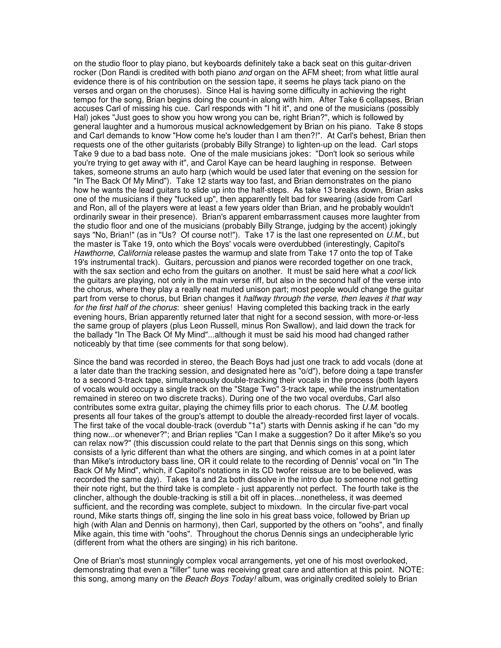on the studio floor to play piano, but keyboards definitely take a back seat on this guitar-driven rocker (Don Randi is credited with both piano and organ on the AFM sheet; from what little aural evidence there is of his contribution on the session tape, it seems he plays tack piano on the verses and organ on the choruses). Since Hal is having some difficulty in achieving the right tempo for the song, Brian begins doing the count-in along with him. After Take 6 collapses, Brian accuses Carl of missing his cue. Carl responds with "I hit it", and one of the musicians (possibly Hal) jokes "Just goes to show you how wrong you can be, right Brian?", which is followed by general laughter and a humorous musical acknowledgement by Brian on his piano. Take 8 stops and Carl demands to know "How come he's louder than I am then?!". At Carl's behest, Brian then requests one of the other guitarists (probably Billy Strange) to lighten-up on the lead. Carl stops Take 9 due to a bad bass note. One of the male musicians jokes: "Don't look so serious while you're trying to get away with it", and Carol Kaye can be heard laughing in response. Between takes, someone strums an auto harp (which would be used later that evening on the session for "In The Back Of My Mind"). Take 12 starts way too fast, and Brian demonstrates on the piano how he wants the lead guitars to slide up into the half-steps. As take 13 breaks down, Brian asks one of the musicians if they "fucked up", then apparently felt bad for swearing (aside from Carl and Ron, all of the players were at least a few years older than Brian, and he probably wouldn't ordinarily swear in their presence). Brian's apparent embarrassment causes more laughter from the studio floor and one of the musicians (probably Billy Strange, judging by the accent) jokingly says "No, Brian!" (as in "Us? Of course not!"). Take 17 is the last one represented on U.M., but the master is Take 19, onto which the Boys' vocals were overdubbed (interestingly, Capitol's Hawthorne, California release pastes the warmup and slate from Take 17 onto the top of Take 19's instrumental track). Guitars, percussion and pianos were recorded together on one track, with the sax section and echo from the guitars on another. It must be said here what a cool lick the guitars are playing, not only in the main verse riff, but also in the second half of the verse into the chorus, where they play a really neat muted unison part; most people would change the guitar part from verse to chorus, but Brian changes it halfway through the verse, then leaves it that way for the first half of the chorus: sheer genius! Having completed this backing track in the early evening hours, Brian apparently returned later that night for a second session, with more-or-less the same group of players (plus Leon Russell, minus Ron Swallow), and laid down the track for the ballady "In The Back Of My Mind"...although it must be said his mood had changed rather noticeably by that time (see comments for that song below).

Since the band was recorded in stereo, the Beach Boys had just one track to add vocals (done at a later date than the tracking session, and designated here as "o/d"), before doing a tape transfer to a second 3-track tape, simultaneously double-tracking their vocals in the process (both layers of vocals would occupy a single track on the "Stage Two" 3-track tape, while the instrumentation remained in stereo on two discrete tracks). During one of the two vocal overdubs, Carl also contributes some extra guitar, playing the chimey fills prior to each chorus. The  $U.M.$  bootleg presents all four takes of the group's attempt to double the already-recorded first layer of vocals. The first take of the vocal double-track (overdub "1a") starts with Dennis asking if he can "do my thing now...or whenever?"; and Brian replies "Can I make a suggestion? Do it after Mike's so you can relax now?" (this discussion could relate to the part that Dennis sings on this song, which consists of a lyric different than what the others are singing, and which comes in at a point later than Mike's introductory bass line, OR it could relate to the recording of Dennis' vocal on "In The Back Of My Mind", which, if Capitol's notations in its CD twofer reissue are to be believed, was recorded the same day). Takes 1a and 2a both dissolve in the intro due to someone not getting their note right, but the third take is complete - just apparently not perfect. The fourth take is the clincher, although the double-tracking is still a bit off in places...nonetheless, it was deemed sufficient, and the recording was complete, subject to mixdown. In the circular five-part vocal round, Mike starts things off, singing the line solo in his great bass voice, followed by Brian up high (with Alan and Dennis on harmony), then Carl, supported by the others on "oohs", and finally Mike again, this time with "oohs". Throughout the chorus Dennis sings an undecipherable lyric (different from what the others are singing) in his rich baritone.

One of Brian's most stunningly complex vocal arrangements, yet one of his most overlooked, demonstrating that even a "filler" tune was receiving great care and attention at this point. NOTE: this song, among many on the Beach Boys Today! album, was originally credited solely to Brian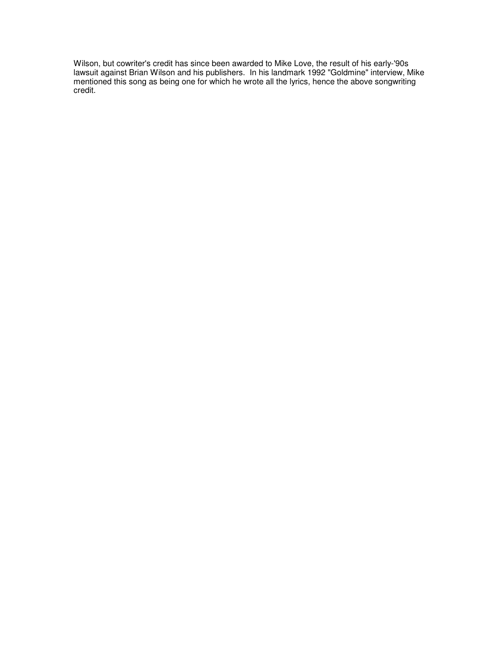Wilson, but cowriter's credit has since been awarded to Mike Love, the result of his early-'90s lawsuit against Brian Wilson and his publishers. In his landmark 1992 "Goldmine" interview, Mike mentioned this song as being one for which he wrote all the lyrics, hence the above songwriting credit.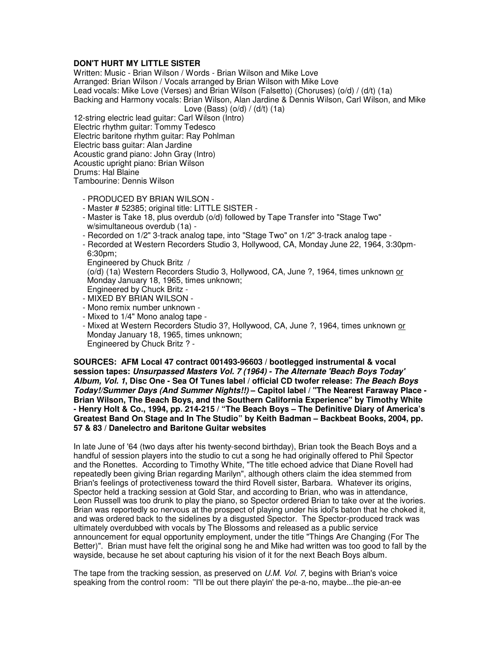## **DON'T HURT MY LITTLE SISTER**

Written: Music - Brian Wilson / Words - Brian Wilson and Mike Love Arranged: Brian Wilson / Vocals arranged by Brian Wilson with Mike Love Lead vocals: Mike Love (Verses) and Brian Wilson (Falsetto) (Choruses) (o/d) / (d/t) (1a) Backing and Harmony vocals: Brian Wilson, Alan Jardine & Dennis Wilson, Carl Wilson, and Mike Love (Bass)  $(o/d) / (d/t)$  (1a)

12-string electric lead guitar: Carl Wilson (Intro) Electric rhythm guitar: Tommy Tedesco Electric baritone rhythm guitar: Ray Pohlman Electric bass guitar: Alan Jardine Acoustic grand piano: John Gray (Intro) Acoustic upright piano: Brian Wilson Drums: Hal Blaine

Tambourine: Dennis Wilson

- PRODUCED BY BRIAN WILSON -
- Master # 52385; original title: LITTLE SISTER -
- Master is Take 18, plus overdub (o/d) followed by Tape Transfer into "Stage Two" w/simultaneous overdub (1a) -
- Recorded on 1/2" 3-track analog tape, into "Stage Two" on 1/2" 3-track analog tape -
- Recorded at Western Recorders Studio 3, Hollywood, CA, Monday June 22, 1964, 3:30pm- 6:30pm;
- Engineered by Chuck Britz /

 (o/d) (1a) Western Recorders Studio 3, Hollywood, CA, June ?, 1964, times unknown or Monday January 18, 1965, times unknown;

- Engineered by Chuck Britz -
- MIXED BY BRIAN WILSON -
- Mono remix number unknown -
- Mixed to 1/4" Mono analog tape -
- Mixed at Western Recorders Studio 3?, Hollywood, CA, June ?, 1964, times unknown or Monday January 18, 1965, times unknown; Engineered by Chuck Britz ? -

**SOURCES: AFM Local 47 contract 001493-96603 / bootlegged instrumental & vocal session tapes: Unsurpassed Masters Vol. 7 (1964) - The Alternate 'Beach Boys Today' Album, Vol. 1, Disc One - Sea Of Tunes label / official CD twofer release: The Beach Boys Today!/Summer Days (And Summer Nights!!) – Capitol label / "The Nearest Faraway Place - Brian Wilson, The Beach Boys, and the Southern California Experience" by Timothy White - Henry Holt & Co., 1994, pp. 214-215 / "The Beach Boys – The Definitive Diary of America's Greatest Band On Stage and In The Studio" by Keith Badman – Backbeat Books, 2004, pp. 57 & 83 / Danelectro and Baritone Guitar websites**

In late June of '64 (two days after his twenty-second birthday), Brian took the Beach Boys and a handful of session players into the studio to cut a song he had originally offered to Phil Spector and the Ronettes. According to Timothy White, "The title echoed advice that Diane Rovell had repeatedly been giving Brian regarding Marilyn", although others claim the idea stemmed from Brian's feelings of protectiveness toward the third Rovell sister, Barbara. Whatever its origins, Spector held a tracking session at Gold Star, and according to Brian, who was in attendance, Leon Russell was too drunk to play the piano, so Spector ordered Brian to take over at the ivories. Brian was reportedly so nervous at the prospect of playing under his idol's baton that he choked it, and was ordered back to the sidelines by a disgusted Spector. The Spector-produced track was ultimately overdubbed with vocals by The Blossoms and released as a public service announcement for equal opportunity employment, under the title "Things Are Changing (For The Better)". Brian must have felt the original song he and Mike had written was too good to fall by the wayside, because he set about capturing his vision of it for the next Beach Boys album.

The tape from the tracking session, as preserved on U.M. Vol. 7, begins with Brian's voice speaking from the control room: "I'll be out there playin' the pe-a-no, maybe...the pie-an-ee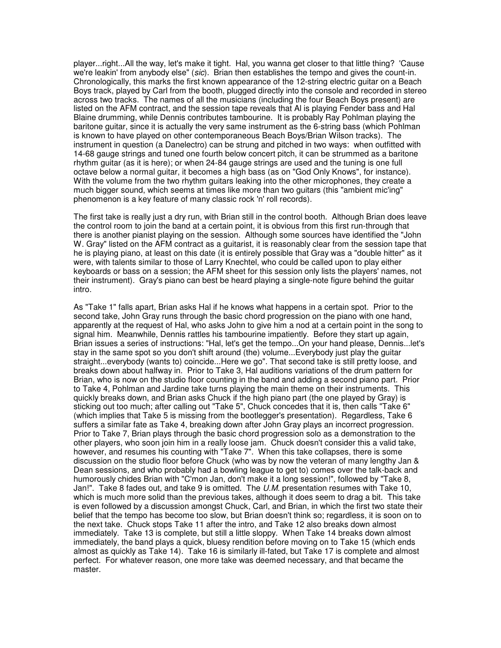player...right...All the way, let's make it tight. Hal, you wanna get closer to that little thing? 'Cause we're leakin' from anybody else" (sic). Brian then establishes the tempo and gives the count-in. Chronologically, this marks the first known appearance of the 12-string electric guitar on a Beach Boys track, played by Carl from the booth, plugged directly into the console and recorded in stereo across two tracks. The names of all the musicians (including the four Beach Boys present) are listed on the AFM contract, and the session tape reveals that Al is playing Fender bass and Hal Blaine drumming, while Dennis contributes tambourine. It is probably Ray Pohlman playing the baritone guitar, since it is actually the very same instrument as the 6-string bass (which Pohlman is known to have played on other contemporaneous Beach Boys/Brian Wilson tracks). The instrument in question (a Danelectro) can be strung and pitched in two ways: when outfitted with 14-68 gauge strings and tuned one fourth below concert pitch, it can be strummed as a baritone rhythm guitar (as it is here); or when 24-84 gauge strings are used and the tuning is one full octave below a normal guitar, it becomes a high bass (as on "God Only Knows", for instance). With the volume from the two rhythm guitars leaking into the other microphones, they create a much bigger sound, which seems at times like more than two guitars (this "ambient mic'ing" phenomenon is a key feature of many classic rock 'n' roll records).

The first take is really just a dry run, with Brian still in the control booth. Although Brian does leave the control room to join the band at a certain point, it is obvious from this first run-through that there is another pianist playing on the session. Although some sources have identified the "John W. Gray" listed on the AFM contract as a guitarist, it is reasonably clear from the session tape that he is playing piano, at least on this date (it is entirely possible that Gray was a "double hitter" as it were, with talents similar to those of Larry Knechtel, who could be called upon to play either keyboards or bass on a session; the AFM sheet for this session only lists the players' names, not their instrument). Gray's piano can best be heard playing a single-note figure behind the guitar intro.

As "Take 1" falls apart, Brian asks Hal if he knows what happens in a certain spot. Prior to the second take, John Gray runs through the basic chord progression on the piano with one hand, apparently at the request of Hal, who asks John to give him a nod at a certain point in the song to signal him. Meanwhile, Dennis rattles his tambourine impatiently. Before they start up again, Brian issues a series of instructions: "Hal, let's get the tempo...On your hand please, Dennis...let's stay in the same spot so you don't shift around (the) volume...Everybody just play the guitar straight...everybody (wants to) coincide...Here we go". That second take is still pretty loose, and breaks down about halfway in. Prior to Take 3, Hal auditions variations of the drum pattern for Brian, who is now on the studio floor counting in the band and adding a second piano part. Prior to Take 4, Pohlman and Jardine take turns playing the main theme on their instruments. This quickly breaks down, and Brian asks Chuck if the high piano part (the one played by Gray) is sticking out too much; after calling out "Take 5", Chuck concedes that it is, then calls "Take 6" (which implies that Take 5 is missing from the bootlegger's presentation). Regardless, Take 6 suffers a similar fate as Take 4, breaking down after John Gray plays an incorrect progression. Prior to Take 7, Brian plays through the basic chord progression solo as a demonstration to the other players, who soon join him in a really loose jam. Chuck doesn't consider this a valid take, however, and resumes his counting with "Take 7". When this take collapses, there is some discussion on the studio floor before Chuck (who was by now the veteran of many lengthy Jan & Dean sessions, and who probably had a bowling league to get to) comes over the talk-back and humorously chides Brian with "C'mon Jan, don't make it a long session!", followed by "Take 8, Jan!". Take 8 fades out, and take 9 is omitted. The  $U.M.$  presentation resumes with Take 10, which is much more solid than the previous takes, although it does seem to drag a bit. This take is even followed by a discussion amongst Chuck, Carl, and Brian, in which the first two state their belief that the tempo has become too slow, but Brian doesn't think so; regardless, it is soon on to the next take. Chuck stops Take 11 after the intro, and Take 12 also breaks down almost immediately. Take 13 is complete, but still a little sloppy. When Take 14 breaks down almost immediately, the band plays a quick, bluesy rendition before moving on to Take 15 (which ends almost as quickly as Take 14). Take 16 is similarly ill-fated, but Take 17 is complete and almost perfect. For whatever reason, one more take was deemed necessary, and that became the master.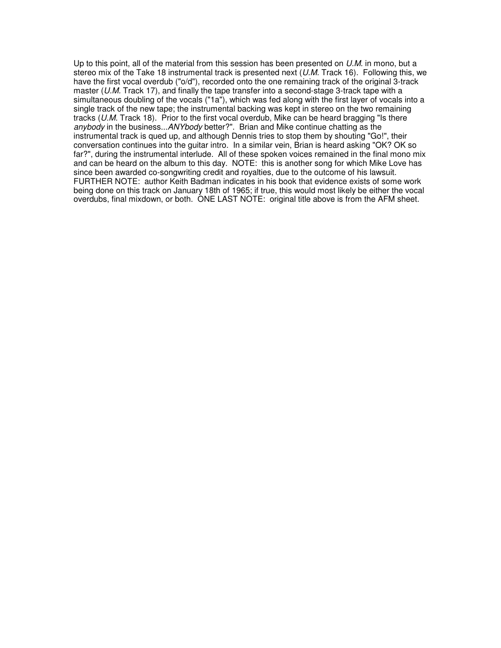Up to this point, all of the material from this session has been presented on  $U.M.$  in mono, but a stereo mix of the Take 18 instrumental track is presented next  $(U.M.$  Track 16). Following this, we have the first vocal overdub ("o/d"), recorded onto the one remaining track of the original 3-track master ( $U.M.$  Track 17), and finally the tape transfer into a second-stage 3-track tape with a simultaneous doubling of the vocals ("1a"), which was fed along with the first layer of vocals into a single track of the new tape; the instrumental backing was kept in stereo on the two remaining tracks (U.M. Track 18). Prior to the first vocal overdub, Mike can be heard bragging "Is there anybody in the business...ANYbody better?". Brian and Mike continue chatting as the instrumental track is qued up, and although Dennis tries to stop them by shouting "Go!", their conversation continues into the guitar intro. In a similar vein, Brian is heard asking "OK? OK so far?", during the instrumental interlude. All of these spoken voices remained in the final mono mix and can be heard on the album to this day. NOTE: this is another song for which Mike Love has since been awarded co-songwriting credit and royalties, due to the outcome of his lawsuit. FURTHER NOTE: author Keith Badman indicates in his book that evidence exists of some work being done on this track on January 18th of 1965; if true, this would most likely be either the vocal overdubs, final mixdown, or both. ONE LAST NOTE: original title above is from the AFM sheet.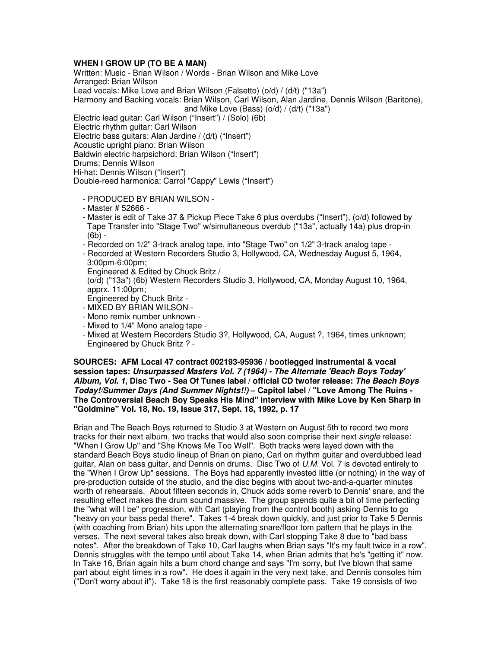# **WHEN I GROW UP (TO BE A MAN)**

Written: Music - Brian Wilson / Words - Brian Wilson and Mike Love Arranged: Brian Wilson Lead vocals: Mike Love and Brian Wilson (Falsetto) (o/d) / (d/t) ("13a") Harmony and Backing vocals: Brian Wilson, Carl Wilson, Alan Jardine, Dennis Wilson (Baritone), and Mike Love (Bass) (o/d) / (d/t) ("13a") Electric lead guitar: Carl Wilson ("Insert") / (Solo) (6b) Electric rhythm guitar: Carl Wilson Electric bass guitars: Alan Jardine / (d/t) ("Insert") Acoustic upright piano: Brian Wilson Baldwin electric harpsichord: Brian Wilson ("Insert") Drums: Dennis Wilson Hi-hat: Dennis Wilson ("Insert")

Double-reed harmonica: Carrol "Cappy" Lewis ("Insert")

- PRODUCED BY BRIAN WILSON -
- Master # 52666 -
- Master is edit of Take 37 & Pickup Piece Take 6 plus overdubs ("Insert"), (o/d) followed by Tape Transfer into "Stage Two" w/simultaneous overdub ("13a", actually 14a) plus drop-in (6b) -
- Recorded on 1/2" 3-track analog tape, into "Stage Two" on 1/2" 3-track analog tape -
- Recorded at Western Recorders Studio 3, Hollywood, CA, Wednesday August 5, 1964, 3:00pm-6:00pm;
- Engineered & Edited by Chuck Britz /
- (o/d) ("13a") (6b) Western Recorders Studio 3, Hollywood, CA, Monday August 10, 1964, apprx. 11:00pm;
- Engineered by Chuck Britz -
- MIXED BY BRIAN WILSON -
- Mono remix number unknown -
- Mixed to 1/4" Mono analog tape -
- Mixed at Western Recorders Studio 3?, Hollywood, CA, August ?, 1964, times unknown; Engineered by Chuck Britz ? -

**SOURCES: AFM Local 47 contract 002193-95936 / bootlegged instrumental & vocal session tapes: Unsurpassed Masters Vol. 7 (1964) - The Alternate 'Beach Boys Today' Album, Vol. 1, Disc Two - Sea Of Tunes label / official CD twofer release: The Beach Boys Today!/Summer Days (And Summer Nights!!) – Capitol label / "Love Among The Ruins - The Controversial Beach Boy Speaks His Mind" interview with Mike Love by Ken Sharp in "Goldmine" Vol. 18, No. 19, Issue 317, Sept. 18, 1992, p. 17**

Brian and The Beach Boys returned to Studio 3 at Western on August 5th to record two more tracks for their next album, two tracks that would also soon comprise their next *single* release: "When I Grow Up" and "She Knows Me Too Well". Both tracks were layed down with the standard Beach Boys studio lineup of Brian on piano, Carl on rhythm guitar and overdubbed lead guitar, Alan on bass guitar, and Dennis on drums. Disc Two of U.M. Vol. 7 is devoted entirely to the "When I Grow Up" sessions. The Boys had apparently invested little (or nothing) in the way of pre-production outside of the studio, and the disc begins with about two-and-a-quarter minutes worth of rehearsals. About fifteen seconds in, Chuck adds some reverb to Dennis' snare, and the resulting effect makes the drum sound massive. The group spends quite a bit of time perfecting the "what will I be" progression, with Carl (playing from the control booth) asking Dennis to go "heavy on your bass pedal there". Takes 1-4 break down quickly, and just prior to Take 5 Dennis (with coaching from Brian) hits upon the alternating snare/floor tom pattern that he plays in the verses. The next several takes also break down, with Carl stopping Take 8 due to "bad bass notes". After the breakdown of Take 10, Carl laughs when Brian says "It's my fault twice in a row". Dennis struggles with the tempo until about Take 14, when Brian admits that he's "getting it" now. In Take 16, Brian again hits a bum chord change and says "I'm sorry, but I've blown that same part about eight times in a row". He does it again in the very next take, and Dennis consoles him ("Don't worry about it"). Take 18 is the first reasonably complete pass. Take 19 consists of two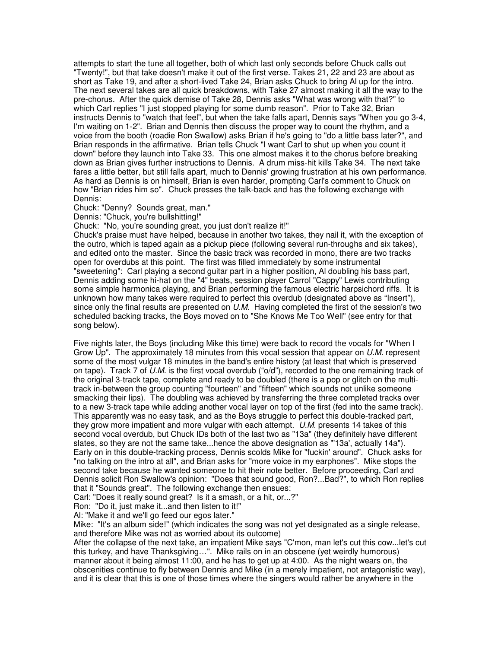attempts to start the tune all together, both of which last only seconds before Chuck calls out "Twenty!", but that take doesn't make it out of the first verse. Takes 21, 22 and 23 are about as short as Take 19, and after a short-lived Take 24, Brian asks Chuck to bring Al up for the intro. The next several takes are all quick breakdowns, with Take 27 almost making it all the way to the pre-chorus. After the quick demise of Take 28, Dennis asks "What was wrong with that?" to which Carl replies "I just stopped playing for some dumb reason". Prior to Take 32, Brian instructs Dennis to "watch that feel", but when the take falls apart, Dennis says "When you go 3-4, I'm waiting on 1-2". Brian and Dennis then discuss the proper way to count the rhythm, and a voice from the booth (roadie Ron Swallow) asks Brian if he's going to "do a little bass later?", and Brian responds in the affirmative. Brian tells Chuck "I want Carl to shut up when you count it down" before they launch into Take 33. This one almost makes it to the chorus before breaking down as Brian gives further instructions to Dennis. A drum miss-hit kills Take 34. The next take fares a little better, but still falls apart, much to Dennis' growing frustration at his own performance. As hard as Dennis is on himself, Brian is even harder, prompting Carl's comment to Chuck on how "Brian rides him so". Chuck presses the talk-back and has the following exchange with Dennis:

Chuck: "Denny? Sounds great, man."

Dennis: "Chuck, you're bullshitting!"

Chuck: "No, you're sounding great, you just don't realize it!"

Chuck's praise must have helped, because in another two takes, they nail it, with the exception of the outro, which is taped again as a pickup piece (following several run-throughs and six takes), and edited onto the master. Since the basic track was recorded in mono, there are two tracks open for overdubs at this point. The first was filled immediately by some instrumental "sweetening": Carl playing a second guitar part in a higher position, Al doubling his bass part, Dennis adding some hi-hat on the "4" beats, session player Carrol "Cappy" Lewis contributing some simple harmonica playing, and Brian performing the famous electric harpsichord riffs. It is unknown how many takes were required to perfect this overdub (designated above as "Insert"), since only the final results are presented on  $U.M$ . Having completed the first of the session's two scheduled backing tracks, the Boys moved on to "She Knows Me Too Well" (see entry for that song below).

Five nights later, the Boys (including Mike this time) were back to record the vocals for "When I Grow Up". The approximately 18 minutes from this vocal session that appear on U.M. represent some of the most vulgar 18 minutes in the band's entire history (at least that which is preserved on tape). Track 7 of  $\ddot{\textit{U}}$ .M. is the first vocal overdub ("o/d"), recorded to the one remaining track of the original 3-track tape, complete and ready to be doubled (there is a pop or glitch on the multitrack in-between the group counting "fourteen" and "fifteen" which sounds not unlike someone smacking their lips). The doubling was achieved by transferring the three completed tracks over to a new 3-track tape while adding another vocal layer on top of the first (fed into the same track). This apparently was no easy task, and as the Boys struggle to perfect this double-tracked part, they grow more impatient and more vulgar with each attempt.  $U.M.$  presents 14 takes of this second vocal overdub, but Chuck IDs both of the last two as "13a" (they definitely have different slates, so they are not the same take...hence the above designation as "'13a', actually 14a"). Early on in this double-tracking process, Dennis scolds Mike for "fuckin' around". Chuck asks for "no talking on the intro at all", and Brian asks for "more voice in my earphones". Mike stops the second take because he wanted someone to hit their note better. Before proceeding, Carl and Dennis solicit Ron Swallow's opinion: "Does that sound good, Ron?...Bad?", to which Ron replies that it "Sounds great". The following exchange then ensues:

Carl: "Does it really sound great? Is it a smash, or a hit, or...?"

Ron: "Do it, just make it...and then listen to it!"

Al: "Make it and we'll go feed our egos later."

Mike: "It's an album side!" (which indicates the song was not yet designated as a single release, and therefore Mike was not as worried about its outcome)

After the collapse of the next take, an impatient Mike says "C'mon, man let's cut this cow...let's cut this turkey, and have Thanksgiving…". Mike rails on in an obscene (yet weirdly humorous) manner about it being almost 11:00, and he has to get up at 4:00. As the night wears on, the obscenities continue to fly between Dennis and Mike (in a merely impatient, not antagonistic way), and it is clear that this is one of those times where the singers would rather be anywhere in the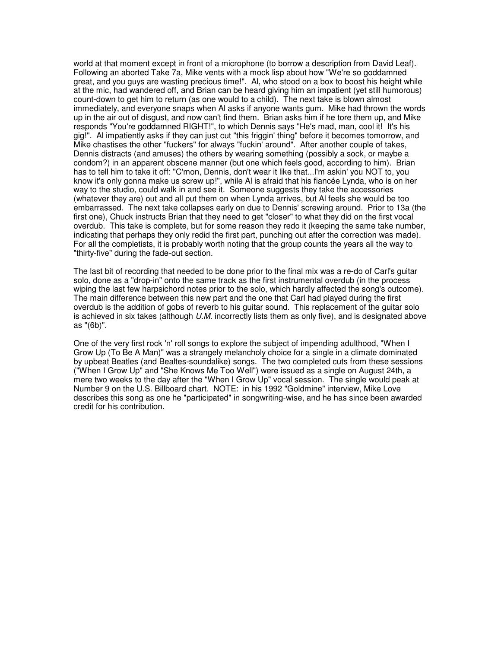world at that moment except in front of a microphone (to borrow a description from David Leaf). Following an aborted Take 7a, Mike vents with a mock lisp about how "We're so goddamned great, and you guys are wasting precious time!". Al, who stood on a box to boost his height while at the mic, had wandered off, and Brian can be heard giving him an impatient (yet still humorous) count-down to get him to return (as one would to a child). The next take is blown almost immediately, and everyone snaps when Al asks if anyone wants gum. Mike had thrown the words up in the air out of disgust, and now can't find them. Brian asks him if he tore them up, and Mike responds "You're goddamned RIGHT!", to which Dennis says "He's mad, man, cool it! It's his gig!". Al impatiently asks if they can just cut "this friggin' thing" before it becomes tomorrow, and Mike chastises the other "fuckers" for always "fuckin' around". After another couple of takes, Dennis distracts (and amuses) the others by wearing something (possibly a sock, or maybe a condom?) in an apparent obscene manner (but one which feels good, according to him). Brian has to tell him to take it off: "C'mon, Dennis, don't wear it like that...I'm askin' you NOT to, you know it's only gonna make us screw up!", while Al is afraid that his fiancée Lynda, who is on her way to the studio, could walk in and see it. Someone suggests they take the accessories (whatever they are) out and all put them on when Lynda arrives, but Al feels she would be too embarrassed. The next take collapses early on due to Dennis' screwing around. Prior to 13a (the first one), Chuck instructs Brian that they need to get "closer" to what they did on the first vocal overdub. This take is complete, but for some reason they redo it (keeping the same take number, indicating that perhaps they only redid the first part, punching out after the correction was made). For all the completists, it is probably worth noting that the group counts the years all the way to "thirty-five" during the fade-out section.

The last bit of recording that needed to be done prior to the final mix was a re-do of Carl's guitar solo, done as a "drop-in" onto the same track as the first instrumental overdub (in the process wiping the last few harpsichord notes prior to the solo, which hardly affected the song's outcome). The main difference between this new part and the one that Carl had played during the first overdub is the addition of gobs of reverb to his guitar sound. This replacement of the guitar solo is achieved in six takes (although  $U.M.$  incorrectly lists them as only five), and is designated above as "(6b)".

One of the very first rock 'n' roll songs to explore the subject of impending adulthood, "When I Grow Up (To Be A Man)" was a strangely melancholy choice for a single in a climate dominated by upbeat Beatles (and Bealtes-soundalike) songs. The two completed cuts from these sessions ("When I Grow Up" and "She Knows Me Too Well") were issued as a single on August 24th, a mere two weeks to the day after the "When I Grow Up" vocal session. The single would peak at Number 9 on the U.S. Billboard chart. NOTE: in his 1992 "Goldmine" interview, Mike Love describes this song as one he "participated" in songwriting-wise, and he has since been awarded credit for his contribution.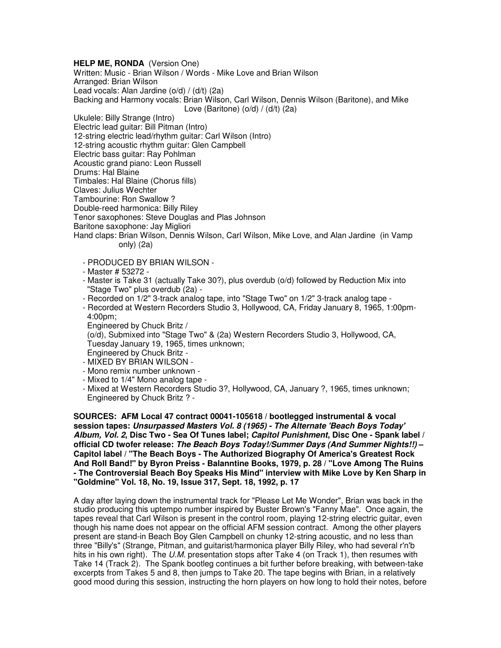**HELP ME, RONDA** (Version One) Written: Music - Brian Wilson / Words - Mike Love and Brian Wilson Arranged: Brian Wilson Lead vocals: Alan Jardine (o/d) / (d/t) (2a) Backing and Harmony vocals: Brian Wilson, Carl Wilson, Dennis Wilson (Baritone), and Mike Love (Baritone)  $(o/d) / (d/t)$  (2a)

Ukulele: Billy Strange (Intro) Electric lead guitar: Bill Pitman (Intro) 12-string electric lead/rhythm guitar: Carl Wilson (Intro) 12-string acoustic rhythm guitar: Glen Campbell Electric bass guitar: Ray Pohlman Acoustic grand piano: Leon Russell Drums: Hal Blaine Timbales: Hal Blaine (Chorus fills) Claves: Julius Wechter Tambourine: Ron Swallow ? Double-reed harmonica: Billy Riley Tenor saxophones: Steve Douglas and Plas Johnson Baritone saxophone: Jay Migliori Hand claps: Brian Wilson, Dennis Wilson, Carl Wilson, Mike Love, and Alan Jardine (in Vamp only) (2a)

- PRODUCED BY BRIAN WILSON -
- Master # 53272 -
- Master is Take 31 (actually Take 30?), plus overdub (o/d) followed by Reduction Mix into "Stage Two" plus overdub (2a) -
- Recorded on 1/2" 3-track analog tape, into "Stage Two" on 1/2" 3-track analog tape -
- Recorded at Western Recorders Studio 3, Hollywood, CA, Friday January 8, 1965, 1:00pm- 4:00pm;
- Engineered by Chuck Britz /

 (o/d), Submixed into "Stage Two" & (2a) Western Recorders Studio 3, Hollywood, CA, Tuesday January 19, 1965, times unknown;

- Engineered by Chuck Britz -
- MIXED BY BRIAN WILSON -
- Mono remix number unknown -
- Mixed to 1/4" Mono analog tape -
- Mixed at Western Recorders Studio 3?, Hollywood, CA, January ?, 1965, times unknown; Engineered by Chuck Britz ? -

**SOURCES: AFM Local 47 contract 00041-105618 / bootlegged instrumental & vocal session tapes: Unsurpassed Masters Vol. 8 (1965) - The Alternate 'Beach Boys Today' Album, Vol. 2, Disc Two - Sea Of Tunes label; Capitol Punishment, Disc One - Spank label / official CD twofer release: The Beach Boys Today!/Summer Days (And Summer Nights!!) – Capitol label / "The Beach Boys - The Authorized Biography Of America's Greatest Rock And Roll Band!" by Byron Preiss - Balanntine Books, 1979, p. 28 / "Love Among The Ruins - The Controversial Beach Boy Speaks His Mind" interview with Mike Love by Ken Sharp in "Goldmine" Vol. 18, No. 19, Issue 317, Sept. 18, 1992, p. 17** 

A day after laying down the instrumental track for "Please Let Me Wonder", Brian was back in the studio producing this uptempo number inspired by Buster Brown's "Fanny Mae". Once again, the tapes reveal that Carl Wilson is present in the control room, playing 12-string electric guitar, even though his name does not appear on the official AFM session contract. Among the other players present are stand-in Beach Boy Glen Campbell on chunky 12-string acoustic, and no less than three "Billy's" (Strange, Pitman, and guitarist/harmonica player Billy Riley, who had several r'n'b hits in his own right). The U.M. presentation stops after Take 4 (on Track 1), then resumes with Take 14 (Track 2). The Spank bootleg continues a bit further before breaking, with between-take excerpts from Takes 5 and 8, then jumps to Take 20. The tape begins with Brian, in a relatively good mood during this session, instructing the horn players on how long to hold their notes, before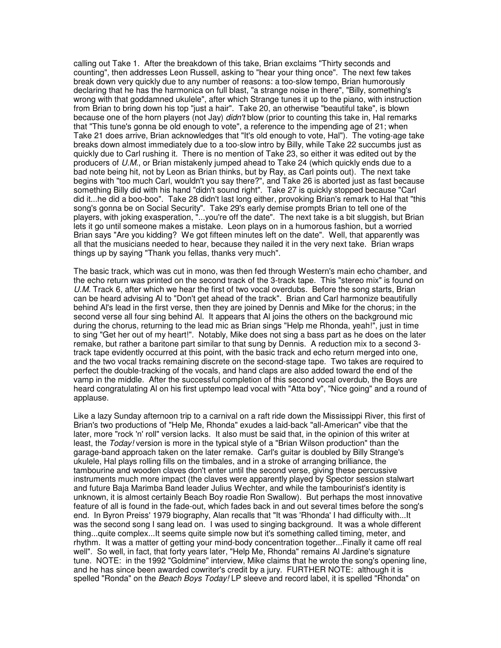calling out Take 1. After the breakdown of this take, Brian exclaims "Thirty seconds and counting", then addresses Leon Russell, asking to "hear your thing once". The next few takes break down very quickly due to any number of reasons: a too-slow tempo, Brian humorously declaring that he has the harmonica on full blast, "a strange noise in there", "Billy, something's wrong with that goddamned ukulele", after which Strange tunes it up to the piano, with instruction from Brian to bring down his top "just a hair". Take 20, an otherwise "beautiful take", is blown because one of the horn players (not Jay) *didn't* blow (prior to counting this take in, Hal remarks that "This tune's gonna be old enough to vote", a reference to the impending age of 21; when Take 21 does arrive, Brian acknowledges that "It's old enough to vote, Hal"). The voting-age take breaks down almost immediately due to a too-slow intro by Billy, while Take 22 succumbs just as quickly due to Carl rushing it. There is no mention of Take 23, so either it was edited out by the producers of U.M., or Brian mistakenly jumped ahead to Take 24 (which quickly ends due to a bad note being hit, not by Leon as Brian thinks, but by Ray, as Carl points out). The next take begins with "too much Carl, wouldn't you say there?", and Take 26 is aborted just as fast because something Billy did with his hand "didn't sound right". Take 27 is quickly stopped because "Carl did it...he did a boo-boo". Take 28 didn't last long either, provoking Brian's remark to Hal that "this song's gonna be on Social Security". Take 29's early demise prompts Brian to tell one of the players, with joking exasperation, "...you're off the date". The next take is a bit sluggish, but Brian lets it go until someone makes a mistake. Leon plays on in a humorous fashion, but a worried Brian says "Are you kidding? We got fifteen minutes left on the date". Well, that apparently was all that the musicians needed to hear, because they nailed it in the very next take. Brian wraps things up by saying "Thank you fellas, thanks very much".

The basic track, which was cut in mono, was then fed through Western's main echo chamber, and the echo return was printed on the second track of the 3-track tape. This "stereo mix" is found on U.M. Track 6, after which we hear the first of two vocal overdubs. Before the song starts, Brian can be heard advising Al to "Don't get ahead of the track". Brian and Carl harmonize beautifully behind Al's lead in the first verse, then they are joined by Dennis and Mike for the chorus; in the second verse all four sing behind Al. It appears that Al joins the others on the background mic during the chorus, returning to the lead mic as Brian sings "Help me Rhonda, yeah!", just in time to sing "Get her out of my heart!". Notably, Mike does not sing a bass part as he does on the later remake, but rather a baritone part similar to that sung by Dennis. A reduction mix to a second 3 track tape evidently occurred at this point, with the basic track and echo return merged into one, and the two vocal tracks remaining discrete on the second-stage tape. Two takes are required to perfect the double-tracking of the vocals, and hand claps are also added toward the end of the vamp in the middle. After the successful completion of this second vocal overdub, the Boys are heard congratulating Al on his first uptempo lead vocal with "Atta boy", "Nice going" and a round of applause.

Like a lazy Sunday afternoon trip to a carnival on a raft ride down the Mississippi River, this first of Brian's two productions of "Help Me, Rhonda" exudes a laid-back "all-American" vibe that the later, more "rock 'n' roll" version lacks. It also must be said that, in the opinion of this writer at least, the Today! version is more in the typical style of a "Brian Wilson production" than the garage-band approach taken on the later remake. Carl's guitar is doubled by Billy Strange's ukulele, Hal plays rolling fills on the timbales, and in a stroke of arranging brilliance, the tambourine and wooden claves don't enter until the second verse, giving these percussive instruments much more impact (the claves were apparently played by Spector session stalwart and future Baja Marimba Band leader Julius Wechter, and while the tambourinist's identity is unknown, it is almost certainly Beach Boy roadie Ron Swallow). But perhaps the most innovative feature of all is found in the fade-out, which fades back in and out several times before the song's end. In Byron Preiss' 1979 biography, Alan recalls that "It was 'Rhonda' I had difficulty with...It was the second song I sang lead on. I was used to singing background. It was a whole different thing...quite complex...It seems quite simple now but it's something called timing, meter, and rhythm. It was a matter of getting your mind-body concentration together...Finally it came off real well". So well, in fact, that forty years later, "Help Me, Rhonda" remains Al Jardine's signature tune. NOTE: in the 1992 "Goldmine" interview, Mike claims that he wrote the song's opening line, and he has since been awarded cowriter's credit by a jury. FURTHER NOTE: although it is spelled "Ronda" on the Beach Boys Today! LP sleeve and record label, it is spelled "Rhonda" on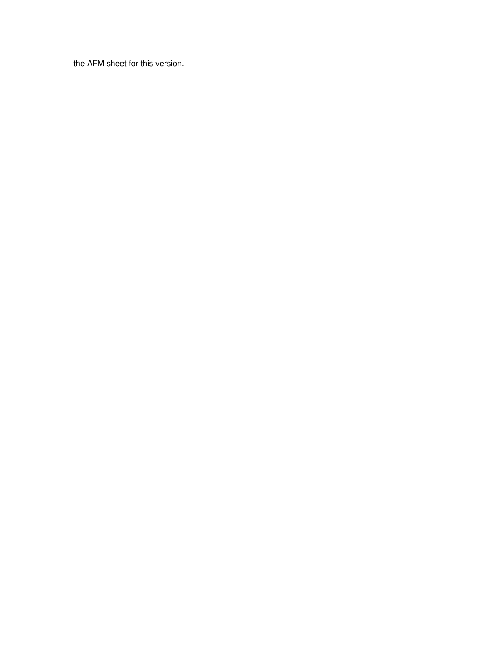the AFM sheet for this version.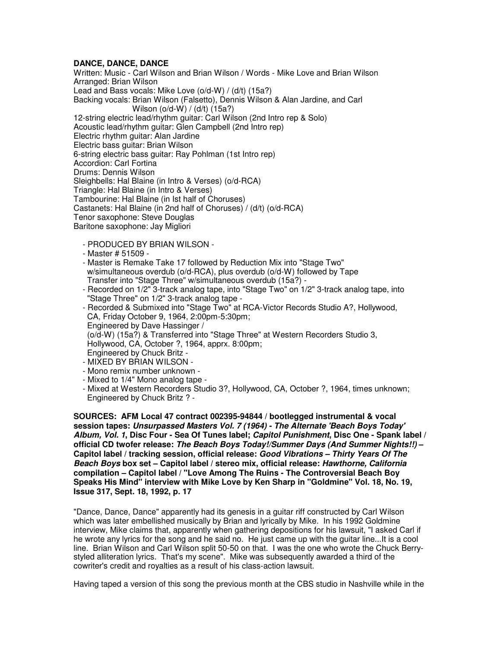# **DANCE, DANCE, DANCE**

Written: Music - Carl Wilson and Brian Wilson / Words - Mike Love and Brian Wilson Arranged: Brian Wilson Lead and Bass vocals: Mike Love (o/d-W) / (d/t) (15a?) Backing vocals: Brian Wilson (Falsetto), Dennis Wilson & Alan Jardine, and Carl Wilson (o/d-W) / (d/t) (15a?) 12-string electric lead/rhythm guitar: Carl Wilson (2nd Intro rep & Solo) Acoustic lead/rhythm guitar: Glen Campbell (2nd Intro rep) Electric rhythm guitar: Alan Jardine Electric bass guitar: Brian Wilson 6-string electric bass guitar: Ray Pohlman (1st Intro rep) Accordion: Carl Fortina Drums: Dennis Wilson Sleighbells: Hal Blaine (in Intro & Verses) (o/d-RCA) Triangle: Hal Blaine (in Intro & Verses) Tambourine: Hal Blaine (in Ist half of Choruses) Castanets: Hal Blaine (in 2nd half of Choruses) / (d/t) (o/d-RCA) Tenor saxophone: Steve Douglas Baritone saxophone: Jay Migliori

- PRODUCED BY BRIAN WILSON -
- Master # 51509 -
- Master is Remake Take 17 followed by Reduction Mix into "Stage Two" w/simultaneous overdub (o/d-RCA), plus overdub (o/d-W) followed by Tape Transfer into "Stage Three" w/simultaneous overdub (15a?) -
- Recorded on 1/2" 3-track analog tape, into "Stage Two" on 1/2" 3-track analog tape, into "Stage Three" on 1/2" 3-track analog tape -
- Recorded & Submixed into "Stage Two" at RCA-Victor Records Studio A?, Hollywood, CA, Friday October 9, 1964, 2:00pm-5:30pm; Engineered by Dave Hassinger / (o/d-W) (15a?) & Transferred into "Stage Three" at Western Recorders Studio 3, Hollywood, CA, October ?, 1964, apprx. 8:00pm; Engineered by Chuck Britz - - MIXED BY BRIAN WILSON -
- 
- Mono remix number unknown -
- Mixed to 1/4" Mono analog tape -
- Mixed at Western Recorders Studio 3?, Hollywood, CA, October ?, 1964, times unknown; Engineered by Chuck Britz ? -

**SOURCES: AFM Local 47 contract 002395-94844 / bootlegged instrumental & vocal session tapes: Unsurpassed Masters Vol. 7 (1964) - The Alternate 'Beach Boys Today' Album, Vol. 1, Disc Four - Sea Of Tunes label; Capitol Punishment, Disc One - Spank label / official CD twofer release: The Beach Boys Today!/Summer Days (And Summer Nights!!) – Capitol label / tracking session, official release: Good Vibrations – Thirty Years Of The Beach Boys box set – Capitol label / stereo mix, official release: Hawthorne, California compilation – Capitol label / "Love Among The Ruins - The Controversial Beach Boy Speaks His Mind" interview with Mike Love by Ken Sharp in "Goldmine" Vol. 18, No. 19, Issue 317, Sept. 18, 1992, p. 17** 

"Dance, Dance, Dance" apparently had its genesis in a guitar riff constructed by Carl Wilson which was later embellished musically by Brian and lyrically by Mike. In his 1992 Goldmine interview, Mike claims that, apparently when gathering depositions for his lawsuit, "I asked Carl if he wrote any lyrics for the song and he said no. He just came up with the guitar line...It is a cool line. Brian Wilson and Carl Wilson split 50-50 on that. I was the one who wrote the Chuck Berrystyled alliteration lyrics. That's my scene". Mike was subsequently awarded a third of the cowriter's credit and royalties as a result of his class-action lawsuit.

Having taped a version of this song the previous month at the CBS studio in Nashville while in the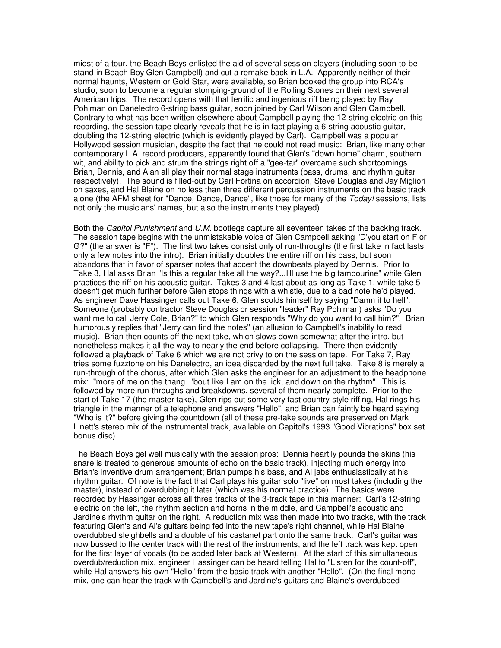midst of a tour, the Beach Boys enlisted the aid of several session players (including soon-to-be stand-in Beach Boy Glen Campbell) and cut a remake back in L.A. Apparently neither of their normal haunts, Western or Gold Star, were available, so Brian booked the group into RCA's studio, soon to become a regular stomping-ground of the Rolling Stones on their next several American trips. The record opens with that terrific and ingenious riff being played by Ray Pohlman on Danelectro 6-string bass guitar, soon joined by Carl Wilson and Glen Campbell. Contrary to what has been written elsewhere about Campbell playing the 12-string electric on this recording, the session tape clearly reveals that he is in fact playing a 6-string acoustic guitar, doubling the 12-string electric (which is evidently played by Carl). Campbell was a popular Hollywood session musician, despite the fact that he could not read music: Brian, like many other contemporary L.A. record producers, apparently found that Glen's "down home" charm, southern wit, and ability to pick and strum the strings right off a "gee-tar" overcame such shortcomings. Brian, Dennis, and Alan all play their normal stage instruments (bass, drums, and rhythm guitar respectively). The sound is filled-out by Carl Fortina on accordion, Steve Douglas and Jay Migliori on saxes, and Hal Blaine on no less than three different percussion instruments on the basic track alone (the AFM sheet for "Dance, Dance, Dance", like those for many of the Today! sessions, lists not only the musicians' names, but also the instruments they played).

Both the Capitol Punishment and U.M. bootlegs capture all seventeen takes of the backing track. The session tape begins with the unmistakable voice of Glen Campbell asking "D'you start on F or G?" (the answer is "F"). The first two takes consist only of run-throughs (the first take in fact lasts only a few notes into the intro). Brian initially doubles the entire riff on his bass, but soon abandons that in favor of sparser notes that accent the downbeats played by Dennis. Prior to Take 3, Hal asks Brian "Is this a regular take all the way?...I'll use the big tambourine" while Glen practices the riff on his acoustic guitar. Takes 3 and 4 last about as long as Take 1, while take 5 doesn't get much further before Glen stops things with a whistle, due to a bad note he'd played. As engineer Dave Hassinger calls out Take 6, Glen scolds himself by saying "Damn it to hell". Someone (probably contractor Steve Douglas or session "leader" Ray Pohlman) asks "Do you want me to call Jerry Cole, Brian?" to which Glen responds "Why do you want to call him?". Brian humorously replies that "Jerry can find the notes" (an allusion to Campbell's inability to read music). Brian then counts off the next take, which slows down somewhat after the intro, but nonetheless makes it all the way to nearly the end before collapsing. There then evidently followed a playback of Take 6 which we are not privy to on the session tape. For Take 7, Ray tries some fuzztone on his Danelectro, an idea discarded by the next full take. Take 8 is merely a run-through of the chorus, after which Glen asks the engineer for an adjustment to the headphone mix: "more of me on the thang...'bout like I am on the lick, and down on the rhythm". This is followed by more run-throughs and breakdowns, several of them nearly complete. Prior to the start of Take 17 (the master take), Glen rips out some very fast country-style riffing, Hal rings his triangle in the manner of a telephone and answers "Hello", and Brian can faintly be heard saying "Who is it?" before giving the countdown (all of these pre-take sounds are preserved on Mark Linett's stereo mix of the instrumental track, available on Capitol's 1993 "Good Vibrations" box set bonus disc).

The Beach Boys gel well musically with the session pros: Dennis heartily pounds the skins (his snare is treated to generous amounts of echo on the basic track), injecting much energy into Brian's inventive drum arrangement; Brian pumps his bass, and Al jabs enthusiastically at his rhythm guitar. Of note is the fact that Carl plays his guitar solo "live" on most takes (including the master), instead of overdubbing it later (which was his normal practice). The basics were recorded by Hassinger across all three tracks of the 3-track tape in this manner: Carl's 12-string electric on the left, the rhythm section and horns in the middle, and Campbell's acoustic and Jardine's rhythm guitar on the right. A reduction mix was then made into two tracks, with the track featuring Glen's and Al's guitars being fed into the new tape's right channel, while Hal Blaine overdubbed sleighbells and a double of his castanet part onto the same track. Carl's guitar was now bussed to the center track with the rest of the instruments, and the left track was kept open for the first layer of vocals (to be added later back at Western). At the start of this simultaneous overdub/reduction mix, engineer Hassinger can be heard telling Hal to "Listen for the count-off", while Hal answers his own "Hello" from the basic track with another "Hello". (On the final mono mix, one can hear the track with Campbell's and Jardine's guitars and Blaine's overdubbed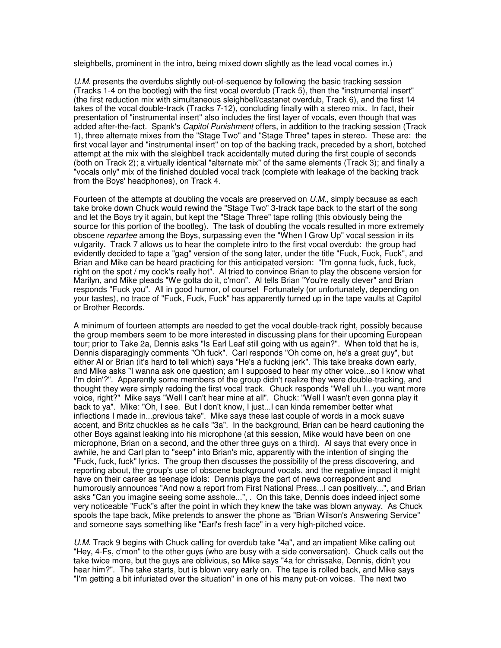sleighbells, prominent in the intro, being mixed down slightly as the lead vocal comes in.)

U.M. presents the overdubs slightly out-of-sequence by following the basic tracking session (Tracks 1-4 on the bootleg) with the first vocal overdub (Track 5), then the "instrumental insert" (the first reduction mix with simultaneous sleighbell/castanet overdub, Track 6), and the first 14 takes of the vocal double-track (Tracks 7-12), concluding finally with a stereo mix. In fact, their presentation of "instrumental insert" also includes the first layer of vocals, even though that was added after-the-fact. Spank's *Capitol Punishment* offers, in addition to the tracking session (Track 1), three alternate mixes from the "Stage Two" and "Stage Three" tapes in stereo. These are: the first vocal layer and "instrumental insert" on top of the backing track, preceded by a short, botched attempt at the mix with the sleighbell track accidentally muted during the first couple of seconds (both on Track 2); a virtually identical "alternate mix" of the same elements (Track 3); and finally a "vocals only" mix of the finished doubled vocal track (complete with leakage of the backing track from the Boys' headphones), on Track 4.

Fourteen of the attempts at doubling the vocals are preserved on U.M., simply because as each take broke down Chuck would rewind the "Stage Two" 3-track tape back to the start of the song and let the Boys try it again, but kept the "Stage Three" tape rolling (this obviously being the source for this portion of the bootleg). The task of doubling the vocals resulted in more extremely obscene *repartee* among the Boys, surpassing even the "When I Grow Up" vocal session in its vulgarity. Track 7 allows us to hear the complete intro to the first vocal overdub: the group had evidently decided to tape a "gag" version of the song later, under the title "Fuck, Fuck, Fuck", and Brian and Mike can be heard practicing for this anticipated version: "I'm gonna fuck, fuck, fuck, right on the spot / my cock's really hot". Al tried to convince Brian to play the obscene version for Marilyn, and Mike pleads "We gotta do it, c'mon". Al tells Brian "You're really clever" and Brian responds "Fuck you". All in good humor, of course! Fortunately (or unfortunately, depending on your tastes), no trace of "Fuck, Fuck, Fuck" has apparently turned up in the tape vaults at Capitol or Brother Records.

A minimum of fourteen attempts are needed to get the vocal double-track right, possibly because the group members seem to be more interested in discussing plans for their upcoming European tour; prior to Take 2a, Dennis asks "Is Earl Leaf still going with us again?". When told that he is, Dennis disparagingly comments "Oh fuck". Carl responds "Oh come on, he's a great guy", but either Al or Brian (it's hard to tell which) says "He's a fucking jerk". This take breaks down early, and Mike asks "I wanna ask one question; am I supposed to hear my other voice...so I know what I'm doin'?". Apparently some members of the group didn't realize they were double-tracking, and thought they were simply redoing the first vocal track. Chuck responds "Well uh I...you want more voice, right?" Mike says "Well I can't hear mine at all". Chuck: "Well I wasn't even gonna play it back to ya". Mike: "Oh, I see. But I don't know, I just...I can kinda remember better what inflections I made in...previous take". Mike says these last couple of words in a mock suave accent, and Britz chuckles as he calls "3a". In the background, Brian can be heard cautioning the other Boys against leaking into his microphone (at this session, Mike would have been on one microphone, Brian on a second, and the other three guys on a third). Al says that every once in awhile, he and Carl plan to "seep" into Brian's mic, apparently with the intention of singing the "Fuck, fuck, fuck" lyrics. The group then discusses the possibility of the press discovering, and reporting about, the group's use of obscene background vocals, and the negative impact it might have on their career as teenage idols: Dennis plays the part of news correspondent and humorously announces "And now a report from First National Press...I can positively...", and Brian asks "Can you imagine seeing some asshole...", . On this take, Dennis does indeed inject some very noticeable "Fuck"s after the point in which they knew the take was blown anyway. As Chuck spools the tape back, Mike pretends to answer the phone as "Brian Wilson's Answering Service" and someone says something like "Earl's fresh face" in a very high-pitched voice.

U.M. Track 9 begins with Chuck calling for overdub take "4a", and an impatient Mike calling out "Hey, 4-Fs, c'mon" to the other guys (who are busy with a side conversation). Chuck calls out the take twice more, but the guys are oblivious, so Mike says "4a for chrissake, Dennis, didn't you hear him?". The take starts, but is blown very early on. The tape is rolled back, and Mike says "I'm getting a bit infuriated over the situation" in one of his many put-on voices. The next two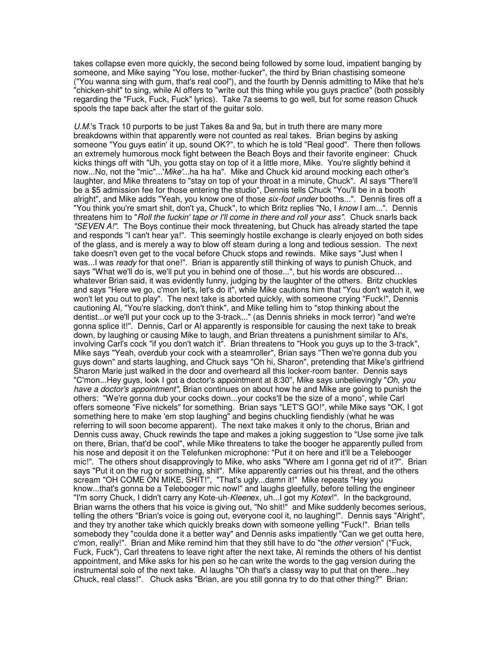takes collapse even more quickly, the second being followed by some loud, impatient banging by someone, and Mike saying "You lose, mother-fucker", the third by Brian chastising someone ("You wanna sing with gum, that's real cool"), and the fourth by Dennis admitting to Mike that he's "chicken-shit" to sing, while Al offers to "write out this thing while you guys practice" (both possibly regarding the "Fuck, Fuck, Fuck" lyrics). Take 7a seems to go well, but for some reason Chuck spools the tape back after the start of the guitar solo.

U.M.'s Track 10 purports to be just Takes 8a and 9a, but in truth there are many more breakdowns within that apparently were not counted as real takes. Brian begins by asking someone "You guys eatin' it up, sound OK?", to which he is told "Real good". There then follows an extremely humorous mock fight between the Beach Boys and their favorite engineer: Chuck kicks things off with "Uh, you gotta stay on top of it a little more, Mike. You're slightly behind it now...No, not the "mic"...'Mike'...ha ha ha". Mike and Chuck kid around mocking each other's laughter, and Mike threatens to "stay on top of your throat in a minute, Chuck". Al says "There'll be a \$5 admission fee for those entering the studio", Dennis tells Chuck "You'll be in a booth alright", and Mike adds "Yeah, you know one of those six-foot under booths...". Dennis fires off a "You think you're smart shit, don't ya, Chuck", to which Britz replies "No, I know I am...". Dennis threatens him to "Roll the fuckin' tape or I'll come in there and roll your ass". Chuck snarls back "SEVEN A!". The Boys continue their mock threatening, but Chuck has already started the tape and responds "I can't hear ya!". This seemingly hostile exchange is clearly enjoyed on both sides of the glass, and is merely a way to blow off steam during a long and tedious session. The next take doesn't even get to the vocal before Chuck stops and rewinds. Mike says "Just when I was...I was ready for that one!". Brian is apparently still thinking of ways to punish Chuck, and says "What we'll do is, we'll put you in behind one of those...", but his words are obscured… whatever Brian said, it was evidently funny, judging by the laughter of the others. Britz chuckles and says "Here we go, c'mon let's, let's do it", while Mike cautions him that "You don't watch it, we won't let you out to play". The next take is aborted quickly, with someone crying "Fuck!", Dennis cautioning Al, "You're slacking, don't think", and Mike telling him to "stop thinking about the dentist...or we'll put your cock up to the 3-track..." (as Dennis shrieks in mock terror) "and we're gonna splice it!". Dennis, Carl or Al apparently is responsible for causing the next take to break down, by laughing or causing Mike to laugh, and Brian threatens a punishment similar to Al's, involving Carl's cock "if you don't watch it". Brian threatens to "Hook you guys up to the 3-track", Mike says "Yeah, overdub your cock with a steamroller", Brian says "Then we're gonna dub you guys down" and starts laughing, and Chuck says "Oh hi, Sharon", pretending that Mike's girlfriend Sharon Marie just walked in the door and overheard all this locker-room banter. Dennis says "C'mon...Hey guys, look I got a doctor's appointment at 8:30", Mike says unbelievingly "Oh, you have a doctor's appointment", Brian continues on about how he and Mike are going to punish the others: "We're gonna dub your cocks down...your cocks'll be the size of a mono", while Carl offers someone "Five nickels" for something. Brian says "LET'S GO!", while Mike says "OK, I got something here to make 'em stop laughing" and begins chuckling fiendishly (what he was referring to will soon become apparent). The next take makes it only to the chorus, Brian and Dennis cuss away, Chuck rewinds the tape and makes a joking suggestion to "Use some jive talk on there, Brian, that'd be cool", while Mike threatens to take the booger he apparently pulled from his nose and deposit it on the Telefunken microphone: "Put it on here and it'll be a Telebooger mic!". The others shout disapprovingly to Mike, who asks "Where am I gonna get rid of it?". Brian says "Put it on the rug or something, shit". Mike apparently carries out his threat, and the others scream "OH COME ON MIKE, SHIT!", "That's ugly...damn it!" Mike repeats "Hey you know...that's gonna be a Telebooger mic now!" and laughs gleefully, before telling the engineer "I'm sorry Chuck, I didn't carry any Kote-uh-Kleenex, uh...I got my Kotex!". In the background, Brian warns the others that his voice is giving out, "No shit!" and Mike suddenly becomes serious, telling the others "Brian's voice is going out, everyone cool it, no laughing!". Dennis says "Alright", and they try another take which quickly breaks down with someone yelling "Fuck!". Brian tells somebody they "coulda done it a better way" and Dennis asks impatiently "Can we get outta here, c'mon, really!". Brian and Mike remind him that they still have to do "the *other* version" ("Fuck, Fuck, Fuck"), Carl threatens to leave right after the next take, Al reminds the others of his dentist appointment, and Mike asks for his pen so he can write the words to the gag version during the instrumental solo of the next take. Al laughs "Oh that's a classy way to put that on there...hey Chuck, real class!". Chuck asks "Brian, are you still gonna try to do that other thing?" Brian: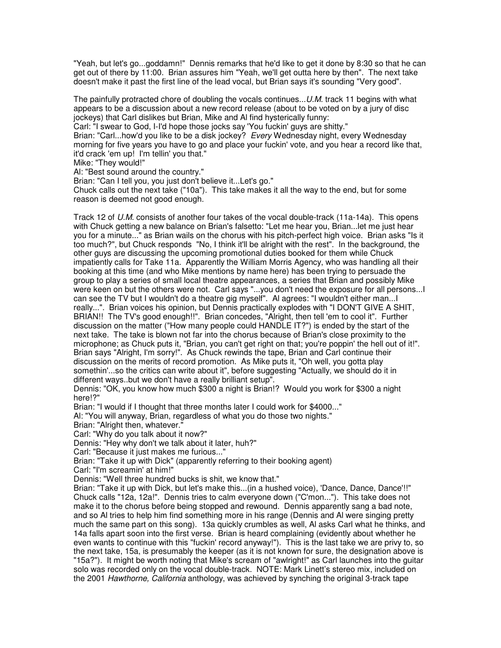"Yeah, but let's go...goddamn!" Dennis remarks that he'd like to get it done by 8:30 so that he can get out of there by 11:00. Brian assures him "Yeah, we'll get outta here by then". The next take doesn't make it past the first line of the lead vocal, but Brian says it's sounding "Very good".

The painfully protracted chore of doubling the vocals continues...  $U.M.$  track 11 begins with what appears to be a discussion about a new record release (about to be voted on by a jury of disc jockeys) that Carl dislikes but Brian, Mike and Al find hysterically funny:

Carl: "I swear to God, I-I'd hope those jocks say 'You fuckin' guys are shitty."

Brian: "Carl...how'd you like to be a disk jockey? Every Wednesday night, every Wednesday morning for five years you have to go and place your fuckin' vote, and you hear a record like that, it'd crack 'em up! I'm tellin' you that."

Mike: "They would!"

Al: "Best sound around the country."

Brian: "Can I tell you, you just don't believe it...Let's go."

Chuck calls out the next take ("10a"). This take makes it all the way to the end, but for some reason is deemed not good enough.

Track 12 of U.M. consists of another four takes of the vocal double-track (11a-14a). This opens with Chuck getting a new balance on Brian's falsetto: "Let me hear you, Brian...let me just hear you for a minute..." as Brian wails on the chorus with his pitch-perfect high voice. Brian asks "Is it too much?", but Chuck responds "No, I think it'll be alright with the rest". In the background, the other guys are discussing the upcoming promotional duties booked for them while Chuck impatiently calls for Take 11a. Apparently the William Morris Agency, who was handling all their booking at this time (and who Mike mentions by name here) has been trying to persuade the group to play a series of small local theatre appearances, a series that Brian and possibly Mike were keen on but the others were not. Carl says "...you don't need the exposure for all persons...I can see the TV but I wouldn't do a theatre gig myself". Al agrees: "I wouldn't either man...I really...". Brian voices his opinion, but Dennis practically explodes with "I DON'T GIVE A SHIT, BRIAN!! The TV's good enough!!". Brian concedes, "Alright, then tell 'em to cool it". Further discussion on the matter ("How many people could HANDLE IT?") is ended by the start of the next take. The take is blown not far into the chorus because of Brian's close proximity to the microphone; as Chuck puts it, "Brian, you can't get right on that; you're poppin' the hell out of it!". Brian says "Alright, I'm sorry!". As Chuck rewinds the tape, Brian and Carl continue their discussion on the merits of record promotion. As Mike puts it, "Oh well, you gotta play somethin'...so the critics can write about it", before suggesting "Actually, we should do it in different ways..but we don't have a really brilliant setup".

Dennis: "OK, you know how much \$300 a night is Brian!? Would you work for \$300 a night here!?"

Brian: "I would if I thought that three months later I could work for \$4000..."

Al: "You will anyway, Brian, regardless of what you do those two nights."

Brian: "Alright then, whatever."

Carl: "Why do you talk about it now?"

Dennis: "Hey why don't we talk about it later, huh?"

Carl: "Because it just makes me furious..."

Brian: "Take it up with Dick" (apparently referring to their booking agent)

Carl: "I'm screamin' at him!"

Dennis: "Well three hundred bucks is shit, we know that."

Brian: "Take it up with Dick, but let's make this...(in a hushed voice), 'Dance, Dance, Dance'!!" Chuck calls "12a, 12a!". Dennis tries to calm everyone down ("C'mon..."). This take does not make it to the chorus before being stopped and rewound. Dennis apparently sang a bad note, and so Al tries to help him find something more in his range (Dennis and Al were singing pretty much the same part on this song). 13a quickly crumbles as well, Al asks Carl what he thinks, and 14a falls apart soon into the first verse. Brian is heard complaining (evidently about whether he even wants to continue with this "fuckin' record anyway!"). This is the last take we are privy to, so the next take, 15a, is presumably the keeper (as it is not known for sure, the designation above is "15a?"). It might be worth noting that Mike's scream of "awlright!" as Carl launches into the guitar solo was recorded only on the vocal double-track. NOTE: Mark Linett's stereo mix, included on the 2001 Hawthorne, California anthology, was achieved by synching the original 3-track tape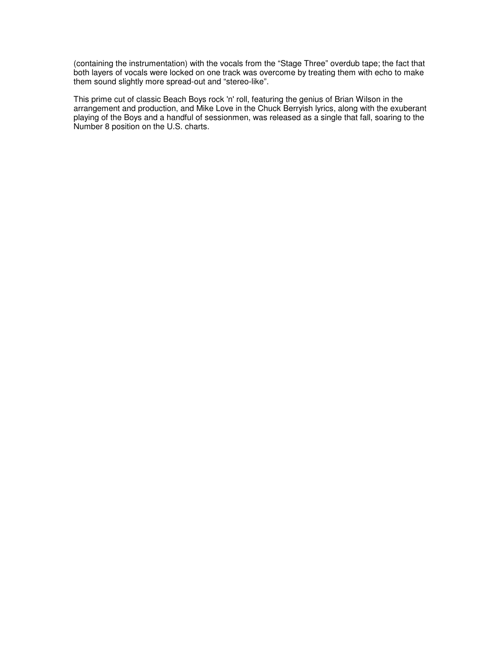(containing the instrumentation) with the vocals from the "Stage Three" overdub tape; the fact that both layers of vocals were locked on one track was overcome by treating them with echo to make them sound slightly more spread-out and "stereo-like".

This prime cut of classic Beach Boys rock 'n' roll, featuring the genius of Brian Wilson in the arrangement and production, and Mike Love in the Chuck Berryish lyrics, along with the exuberant playing of the Boys and a handful of sessionmen, was released as a single that fall, soaring to the Number 8 position on the U.S. charts.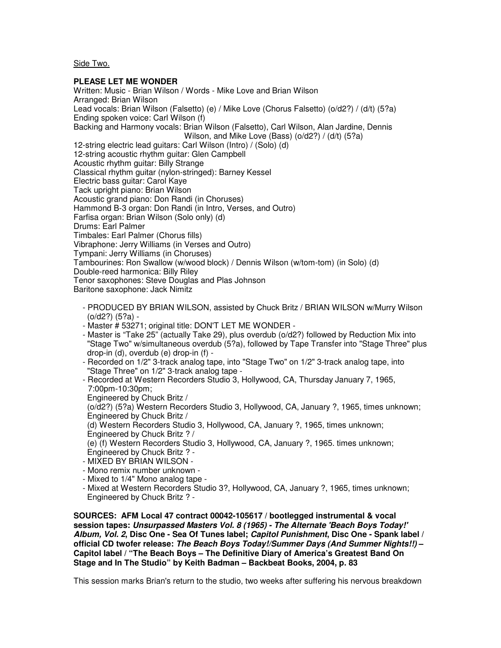Side Two.

## **PLEASE LET ME WONDER**

Written: Music - Brian Wilson / Words - Mike Love and Brian Wilson Arranged: Brian Wilson Lead vocals: Brian Wilson (Falsetto) (e) / Mike Love (Chorus Falsetto) (o/d2?) / (d/t) (5?a) Ending spoken voice: Carl Wilson (f) Backing and Harmony vocals: Brian Wilson (Falsetto), Carl Wilson, Alan Jardine, Dennis Wilson, and Mike Love (Bass) (o/d2?) / (d/t) (5?a) 12-string electric lead guitars: Carl Wilson (Intro) / (Solo) (d) 12-string acoustic rhythm guitar: Glen Campbell Acoustic rhythm guitar: Billy Strange Classical rhythm guitar (nylon-stringed): Barney Kessel Electric bass guitar: Carol Kaye Tack upright piano: Brian Wilson Acoustic grand piano: Don Randi (in Choruses) Hammond B-3 organ: Don Randi (in Intro, Verses, and Outro) Farfisa organ: Brian Wilson (Solo only) (d) Drums: Earl Palmer Timbales: Earl Palmer (Chorus fills) Vibraphone: Jerry Williams (in Verses and Outro) Tympani: Jerry Williams (in Choruses) Tambourines: Ron Swallow (w/wood block) / Dennis Wilson (w/tom-tom) (in Solo) (d) Double-reed harmonica: Billy Riley Tenor saxophones: Steve Douglas and Plas Johnson Baritone saxophone: Jack Nimitz

 - PRODUCED BY BRIAN WILSON, assisted by Chuck Britz / BRIAN WILSON w/Murry Wilson (o/d2?) (5?a) -

- Master # 53271; original title: DON'T LET ME WONDER -
- Master is "Take 25" (actually Take 29), plus overdub (o/d2?) followed by Reduction Mix into "Stage Two" w/simultaneous overdub (5?a), followed by Tape Transfer into "Stage Three" plus drop-in (d), overdub (e) drop-in (f) -

 - Recorded on 1/2" 3-track analog tape, into "Stage Two" on 1/2" 3-track analog tape, into "Stage Three" on 1/2" 3-track analog tape -

- Recorded at Western Recorders Studio 3, Hollywood, CA, Thursday January 7, 1965, 7:00pm-10:30pm;
- Engineered by Chuck Britz /

 (o/d2?) (5?a) Western Recorders Studio 3, Hollywood, CA, January ?, 1965, times unknown; Engineered by Chuck Britz /

 (d) Western Recorders Studio 3, Hollywood, CA, January ?, 1965, times unknown; Engineered by Chuck Britz ? /

 (e) (f) Western Recorders Studio 3, Hollywood, CA, January ?, 1965. times unknown; Engineered by Chuck Britz ? -

- MIXED BY BRIAN WILSON -
- Mono remix number unknown -
- Mixed to 1/4" Mono analog tape -
- Mixed at Western Recorders Studio 3?, Hollywood, CA, January ?, 1965, times unknown; Engineered by Chuck Britz ? -

**SOURCES: AFM Local 47 contract 00042-105617 / bootlegged instrumental & vocal session tapes: Unsurpassed Masters Vol. 8 (1965) - The Alternate 'Beach Boys Today!' Album, Vol. 2, Disc One - Sea Of Tunes label; Capitol Punishment, Disc One - Spank label / official CD twofer release: The Beach Boys Today!/Summer Days (And Summer Nights!!) – Capitol label / "The Beach Boys – The Definitive Diary of America's Greatest Band On Stage and In The Studio" by Keith Badman – Backbeat Books, 2004, p. 83**

This session marks Brian's return to the studio, two weeks after suffering his nervous breakdown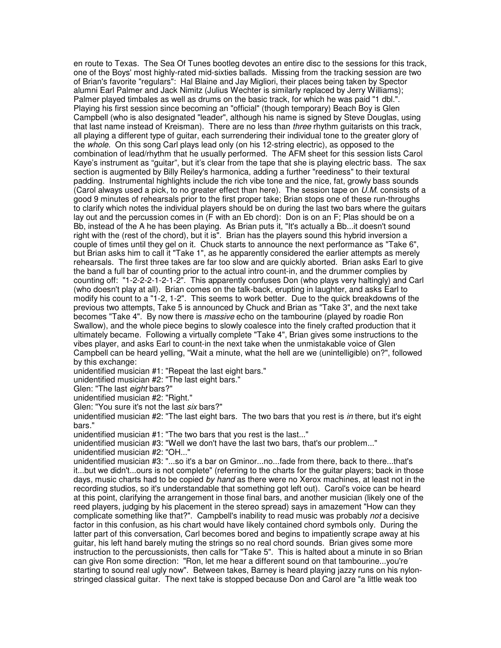en route to Texas. The Sea Of Tunes bootleg devotes an entire disc to the sessions for this track, one of the Boys' most highly-rated mid-sixties ballads. Missing from the tracking session are two of Brian's favorite "regulars": Hal Blaine and Jay Migliori, their places being taken by Spector alumni Earl Palmer and Jack Nimitz (Julius Wechter is similarly replaced by Jerry Williams); Palmer played timbales as well as drums on the basic track, for which he was paid "1 dbl.". Playing his first session since becoming an "official" (though temporary) Beach Boy is Glen Campbell (who is also designated "leader", although his name is signed by Steve Douglas, using that last name instead of Kreisman). There are no less than three rhythm quitarists on this track, all playing a different type of guitar, each surrendering their individual tone to the greater glory of the *whole*. On this song Carl plays lead only (on his 12-string electric), as opposed to the combination of lead/rhythm that he usually performed. The AFM sheet for this session lists Carol Kaye's instrument as "guitar", but it's clear from the tape that she is playing electric bass. The sax section is augmented by Billy Reiley's harmonica, adding a further "reediness" to their textural padding. Instrumental highlights include the rich vibe tone and the nice, fat, growly bass sounds (Carol always used a pick, to no greater effect than here). The session tape on U.M. consists of a good 9 minutes of rehearsals prior to the first proper take; Brian stops one of these run-throughs to clarify which notes the individual players should be on during the last two bars where the guitars lay out and the percussion comes in (F with an Eb chord): Don is on an F; Plas should be on a Bb, instead of the A he has been playing. As Brian puts it, "It's actually a Bb...it doesn't sound right with the (rest of the chord), but it is". Brian has the players sound this hybrid inversion a couple of times until they gel on it. Chuck starts to announce the next performance as "Take 6", but Brian asks him to call it "Take 1", as he apparently considered the earlier attempts as merely rehearsals. The first three takes are far too slow and are quickly aborted. Brian asks Earl to give the band a full bar of counting prior to the actual intro count-in, and the drummer complies by counting off: "1-2-2-2-1-2-1-2". This apparently confuses Don (who plays very haltingly) and Carl (who doesn't play at all). Brian comes on the talk-back, erupting in laughter, and asks Earl to modify his count to a "1-2, 1-2". This seems to work better. Due to the quick breakdowns of the previous two attempts, Take 5 is announced by Chuck and Brian as "Take 3", and the next take becomes "Take 4". By now there is massive echo on the tambourine (played by roadie Ron Swallow), and the whole piece begins to slowly coalesce into the finely crafted production that it ultimately became. Following a virtually complete "Take 4", Brian gives some instructions to the vibes player, and asks Earl to count-in the next take when the unmistakable voice of Glen Campbell can be heard yelling, "Wait a minute, what the hell are we (unintelligible) on?", followed by this exchange:

unidentified musician #1: "Repeat the last eight bars."

unidentified musician #2: "The last eight bars."

Glen: "The last eight bars?"

unidentified musician #2: "Right."

Glen: "You sure it's not the last six bars?"

unidentified musician #2: "The last eight bars. The two bars that you rest is in there, but it's eight bars."

unidentified musician #1: "The two bars that you rest is the last..."

unidentified musician #3: "Well we don't have the last two bars, that's our problem..."

unidentified musician #2: "OH..."

unidentified musician #3: "...so it's a bar on Gminor...no...fade from there, back to there...that's it...but we didn't...ours is not complete" (referring to the charts for the guitar players; back in those days, music charts had to be copied by hand as there were no Xerox machines, at least not in the recording studios, so it's understandable that something got left out). Carol's voice can be heard at this point, clarifying the arrangement in those final bars, and another musician (likely one of the reed players, judging by his placement in the stereo spread) says in amazement "How can they complicate something like that?". Campbell's inability to read music was probably not a decisive factor in this confusion, as his chart would have likely contained chord symbols only. During the latter part of this conversation, Carl becomes bored and begins to impatiently scrape away at his guitar, his left hand barely muting the strings so no real chord sounds. Brian gives some more instruction to the percussionists, then calls for "Take 5". This is halted about a minute in so Brian can give Ron some direction: "Ron, let me hear a different sound on that tambourine...you're starting to sound real ugly now". Between takes, Barney is heard playing jazzy runs on his nylonstringed classical guitar. The next take is stopped because Don and Carol are "a little weak too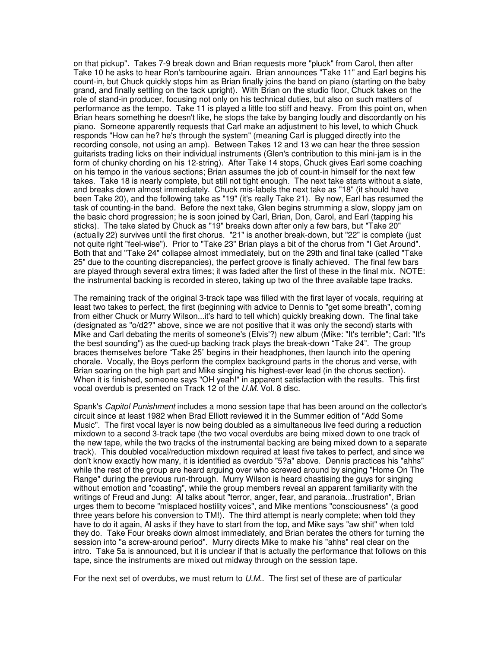on that pickup". Takes 7-9 break down and Brian requests more "pluck" from Carol, then after Take 10 he asks to hear Ron's tambourine again. Brian announces "Take 11" and Earl begins his count-in, but Chuck quickly stops him as Brian finally joins the band on piano (starting on the baby grand, and finally settling on the tack upright). With Brian on the studio floor, Chuck takes on the role of stand-in producer, focusing not only on his technical duties, but also on such matters of performance as the tempo. Take 11 is played a little too stiff and heavy. From this point on, when Brian hears something he doesn't like, he stops the take by banging loudly and discordantly on his piano. Someone apparently requests that Carl make an adjustment to his level, to which Chuck responds "How can he? he's through the system" (meaning Carl is plugged directly into the recording console, not using an amp). Between Takes 12 and 13 we can hear the three session guitarists trading licks on their individual instruments (Glen's contribution to this mini-jam is in the form of chunky chording on his 12-string). After Take 14 stops, Chuck gives Earl some coaching on his tempo in the various sections; Brian assumes the job of count-in himself for the next few takes. Take 18 is nearly complete, but still not tight enough. The next take starts without a slate, and breaks down almost immediately. Chuck mis-labels the next take as "18" (it should have been Take 20), and the following take as "19" (it's really Take 21). By now, Earl has resumed the task of counting-in the band. Before the next take, Glen begins strumming a slow, sloppy jam on the basic chord progression; he is soon joined by Carl, Brian, Don, Carol, and Earl (tapping his sticks). The take slated by Chuck as "19" breaks down after only a few bars, but "Take 20" (actually 22) survives until the first chorus. "21" is another break-down, but "22" is complete (just not quite right "feel-wise"). Prior to "Take 23" Brian plays a bit of the chorus from "I Get Around". Both that and "Take 24" collapse almost immediately, but on the 29th and final take (called "Take 25" due to the counting discrepancies), the perfect groove is finally achieved. The final few bars are played through several extra times; it was faded after the first of these in the final mix. NOTE: the instrumental backing is recorded in stereo, taking up two of the three available tape tracks.

The remaining track of the original 3-track tape was filled with the first layer of vocals, requiring at least two takes to perfect, the first (beginning with advice to Dennis to "get some breath", coming from either Chuck or Murry Wilson...it's hard to tell which) quickly breaking down. The final take (designated as "o/d2?" above, since we are not positive that it was only the second) starts with Mike and Carl debating the merits of someone's (Elvis'?) new album (Mike: "It's terrible"; Carl: "It's the best sounding") as the cued-up backing track plays the break-down "Take 24". The group braces themselves before "Take 25" begins in their headphones, then launch into the opening chorale. Vocally, the Boys perform the complex background parts in the chorus and verse, with Brian soaring on the high part and Mike singing his highest-ever lead (in the chorus section). When it is finished, someone says "OH yeah!" in apparent satisfaction with the results. This first vocal overdub is presented on Track 12 of the U.M. Vol. 8 disc.

Spank's Capitol Punishment includes a mono session tape that has been around on the collector's circuit since at least 1982 when Brad Elliott reviewed it in the Summer edition of "Add Some Music". The first vocal layer is now being doubled as a simultaneous live feed during a reduction mixdown to a second 3-track tape (the two vocal overdubs are being mixed down to one track of the new tape, while the two tracks of the instrumental backing are being mixed down to a separate track). This doubled vocal/reduction mixdown required at least five takes to perfect, and since we don't know exactly how many, it is identified as overdub "5?a" above. Dennis practices his "ahhs" while the rest of the group are heard arguing over who screwed around by singing "Home On The Range" during the previous run-through. Murry Wilson is heard chastising the guys for singing without emotion and "coasting", while the group members reveal an apparent familiarity with the writings of Freud and Jung: Al talks about "terror, anger, fear, and paranoia...frustration", Brian urges them to become "misplaced hostility voices", and Mike mentions "consciousness" (a good three years before his conversion to TM!). The third attempt is nearly complete; when told they have to do it again, Al asks if they have to start from the top, and Mike says "aw shit" when told they do. Take Four breaks down almost immediately, and Brian berates the others for turning the session into "a screw-around period". Murry directs Mike to make his "ahhs" real clear on the intro. Take 5a is announced, but it is unclear if that is actually the performance that follows on this tape, since the instruments are mixed out midway through on the session tape.

For the next set of overdubs, we must return to U.M.. The first set of these are of particular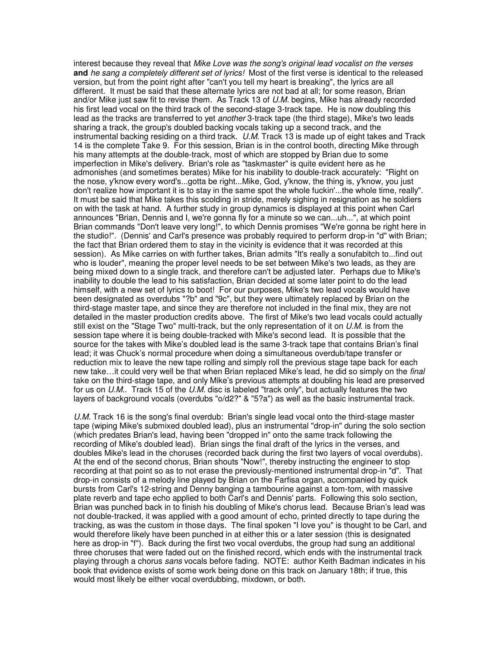interest because they reveal that Mike Love was the song's original lead vocalist on the verses **and** he sang a completely different set of lyrics! Most of the first verse is identical to the released version, but from the point right after "can't you tell my heart is breaking", the lyrics are all different. It must be said that these alternate lyrics are not bad at all; for some reason, Brian and/or Mike just saw fit to revise them. As Track 13 of  $U.M.$  begins, Mike has already recorded his first lead vocal on the third track of the second-stage 3-track tape. He is now doubling this lead as the tracks are transferred to yet *another* 3-track tape (the third stage), Mike's two leads sharing a track, the group's doubled backing vocals taking up a second track, and the instrumental backing residing on a third track. U.M. Track 13 is made up of eight takes and Track 14 is the complete Take 9. For this session, Brian is in the control booth, directing Mike through his many attempts at the double-track, most of which are stopped by Brian due to some imperfection in Mike's delivery. Brian's role as "taskmaster" is quite evident here as he admonishes (and sometimes berates) Mike for his inability to double-track accurately: "Right on the nose, y'know every word's...gotta be right...Mike, God, y'know, the thing is, y'know, you just don't realize how important it is to stay in the same spot the whole fuckin'...the whole time, really". It must be said that Mike takes this scolding in stride, merely sighing in resignation as he soldiers on with the task at hand. A further study in group dynamics is displayed at this point when Carl announces "Brian, Dennis and I, we're gonna fly for a minute so we can...uh...", at which point Brian commands "Don't leave very long!", to which Dennis promises "We're gonna be right here in the studio!". (Dennis' and Carl's presence was probably required to perform drop-in "d" with Brian; the fact that Brian ordered them to stay in the vicinity is evidence that it was recorded at this session). As Mike carries on with further takes, Brian admits "It's really a sonufabitch to...find out who is louder", meaning the proper level needs to be set between Mike's two leads, as they are being mixed down to a single track, and therefore can't be adjusted later. Perhaps due to Mike's inability to double the lead to his satisfaction, Brian decided at some later point to do the lead himself, with a new set of lyrics to boot! For our purposes, Mike's two lead vocals would have been designated as overdubs "?b" and "9c", but they were ultimately replaced by Brian on the third-stage master tape, and since they are therefore not included in the final mix, they are not detailed in the master production credits above. The first of Mike's two lead vocals could actually still exist on the "Stage Two" multi-track, but the only representation of it on  $U.M$  is from the session tape where it is being double-tracked with Mike's second lead. It is possible that the source for the takes with Mike's doubled lead is the same 3-track tape that contains Brian's final lead; it was Chuck's normal procedure when doing a simultaneous overdub/tape transfer or reduction mix to leave the new tape rolling and simply roll the previous stage tape back for each new take…it could very well be that when Brian replaced Mike's lead, he did so simply on the final take on the third-stage tape, and only Mike's previous attempts at doubling his lead are preserved for us on  $U.M.$  Track 15 of the  $U.M.$  disc is labeled "track only", but actually features the two layers of background vocals (overdubs "o/d2?" & "5?a") as well as the basic instrumental track.

U.M. Track 16 is the song's final overdub: Brian's single lead vocal onto the third-stage master tape (wiping Mike's submixed doubled lead), plus an instrumental "drop-in" during the solo section (which predates Brian's lead, having been "dropped in" onto the same track following the recording of Mike's doubled lead). Brian sings the final draft of the lyrics in the verses, and doubles Mike's lead in the choruses (recorded back during the first two layers of vocal overdubs). At the end of the second chorus, Brian shouts "Now!", thereby instructing the engineer to stop recording at that point so as to not erase the previously-mentioned instrumental drop-in "d". That drop-in consists of a melody line played by Brian on the Farfisa organ, accompanied by quick bursts from Carl's 12-string and Denny banging a tambourine against a tom-tom, with massive plate reverb and tape echo applied to both Carl's and Dennis' parts. Following this solo section, Brian was punched back in to finish his doubling of Mike's chorus lead. Because Brian's lead was not double-tracked, it was applied with a good amount of echo, printed directly to tape during the tracking, as was the custom in those days. The final spoken "I love you" is thought to be Carl, and would therefore likely have been punched in at either this or a later session (this is designated here as drop-in "f"). Back during the first two vocal overdubs, the group had sung an additional three choruses that were faded out on the finished record, which ends with the instrumental track playing through a chorus *sans* vocals before fading. NOTE: author Keith Badman indicates in his book that evidence exists of some work being done on this track on January 18th; if true, this would most likely be either vocal overdubbing, mixdown, or both.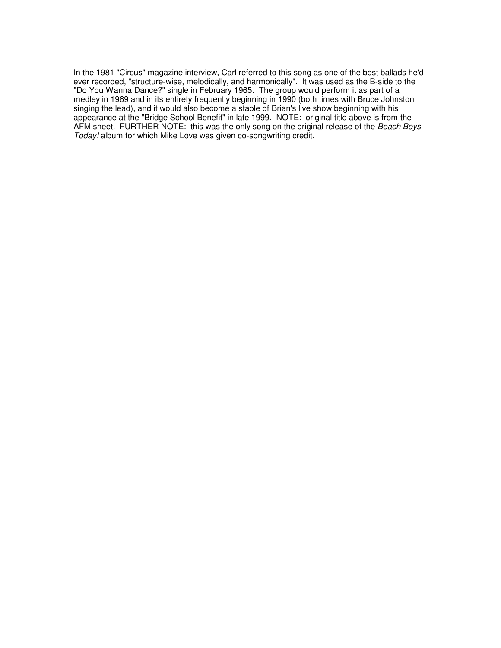In the 1981 "Circus" magazine interview, Carl referred to this song as one of the best ballads he'd ever recorded, "structure-wise, melodically, and harmonically". It was used as the B-side to the "Do You Wanna Dance?" single in February 1965. The group would perform it as part of a medley in 1969 and in its entirety frequently beginning in 1990 (both times with Bruce Johnston singing the lead), and it would also become a staple of Brian's live show beginning with his appearance at the "Bridge School Benefit" in late 1999. NOTE: original title above is from the AFM sheet. FURTHER NOTE: this was the only song on the original release of the Beach Boys Today! album for which Mike Love was given co-songwriting credit.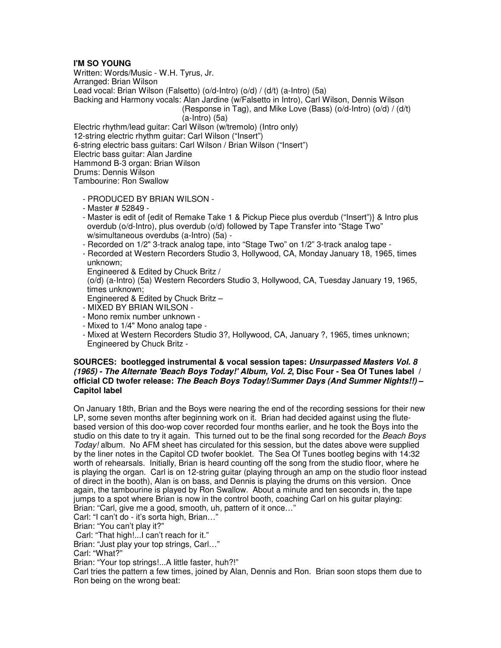# **I'M SO YOUNG**

Written: Words/Music - W.H. Tyrus, Jr. Arranged: Brian Wilson Lead vocal: Brian Wilson (Falsetto) (o/d-Intro) (o/d) / (d/t) (a-Intro) (5a) Backing and Harmony vocals: Alan Jardine (w/Falsetto in Intro), Carl Wilson, Dennis Wilson (Response in Tag), and Mike Love (Bass) (o/d-Intro) (o/d) / (d/t) (a-Intro) (5a) Electric rhythm/lead guitar: Carl Wilson (w/tremolo) (Intro only) 12-string electric rhythm guitar: Carl Wilson ("Insert") 6-string electric bass guitars: Carl Wilson / Brian Wilson ("Insert") Electric bass guitar: Alan Jardine Hammond B-3 organ: Brian Wilson Drums: Dennis Wilson Tambourine: Ron Swallow

- PRODUCED BY BRIAN WILSON -
- Master # 52849 -
- Master is edit of {edit of Remake Take 1 & Pickup Piece plus overdub ("Insert")} & Intro plus overdub (o/d-Intro), plus overdub (o/d) followed by Tape Transfer into "Stage Two" w/simultaneous overdubs (a-Intro) (5a) -
- Recorded on 1/2" 3-track analog tape, into "Stage Two" on 1/2" 3-track analog tape -
- Recorded at Western Recorders Studio 3, Hollywood, CA, Monday January 18, 1965, times unknown;
- Engineered & Edited by Chuck Britz /

 (o/d) (a-Intro) (5a) Western Recorders Studio 3, Hollywood, CA, Tuesday January 19, 1965, times unknown;

- Engineered & Edited by Chuck Britz –
- MIXED BY BRIAN WILSON -
- Mono remix number unknown -
- Mixed to 1/4" Mono analog tape -
- Mixed at Western Recorders Studio 3?, Hollywood, CA, January ?, 1965, times unknown; Engineered by Chuck Britz -

## **SOURCES: bootlegged instrumental & vocal session tapes: Unsurpassed Masters Vol. 8 (1965) - The Alternate 'Beach Boys Today!' Album, Vol. 2, Disc Four - Sea Of Tunes label / official CD twofer release: The Beach Boys Today!/Summer Days (And Summer Nights!!) – Capitol label**

On January 18th, Brian and the Boys were nearing the end of the recording sessions for their new LP, some seven months after beginning work on it. Brian had decided against using the flutebased version of this doo-wop cover recorded four months earlier, and he took the Boys into the studio on this date to try it again. This turned out to be the final song recorded for the Beach Boys Today! album. No AFM sheet has circulated for this session, but the dates above were supplied by the liner notes in the Capitol CD twofer booklet. The Sea Of Tunes bootleg begins with 14:32 worth of rehearsals. Initially, Brian is heard counting off the song from the studio floor, where he is playing the organ. Carl is on 12-string guitar (playing through an amp on the studio floor instead of direct in the booth), Alan is on bass, and Dennis is playing the drums on this version. Once again, the tambourine is played by Ron Swallow. About a minute and ten seconds in, the tape jumps to a spot where Brian is now in the control booth, coaching Carl on his guitar playing: Brian: "Carl, give me a good, smooth, uh, pattern of it once…"

Carl: "I can't do - it's sorta high, Brian…"

Brian: "You can't play it?"

Carl: "That high!...I can't reach for it."

Brian: "Just play your top strings, Carl…"

Carl: "What?"

Brian: "Your top strings!...A little faster, huh?!"

Carl tries the pattern a few times, joined by Alan, Dennis and Ron. Brian soon stops them due to Ron being on the wrong beat: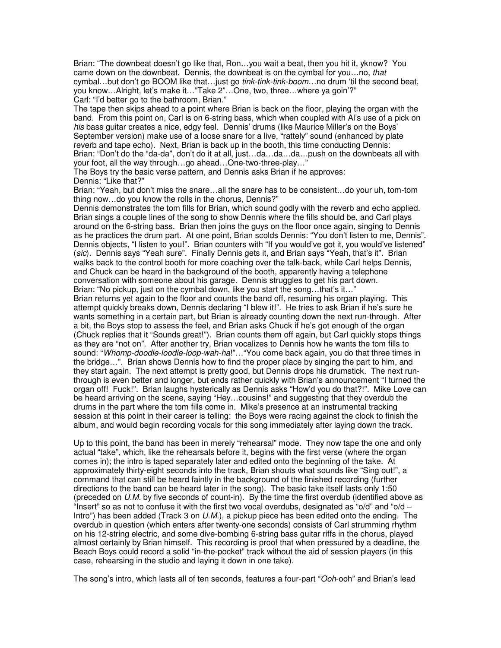Brian: "The downbeat doesn't go like that, Ron…you wait a beat, then you hit it, yknow? You came down on the downbeat. Dennis, the downbeat is on the cymbal for you...no, that cymbal...but don't go BOOM like that...just go tink-tink-tink-boom...no drum 'til the second beat, you know…Alright, let's make it…"Take 2"…One, two, three…where ya goin'?" Carl: "I'd better go to the bathroom, Brian."

The tape then skips ahead to a point where Brian is back on the floor, playing the organ with the band. From this point on, Carl is on 6-string bass, which when coupled with Al's use of a pick on his bass guitar creates a nice, edgy feel. Dennis' drums (like Maurice Miller's on the Boys' September version) make use of a loose snare for a live, "rattely" sound (enhanced by plate reverb and tape echo). Next, Brian is back up in the booth, this time conducting Dennis: Brian: "Don't do the "da-da", don't do it at all, just…da…da…da…push on the downbeats all with your foot, all the way through…go ahead…One-two-three-play…"

The Boys try the basic verse pattern, and Dennis asks Brian if he approves: Dennis: "Like that?"

Brian: "Yeah, but don't miss the snare…all the snare has to be consistent…do your uh, tom-tom thing now…do you know the rolls in the chorus, Dennis?"

Dennis demonstrates the tom fills for Brian, which sound godly with the reverb and echo applied. Brian sings a couple lines of the song to show Dennis where the fills should be, and Carl plays around on the 6-string bass. Brian then joins the guys on the floor once again, singing to Dennis as he practices the drum part. At one point, Brian scolds Dennis: "You don't listen to me, Dennis". Dennis objects, "I listen to you!". Brian counters with "If you would've got it, you would've listened" (sic). Dennis says "Yeah sure". Finally Dennis gets it, and Brian says "Yeah, that's it". Brian walks back to the control booth for more coaching over the talk-back, while Carl helps Dennis, and Chuck can be heard in the background of the booth, apparently having a telephone conversation with someone about his garage. Dennis struggles to get his part down. Brian: "No pickup, just on the cymbal down, like you start the song…that's it…"

Brian returns yet again to the floor and counts the band off, resuming his organ playing. This attempt quickly breaks down, Dennis declaring "I blew it!". He tries to ask Brian if he's sure he wants something in a certain part, but Brian is already counting down the next run-through. After a bit, the Boys stop to assess the feel, and Brian asks Chuck if he's got enough of the organ (Chuck replies that it "Sounds great!"). Brian counts them off again, but Carl quickly stops things as they are "not on". After another try, Brian vocalizes to Dennis how he wants the tom fills to sound: "Whomp-doodle-loodle-loop-wah-ha!"..."You come back again, you do that three times in the bridge…". Brian shows Dennis how to find the proper place by singing the part to him, and they start again. The next attempt is pretty good, but Dennis drops his drumstick. The next runthrough is even better and longer, but ends rather quickly with Brian's announcement "I turned the organ off! Fuck!". Brian laughs hysterically as Dennis asks "How'd you do that?!". Mike Love can be heard arriving on the scene, saying "Hey…cousins!" and suggesting that they overdub the drums in the part where the tom fills come in. Mike's presence at an instrumental tracking session at this point in their career is telling: the Boys were racing against the clock to finish the album, and would begin recording vocals for this song immediately after laying down the track.

Up to this point, the band has been in merely "rehearsal" mode. They now tape the one and only actual "take", which, like the rehearsals before it, begins with the first verse (where the organ comes in); the intro is taped separately later and edited onto the beginning of the take. At approximately thirty-eight seconds into the track, Brian shouts what sounds like "Sing out!", a command that can still be heard faintly in the background of the finished recording (further directions to the band can be heard later in the song). The basic take itself lasts only 1:50 (preceded on U.M. by five seconds of count-in). By the time the first overdub (identified above as "Insert" so as not to confuse it with the first two vocal overdubs, designated as "o/d" and "o/d  $-$ Intro") has been added (Track 3 on  $U.M$ ), a pickup piece has been edited onto the ending. The overdub in question (which enters after twenty-one seconds) consists of Carl strumming rhythm on his 12-string electric, and some dive-bombing 6-string bass guitar riffs in the chorus, played almost certainly by Brian himself. This recording is proof that when pressured by a deadline, the Beach Boys could record a solid "in-the-pocket" track without the aid of session players (in this case, rehearsing in the studio and laying it down in one take).

The song's intro, which lasts all of ten seconds, features a four-part "Ooh-ooh" and Brian's lead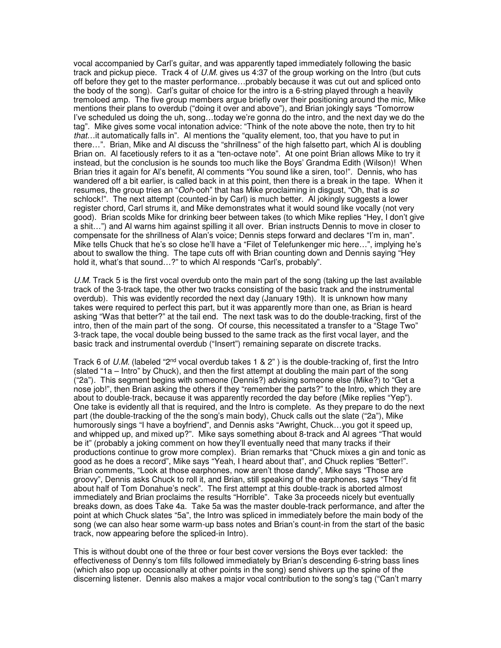vocal accompanied by Carl's guitar, and was apparently taped immediately following the basic track and pickup piece. Track 4 of U.M. gives us 4:37 of the group working on the Intro (but cuts off before they get to the master performance…probably because it was cut out and spliced onto the body of the song). Carl's guitar of choice for the intro is a 6-string played through a heavily tremoloed amp. The five group members argue briefly over their positioning around the mic, Mike mentions their plans to overdub ("doing it over and above"), and Brian jokingly says "Tomorrow I've scheduled us doing the uh, song…today we're gonna do the intro, and the next day we do the tag". Mike gives some vocal intonation advice: "Think of the note above the note, then try to hit that…it automatically falls in". Al mentions the "quality element, too, that you have to put in there…". Brian, Mike and Al discuss the "shrillness" of the high falsetto part, which Al is doubling Brian on. Al facetiously refers to it as a "ten-octave note". At one point Brian allows Mike to try it instead, but the conclusion is he sounds too much like the Boys' Grandma Edith (Wilson)! When Brian tries it again for Al's benefit, Al comments "You sound like a siren, too!". Dennis, who has wandered off a bit earlier, is called back in at this point, then there is a break in the tape. When it resumes, the group tries an "Ooh-ooh" that has Mike proclaiming in disgust, "Oh, that is so schlock!". The next attempt (counted-in by Carl) is much better. Al jokingly suggests a lower register chord, Carl strums it, and Mike demonstrates what it would sound like vocally (not very good). Brian scolds Mike for drinking beer between takes (to which Mike replies "Hey, I don't give a shit…") and Al warns him against spilling it all over. Brian instructs Dennis to move in closer to compensate for the shrillness of Alan's voice; Dennis steps forward and declares "I'm in, man". Mike tells Chuck that he's so close he'll have a "Filet of Telefunkenger mic here…", implying he's about to swallow the thing. The tape cuts off with Brian counting down and Dennis saying "Hey hold it, what's that sound…?" to which Al responds "Carl's, probably".

U.M. Track 5 is the first vocal overdub onto the main part of the song (taking up the last available track of the 3-track tape, the other two tracks consisting of the basic track and the instrumental overdub). This was evidently recorded the next day (January 19th). It is unknown how many takes were required to perfect this part, but it was apparently more than one, as Brian is heard asking "Was that better?" at the tail end. The next task was to do the double-tracking, first of the intro, then of the main part of the song. Of course, this necessitated a transfer to a "Stage Two" 3-track tape, the vocal double being bussed to the same track as the first vocal layer, and the basic track and instrumental overdub ("Insert") remaining separate on discrete tracks.

Track 6 of U.M. (labeled "2<sup>nd</sup> vocal overdub takes 1 & 2") is the double-tracking of, first the Intro (slated "1a – Intro" by Chuck), and then the first attempt at doubling the main part of the song ("2a"). This segment begins with someone (Dennis?) advising someone else (Mike?) to "Get a nose job!", then Brian asking the others if they "remember the parts?" to the Intro, which they are about to double-track, because it was apparently recorded the day before (Mike replies "Yep"). One take is evidently all that is required, and the Intro is complete. As they prepare to do the next part (the double-tracking of the the song's main body), Chuck calls out the slate ("2a"), Mike humorously sings "I have a boyfriend", and Dennis asks "Awright, Chuck…you got it speed up, and whipped up, and mixed up?". Mike says something about 8-track and Al agrees "That would be it" (probably a joking comment on how they'll eventually need that many tracks if their productions continue to grow more complex). Brian remarks that "Chuck mixes a gin and tonic as good as he does a record", Mike says "Yeah, I heard about that", and Chuck replies "Better!". Brian comments, "Look at those earphones, now aren't those dandy", Mike says "Those are groovy", Dennis asks Chuck to roll it, and Brian, still speaking of the earphones, says "They'd fit about half of Tom Donahue's neck". The first attempt at this double-track is aborted almost immediately and Brian proclaims the results "Horrible". Take 3a proceeds nicely but eventually breaks down, as does Take 4a. Take 5a was the master double-track performance, and after the point at which Chuck slates "5a", the Intro was spliced in immediately before the main body of the song (we can also hear some warm-up bass notes and Brian's count-in from the start of the basic track, now appearing before the spliced-in Intro).

This is without doubt one of the three or four best cover versions the Boys ever tackled: the effectiveness of Denny's tom fills followed immediately by Brian's descending 6-string bass lines (which also pop up occasionally at other points in the song) send shivers up the spine of the discerning listener. Dennis also makes a major vocal contribution to the song's tag ("Can't marry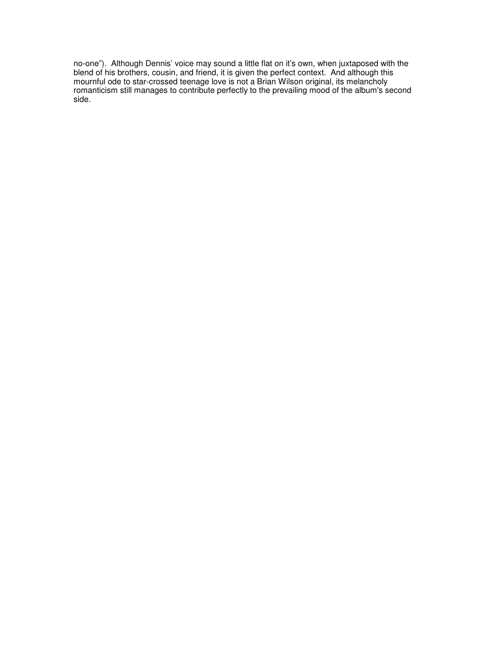no-one"). Although Dennis' voice may sound a little flat on it's own, when juxtaposed with the blend of his brothers, cousin, and friend, it is given the perfect context. And although this mournful ode to star-crossed teenage love is not a Brian Wilson original, its melancholy romanticism still manages to contribute perfectly to the prevailing mood of the album's second side.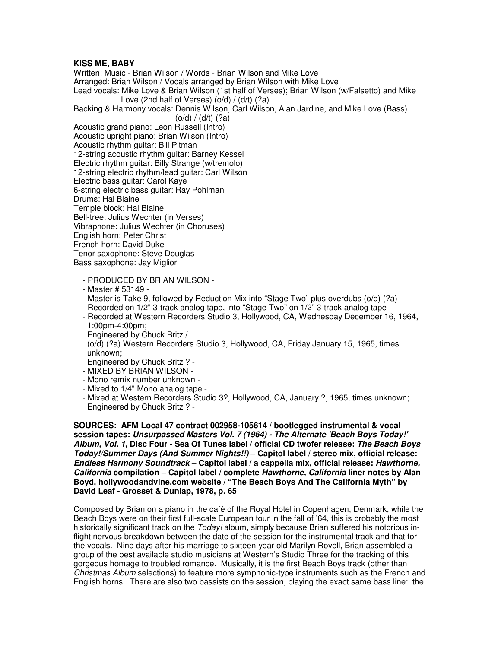#### **KISS ME, BABY**

Written: Music - Brian Wilson / Words - Brian Wilson and Mike Love Arranged: Brian Wilson / Vocals arranged by Brian Wilson with Mike Love Lead vocals: Mike Love & Brian Wilson (1st half of Verses); Brian Wilson (w/Falsetto) and Mike Love (2nd half of Verses) (o/d) / (d/t) (?a) Backing & Harmony vocals: Dennis Wilson, Carl Wilson, Alan Jardine, and Mike Love (Bass)  $(o/d) / (d/t)$  (?a) Acoustic grand piano: Leon Russell (Intro) Acoustic upright piano: Brian Wilson (Intro) Acoustic rhythm guitar: Bill Pitman 12-string acoustic rhythm guitar: Barney Kessel Electric rhythm guitar: Billy Strange (w/tremolo) 12-string electric rhythm/lead guitar: Carl Wilson Electric bass guitar: Carol Kaye 6-string electric bass guitar: Ray Pohlman Drums: Hal Blaine Temple block: Hal Blaine Bell-tree: Julius Wechter (in Verses) Vibraphone: Julius Wechter (in Choruses) English horn: Peter Christ French horn: David Duke Tenor saxophone: Steve Douglas Bass saxophone: Jay Migliori - PRODUCED BY BRIAN WILSON -

- Master # 53149 -
- Master is Take 9, followed by Reduction Mix into "Stage Two" plus overdubs (o/d) (?a) -
- Recorded on 1/2" 3-track analog tape, into "Stage Two" on 1/2" 3-track analog tape -
- Recorded at Western Recorders Studio 3, Hollywood, CA, Wednesday December 16, 1964, 1:00pm-4:00pm;
- Engineered by Chuck Britz /

 (o/d) (?a) Western Recorders Studio 3, Hollywood, CA, Friday January 15, 1965, times unknown;

Engineered by Chuck Britz ? -

- MIXED BY BRIAN WILSON -
- Mono remix number unknown -
- Mixed to 1/4" Mono analog tape -

 - Mixed at Western Recorders Studio 3?, Hollywood, CA, January ?, 1965, times unknown; Engineered by Chuck Britz ? -

**SOURCES: AFM Local 47 contract 002958-105614 / bootlegged instrumental & vocal session tapes: Unsurpassed Masters Vol. 7 (1964) - The Alternate 'Beach Boys Today!' Album, Vol. 1, Disc Four - Sea Of Tunes label / official CD twofer release: The Beach Boys Today!/Summer Days (And Summer Nights!!) – Capitol label / stereo mix, official release: Endless Harmony Soundtrack – Capitol label / a cappella mix, official release: Hawthorne, California compilation – Capitol label / complete Hawthorne, California liner notes by Alan Boyd, hollywoodandvine.com website / "The Beach Boys And The California Myth" by David Leaf - Grosset & Dunlap, 1978, p. 65**

Composed by Brian on a piano in the café of the Royal Hotel in Copenhagen, Denmark, while the Beach Boys were on their first full-scale European tour in the fall of '64, this is probably the most historically significant track on the Today! album, simply because Brian suffered his notorious inflight nervous breakdown between the date of the session for the instrumental track and that for the vocals. Nine days after his marriage to sixteen-year old Marilyn Rovell, Brian assembled a group of the best available studio musicians at Western's Studio Three for the tracking of this gorgeous homage to troubled romance. Musically, it is the first Beach Boys track (other than Christmas Album selections) to feature more symphonic-type instruments such as the French and English horns. There are also two bassists on the session, playing the exact same bass line: the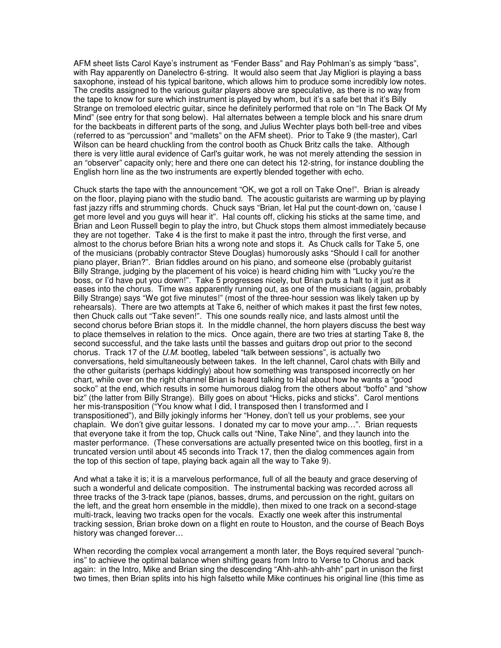AFM sheet lists Carol Kaye's instrument as "Fender Bass" and Ray Pohlman's as simply "bass", with Ray apparently on Danelectro 6-string. It would also seem that Jay Migliori is playing a bass saxophone, instead of his typical baritone, which allows him to produce some incredibly low notes. The credits assigned to the various guitar players above are speculative, as there is no way from the tape to know for sure which instrument is played by whom, but it's a safe bet that it's Billy Strange on tremoloed electric guitar, since he definitely performed that role on "In The Back Of My Mind" (see entry for that song below). Hal alternates between a temple block and his snare drum for the backbeats in different parts of the song, and Julius Wechter plays both bell-tree and vibes (referred to as "percussion" and "mallets" on the AFM sheet). Prior to Take 9 (the master), Carl Wilson can be heard chuckling from the control booth as Chuck Britz calls the take. Although there is very little aural evidence of Carl's guitar work, he was not merely attending the session in an "observer" capacity only; here and there one can detect his 12-string, for instance doubling the English horn line as the two instruments are expertly blended together with echo.

Chuck starts the tape with the announcement "OK, we got a roll on Take One!". Brian is already on the floor, playing piano with the studio band. The acoustic guitarists are warming up by playing fast jazzy riffs and strumming chords. Chuck says "Brian, let Hal put the count-down on, 'cause I get more level and you guys will hear it". Hal counts off, clicking his sticks at the same time, and Brian and Leon Russell begin to play the intro, but Chuck stops them almost immediately because they are not together. Take 4 is the first to make it past the intro, through the first verse, and almost to the chorus before Brian hits a wrong note and stops it. As Chuck calls for Take 5, one of the musicians (probably contractor Steve Douglas) humorously asks "Should I call for another piano player, Brian?". Brian fiddles around on his piano, and someone else (probably guitarist Billy Strange, judging by the placement of his voice) is heard chiding him with "Lucky you're the boss, or I'd have put you down!". Take 5 progresses nicely, but Brian puts a halt to it just as it eases into the chorus. Time was apparently running out, as one of the musicians (again, probably Billy Strange) says "We got five minutes!" (most of the three-hour session was likely taken up by rehearsals). There are two attempts at Take 6, neither of which makes it past the first few notes, then Chuck calls out "Take seven!". This one sounds really nice, and lasts almost until the second chorus before Brian stops it. In the middle channel, the horn players discuss the best way to place themselves in relation to the mics. Once again, there are two tries at starting Take 8, the second successful, and the take lasts until the basses and guitars drop out prior to the second chorus. Track 17 of the U.M. bootleg, labeled "talk between sessions", is actually two conversations, held simultaneously between takes. In the left channel, Carol chats with Billy and the other guitarists (perhaps kiddingly) about how something was transposed incorrectly on her chart, while over on the right channel Brian is heard talking to Hal about how he wants a "good socko" at the end, which results in some humorous dialog from the others about "boffo" and "show biz" (the latter from Billy Strange). Billy goes on about "Hicks, picks and sticks". Carol mentions her mis-transposition ("You know what I did, I transposed then I transformed and I transpositioned"), and Billy jokingly informs her "Honey, don't tell us your problems, see your chaplain. We don't give guitar lessons. I donated my car to move your amp…". Brian requests that everyone take it from the top, Chuck calls out "Nine, Take Nine", and they launch into the master performance. (These conversations are actually presented twice on this bootleg, first in a truncated version until about 45 seconds into Track 17, then the dialog commences again from the top of this section of tape, playing back again all the way to Take 9).

And what a take it is; it is a marvelous performance, full of all the beauty and grace deserving of such a wonderful and delicate composition. The instrumental backing was recorded across all three tracks of the 3-track tape (pianos, basses, drums, and percussion on the right, guitars on the left, and the great horn ensemble in the middle), then mixed to one track on a second-stage multi-track, leaving two tracks open for the vocals. Exactly one week after this instrumental tracking session, Brian broke down on a flight en route to Houston, and the course of Beach Boys history was changed forever…

When recording the complex vocal arrangement a month later, the Boys required several "punchins" to achieve the optimal balance when shifting gears from Intro to Verse to Chorus and back again: in the Intro, Mike and Brian sing the descending "Ahh-ahh-ahh-ahh" part in unison the first two times, then Brian splits into his high falsetto while Mike continues his original line (this time as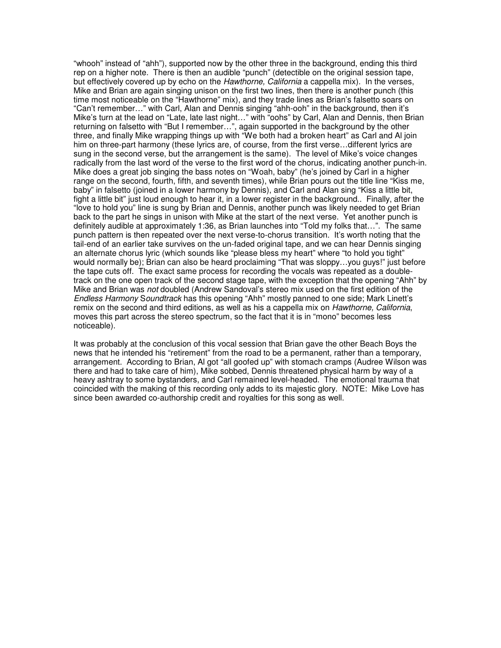"whooh" instead of "ahh"), supported now by the other three in the background, ending this third rep on a higher note. There is then an audible "punch" (detectible on the original session tape, but effectively covered up by echo on the Hawthorne, California a cappella mix). In the verses, Mike and Brian are again singing unison on the first two lines, then there is another punch (this time most noticeable on the "Hawthorne" mix), and they trade lines as Brian's falsetto soars on "Can't remember…" with Carl, Alan and Dennis singing "ahh-ooh" in the background, then it's Mike's turn at the lead on "Late, late last night…" with "oohs" by Carl, Alan and Dennis, then Brian returning on falsetto with "But I remember…", again supported in the background by the other three, and finally Mike wrapping things up with "We both had a broken heart" as Carl and Al join him on three-part harmony (these lyrics are, of course, from the first verse…different lyrics are sung in the second verse, but the arrangement is the same). The level of Mike's voice changes radically from the last word of the verse to the first word of the chorus, indicating another punch-in. Mike does a great job singing the bass notes on "Woah, baby" (he's joined by Carl in a higher range on the second, fourth, fifth, and seventh times), while Brian pours out the title line "Kiss me, baby" in falsetto (joined in a lower harmony by Dennis), and Carl and Alan sing "Kiss a little bit, fight a little bit" just loud enough to hear it, in a lower register in the background.. Finally, after the "love to hold you" line is sung by Brian and Dennis, another punch was likely needed to get Brian back to the part he sings in unison with Mike at the start of the next verse. Yet another punch is definitely audible at approximately 1:36, as Brian launches into "Told my folks that…". The same punch pattern is then repeated over the next verse-to-chorus transition. It's worth noting that the tail-end of an earlier take survives on the un-faded original tape, and we can hear Dennis singing an alternate chorus lyric (which sounds like "please bless my heart" where "to hold you tight" would normally be); Brian can also be heard proclaiming "That was sloppy…you guys!" just before the tape cuts off. The exact same process for recording the vocals was repeated as a doubletrack on the one open track of the second stage tape, with the exception that the opening "Ahh" by Mike and Brian was not doubled (Andrew Sandoval's stereo mix used on the first edition of the Endless Harmony Soundtrack has this opening "Ahh" mostly panned to one side; Mark Linett's remix on the second and third editions, as well as his a cappella mix on Hawthorne, California, moves this part across the stereo spectrum, so the fact that it is in "mono" becomes less noticeable).

It was probably at the conclusion of this vocal session that Brian gave the other Beach Boys the news that he intended his "retirement" from the road to be a permanent, rather than a temporary, arrangement. According to Brian, Al got "all goofed up" with stomach cramps (Audree Wilson was there and had to take care of him), Mike sobbed, Dennis threatened physical harm by way of a heavy ashtray to some bystanders, and Carl remained level-headed. The emotional trauma that coincided with the making of this recording only adds to its majestic glory. NOTE: Mike Love has since been awarded co-authorship credit and royalties for this song as well.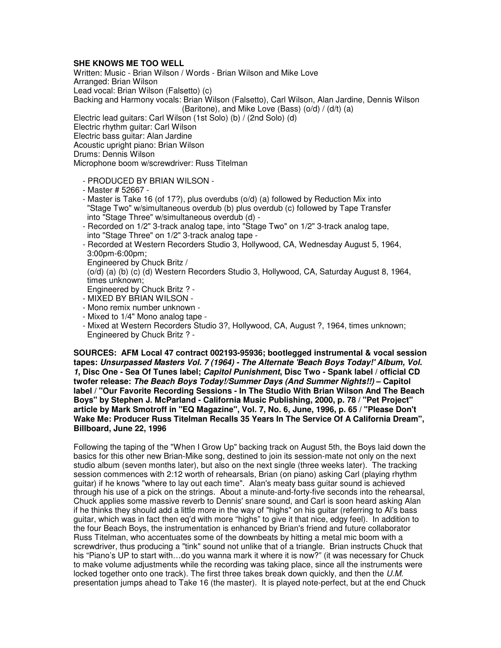# **SHE KNOWS ME TOO WELL**

Written: Music - Brian Wilson / Words - Brian Wilson and Mike Love Arranged: Brian Wilson Lead vocal: Brian Wilson (Falsetto) (c) Backing and Harmony vocals: Brian Wilson (Falsetto), Carl Wilson, Alan Jardine, Dennis Wilson (Baritone), and Mike Love (Bass) (o/d) / (d/t) (a) Electric lead guitars: Carl Wilson (1st Solo) (b) / (2nd Solo) (d) Electric rhythm guitar: Carl Wilson Electric bass guitar: Alan Jardine Acoustic upright piano: Brian Wilson Drums: Dennis Wilson

Microphone boom w/screwdriver: Russ Titelman

- PRODUCED BY BRIAN WILSON -
- Master # 52667 -
- Master is Take 16 (of 17?), plus overdubs (o/d) (a) followed by Reduction Mix into "Stage Two" w/simultaneous overdub (b) plus overdub (c) followed by Tape Transfer into "Stage Three" w/simultaneous overdub (d) -
- Recorded on 1/2" 3-track analog tape, into "Stage Two" on 1/2" 3-track analog tape, into "Stage Three" on 1/2" 3-track analog tape -
- Recorded at Western Recorders Studio 3, Hollywood, CA, Wednesday August 5, 1964, 3:00pm-6:00pm;

Engineered by Chuck Britz /

 (o/d) (a) (b) (c) (d) Western Recorders Studio 3, Hollywood, CA, Saturday August 8, 1964, times unknown;

- Engineered by Chuck Britz ? -
- MIXED BY BRIAN WILSON -
- Mono remix number unknown -
- Mixed to 1/4" Mono analog tape -
- Mixed at Western Recorders Studio 3?, Hollywood, CA, August ?, 1964, times unknown; Engineered by Chuck Britz ? -

**SOURCES: AFM Local 47 contract 002193-95936; bootlegged instrumental & vocal session tapes: Unsurpassed Masters Vol. 7 (1964) - The Alternate 'Beach Boys Today!' Album, Vol. 1, Disc One - Sea Of Tunes label; Capitol Punishment, Disc Two - Spank label / official CD twofer release: The Beach Boys Today!/Summer Days (And Summer Nights!!) – Capitol label / "Our Favorite Recording Sessions - In The Studio With Brian Wilson And The Beach Boys" by Stephen J. McParland - California Music Publishing, 2000, p. 78 / "Pet Project" article by Mark Smotroff in "EQ Magazine", Vol. 7, No. 6, June, 1996, p. 65 / "Please Don't Wake Me: Producer Russ Titelman Recalls 35 Years In The Service Of A California Dream", Billboard, June 22, 1996**

Following the taping of the "When I Grow Up" backing track on August 5th, the Boys laid down the basics for this other new Brian-Mike song, destined to join its session-mate not only on the next studio album (seven months later), but also on the next single (three weeks later). The tracking session commences with 2:12 worth of rehearsals, Brian (on piano) asking Carl (playing rhythm guitar) if he knows "where to lay out each time". Alan's meaty bass guitar sound is achieved through his use of a pick on the strings. About a minute-and-forty-five seconds into the rehearsal, Chuck applies some massive reverb to Dennis' snare sound, and Carl is soon heard asking Alan if he thinks they should add a little more in the way of "highs" on his guitar (referring to Al's bass guitar, which was in fact then eq'd with more "highs" to give it that nice, edgy feel). In addition to the four Beach Boys, the instrumentation is enhanced by Brian's friend and future collaborator Russ Titelman, who accentuates some of the downbeats by hitting a metal mic boom with a screwdriver, thus producing a "tink" sound not unlike that of a triangle. Brian instructs Chuck that his "Piano's UP to start with…do you wanna mark it where it is now?" (it was necessary for Chuck to make volume adjustments while the recording was taking place, since all the instruments were locked together onto one track). The first three takes break down quickly, and then the U.M. presentation jumps ahead to Take 16 (the master). It is played note-perfect, but at the end Chuck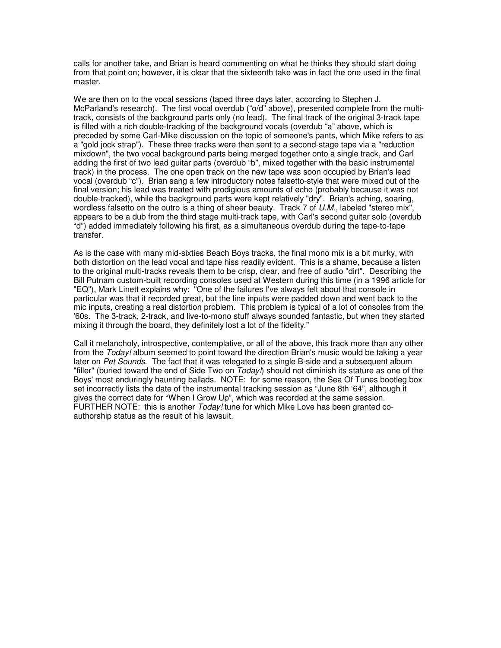calls for another take, and Brian is heard commenting on what he thinks they should start doing from that point on; however, it is clear that the sixteenth take was in fact the one used in the final master.

We are then on to the vocal sessions (taped three days later, according to Stephen J. McParland's research). The first vocal overdub ("o/d" above), presented complete from the multitrack, consists of the background parts only (no lead). The final track of the original 3-track tape is filled with a rich double-tracking of the background vocals (overdub "a" above, which is preceded by some Carl-Mike discussion on the topic of someone's pants, which Mike refers to as a "gold jock strap"). These three tracks were then sent to a second-stage tape via a "reduction mixdown", the two vocal background parts being merged together onto a single track, and Carl adding the first of two lead guitar parts (overdub "b", mixed together with the basic instrumental track) in the process. The one open track on the new tape was soon occupied by Brian's lead vocal (overdub "c"). Brian sang a few introductory notes falsetto-style that were mixed out of the final version; his lead was treated with prodigious amounts of echo (probably because it was not double-tracked), while the background parts were kept relatively "dry". Brian's aching, soaring, wordless falsetto on the outro is a thing of sheer beauty. Track 7 of U.M., labeled "stereo mix", appears to be a dub from the third stage multi-track tape, with Carl's second guitar solo (overdub "d") added immediately following his first, as a simultaneous overdub during the tape-to-tape transfer.

As is the case with many mid-sixties Beach Boys tracks, the final mono mix is a bit murky, with both distortion on the lead vocal and tape hiss readily evident. This is a shame, because a listen to the original multi-tracks reveals them to be crisp, clear, and free of audio "dirt". Describing the Bill Putnam custom-built recording consoles used at Western during this time (in a 1996 article for "EQ"), Mark Linett explains why: "One of the failures I've always felt about that console in particular was that it recorded great, but the line inputs were padded down and went back to the mic inputs, creating a real distortion problem. This problem is typical of a lot of consoles from the '60s. The 3-track, 2-track, and live-to-mono stuff always sounded fantastic, but when they started mixing it through the board, they definitely lost a lot of the fidelity."

Call it melancholy, introspective, contemplative, or all of the above, this track more than any other from the Today! album seemed to point toward the direction Brian's music would be taking a year later on Pet Sounds. The fact that it was relegated to a single B-side and a subsequent album "filler" (buried toward the end of Side Two on  $Today$ ) should not diminish its stature as one of the Boys' most enduringly haunting ballads. NOTE: for some reason, the Sea Of Tunes bootleg box set incorrectly lists the date of the instrumental tracking session as "June 8th '64", although it gives the correct date for "When I Grow Up", which was recorded at the same session. FURTHER NOTE: this is another  $Today$  tune for which Mike Love has been granted coauthorship status as the result of his lawsuit.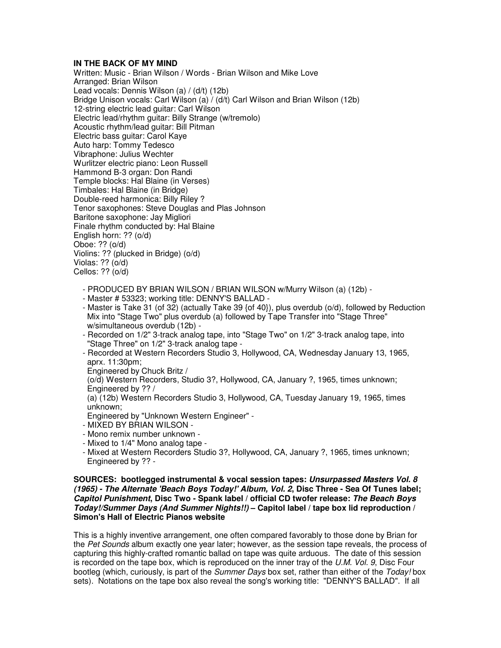## **IN THE BACK OF MY MIND**

Written: Music - Brian Wilson / Words - Brian Wilson and Mike Love Arranged: Brian Wilson Lead vocals: Dennis Wilson (a) / (d/t) (12b) Bridge Unison vocals: Carl Wilson (a) / (d/t) Carl Wilson and Brian Wilson (12b) 12-string electric lead guitar: Carl Wilson Electric lead/rhythm guitar: Billy Strange (w/tremolo) Acoustic rhythm/lead guitar: Bill Pitman Electric bass guitar: Carol Kaye Auto harp: Tommy Tedesco Vibraphone: Julius Wechter Wurlitzer electric piano: Leon Russell Hammond B-3 organ: Don Randi Temple blocks: Hal Blaine (in Verses) Timbales: Hal Blaine (in Bridge) Double-reed harmonica: Billy Riley ? Tenor saxophones: Steve Douglas and Plas Johnson Baritone saxophone: Jay Migliori Finale rhythm conducted by: Hal Blaine English horn: ?? (o/d) Oboe: ?? (o/d) Violins: ?? (plucked in Bridge) (o/d) Violas:  $??$  ( $O/d$ ) Cellos: ?? (o/d)

- PRODUCED BY BRIAN WILSON / BRIAN WILSON w/Murry Wilson (a) (12b) -
- Master # 53323; working title: DENNY'S BALLAD -
- Master is Take 31 (of 32) (actually Take 39 {of 40}), plus overdub (o/d), followed by Reduction Mix into "Stage Two" plus overdub (a) followed by Tape Transfer into "Stage Three" w/simultaneous overdub (12b) -
- Recorded on 1/2" 3-track analog tape, into "Stage Two" on 1/2" 3-track analog tape, into "Stage Three" on 1/2" 3-track analog tape -
- Recorded at Western Recorders Studio 3, Hollywood, CA, Wednesday January 13, 1965, aprx. 11:30pm;
- Engineered by Chuck Britz /

 (o/d) Western Recorders, Studio 3?, Hollywood, CA, January ?, 1965, times unknown; Engineered by ?? /

 (a) (12b) Western Recorders Studio 3, Hollywood, CA, Tuesday January 19, 1965, times unknown;

Engineered by "Unknown Western Engineer" -

- MIXED BY BRIAN WILSON -
- Mono remix number unknown -
- Mixed to 1/4" Mono analog tape -
- Mixed at Western Recorders Studio 3?, Hollywood, CA, January ?, 1965, times unknown; Engineered by ?? -

## **SOURCES: bootlegged instrumental & vocal session tapes: Unsurpassed Masters Vol. 8 (1965) - The Alternate 'Beach Boys Today!' Album, Vol. 2, Disc Three - Sea Of Tunes label; Capitol Punishment, Disc Two - Spank label / official CD twofer release: The Beach Boys Today!/Summer Days (And Summer Nights!!) – Capitol label / tape box lid reproduction / Simon's Hall of Electric Pianos website**

This is a highly inventive arrangement, one often compared favorably to those done by Brian for the Pet Sounds album exactly one year later; however, as the session tape reveals, the process of capturing this highly-crafted romantic ballad on tape was quite arduous. The date of this session is recorded on the tape box, which is reproduced on the inner tray of the  $U.M.$  Vol. 9, Disc Four bootleg (which, curiously, is part of the Summer Days box set, rather than either of the Today! box sets). Notations on the tape box also reveal the song's working title: "DENNY'S BALLAD". If all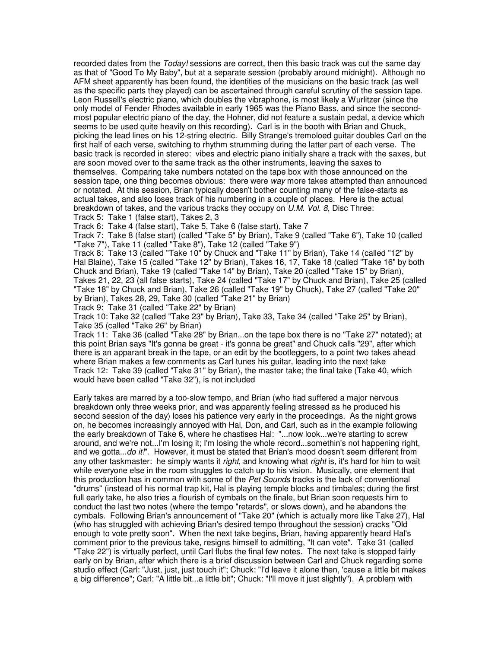recorded dates from the Today! sessions are correct, then this basic track was cut the same day as that of "Good To My Baby", but at a separate session (probably around midnight). Although no AFM sheet apparently has been found, the identities of the musicians on the basic track (as well as the specific parts they played) can be ascertained through careful scrutiny of the session tape. Leon Russell's electric piano, which doubles the vibraphone, is most likely a Wurlitzer (since the only model of Fender Rhodes available in early 1965 was the Piano Bass, and since the secondmost popular electric piano of the day, the Hohner, did not feature a sustain pedal, a device which seems to be used quite heavily on this recording). Carl is in the booth with Brian and Chuck, picking the lead lines on his 12-string electric. Billy Strange's tremoloed guitar doubles Carl on the first half of each verse, switching to rhythm strumming during the latter part of each verse. The basic track is recorded in stereo: vibes and electric piano initially share a track with the saxes, but are soon moved over to the same track as the other instruments, leaving the saxes to themselves. Comparing take numbers notated on the tape box with those announced on the session tape, one thing becomes obvious: there were way more takes attempted than announced or notated. At this session, Brian typically doesn't bother counting many of the false-starts as actual takes, and also loses track of his numbering in a couple of places. Here is the actual breakdown of takes, and the various tracks they occupy on U.M. Vol. 8, Disc Three:

Track 5: Take 1 (false start), Takes 2, 3 Track 6: Take 4 (false start), Take 5, Take 6 (false start), Take 7

Track 7: Take 8 (false start) (called "Take 5" by Brian), Take 9 (called "Take 6"), Take 10 (called

"Take 7"), Take 11 (called "Take 8"), Take 12 (called "Take 9")

Track 8: Take 13 (called "Take 10" by Chuck and "Take 11" by Brian), Take 14 (called "12" by Hal Blaine), Take 15 (called "Take 12" by Brian), Takes 16, 17, Take 18 (called "Take 16" by both Chuck and Brian), Take 19 (called "Take 14" by Brian), Take 20 (called "Take 15" by Brian), Takes 21, 22, 23 (all false starts), Take 24 (called "Take 17" by Chuck and Brian), Take 25 (called "Take 18" by Chuck and Brian), Take 26 (called "Take 19" by Chuck), Take 27 (called "Take 20" by Brian), Takes 28, 29, Take 30 (called "Take 21" by Brian)

Track 9: Take 31 (called "Take 22" by Brian)

Track 10: Take 32 (called "Take 23" by Brian), Take 33, Take 34 (called "Take 25" by Brian), Take 35 (called "Take 26" by Brian)

Track 11: Take 36 (called "Take 28" by Brian...on the tape box there is no "Take 27" notated); at this point Brian says "It's gonna be great - it's gonna be great" and Chuck calls "29", after which there is an apparant break in the tape, or an edit by the bootleggers, to a point two takes ahead where Brian makes a few comments as Carl tunes his guitar, leading into the next take Track 12: Take 39 (called "Take 31" by Brian), the master take; the final take (Take 40, which would have been called "Take 32"), is not included

Early takes are marred by a too-slow tempo, and Brian (who had suffered a major nervous breakdown only three weeks prior, and was apparently feeling stressed as he produced his second session of the day) loses his patience very early in the proceedings. As the night grows on, he becomes increasingly annoyed with Hal, Don, and Carl, such as in the example following the early breakdown of Take 6, where he chastises Hal: "...now look...we're starting to screw around, and we're not...I'm losing it; I'm losing the whole record...somethin's not happening right, and we gotta...do it!". However, it must be stated that Brian's mood doesn't seem different from any other taskmaster: he simply wants it *right*, and knowing what *right* is, it's hard for him to wait while everyone else in the room struggles to catch up to his vision. Musically, one element that this production has in common with some of the *Pet Sounds* tracks is the lack of conventional "drums" (instead of his normal trap kit, Hal is playing temple blocks and timbales; during the first full early take, he also tries a flourish of cymbals on the finale, but Brian soon requests him to conduct the last two notes (where the tempo "retards", or slows down), and he abandons the cymbals. Following Brian's announcement of "Take 20" (which is actually more like Take 27), Hal (who has struggled with achieving Brian's desired tempo throughout the session) cracks "Old enough to vote pretty soon". When the next take begins, Brian, having apparently heard Hal's comment prior to the previous take, resigns himself to admitting, "It can vote". Take 31 (called "Take 22") is virtually perfect, until Carl flubs the final few notes. The next take is stopped fairly early on by Brian, after which there is a brief discussion between Carl and Chuck regarding some studio effect (Carl: "Just, just, just touch it"; Chuck: "I'd leave it alone then, 'cause a little bit makes a big difference"; Carl: "A little bit...a little bit"; Chuck: "I'll move it just slightly"). A problem with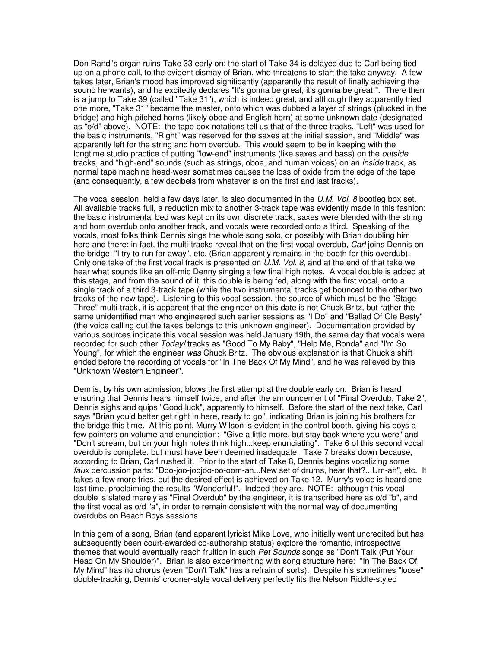Don Randi's organ ruins Take 33 early on; the start of Take 34 is delayed due to Carl being tied up on a phone call, to the evident dismay of Brian, who threatens to start the take anyway. A few takes later, Brian's mood has improved significantly (apparently the result of finally achieving the sound he wants), and he excitedly declares "It's gonna be great, it's gonna be great!". There then is a jump to Take 39 (called "Take 31"), which is indeed great, and although they apparently tried one more, "Take 31" became the master, onto which was dubbed a layer of strings (plucked in the bridge) and high-pitched horns (likely oboe and English horn) at some unknown date (designated as "o/d" above). NOTE: the tape box notations tell us that of the three tracks, "Left" was used for the basic instruments, "Right" was reserved for the saxes at the initial session, and "Middle" was apparently left for the string and horn overdub. This would seem to be in keeping with the longtime studio practice of putting "low-end" instruments (like saxes and bass) on the *outside* tracks, and "high-end" sounds (such as strings, oboe, and human voices) on an *inside* track, as normal tape machine head-wear sometimes causes the loss of oxide from the edge of the tape (and consequently, a few decibels from whatever is on the first and last tracks).

The vocal session, held a few days later, is also documented in the U.M. Vol. 8 bootleg box set. All available tracks full, a reduction mix to another 3-track tape was evidently made in this fashion: the basic instrumental bed was kept on its own discrete track, saxes were blended with the string and horn overdub onto another track, and vocals were recorded onto a third. Speaking of the vocals, most folks think Dennis sings the whole song solo, or possibly with Brian doubling him here and there; in fact, the multi-tracks reveal that on the first vocal overdub, Carl joins Dennis on the bridge: "I try to run far away", etc. (Brian apparently remains in the booth for this overdub). Only one take of the first vocal track is presented on U.M. Vol. 8, and at the end of that take we hear what sounds like an off-mic Denny singing a few final high notes. A vocal double is added at this stage, and from the sound of it, this double is being fed, along with the first vocal, onto a single track of a third 3-track tape (while the two instrumental tracks get bounced to the other two tracks of the new tape). Listening to this vocal session, the source of which must be the "Stage Three" multi-track, it is apparent that the engineer on this date is not Chuck Britz, but rather the same unidentified man who engineered such earlier sessions as "I Do" and "Ballad Of Ole Besty" (the voice calling out the takes belongs to this unknown engineer). Documentation provided by various sources indicate this vocal session was held January 19th, the same day that vocals were recorded for such other Today! tracks as "Good To My Baby", "Help Me, Ronda" and "I'm So Young", for which the engineer was Chuck Britz. The obvious explanation is that Chuck's shift ended before the recording of vocals for "In The Back Of My Mind", and he was relieved by this "Unknown Western Engineer".

Dennis, by his own admission, blows the first attempt at the double early on. Brian is heard ensuring that Dennis hears himself twice, and after the announcement of "Final Overdub, Take 2", Dennis sighs and quips "Good luck", apparently to himself. Before the start of the next take, Carl says "Brian you'd better get right in here, ready to go", indicating Brian is joining his brothers for the bridge this time. At this point, Murry Wilson is evident in the control booth, giving his boys a few pointers on volume and enunciation: "Give a little more, but stay back where you were" and "Don't scream, but on your high notes think high...keep enunciating". Take 6 of this second vocal overdub is complete, but must have been deemed inadequate. Take 7 breaks down because, according to Brian, Carl rushed it. Prior to the start of Take 8, Dennis begins vocalizing some faux percussion parts: "Doo-joo-joojoo-oo-oom-ah...New set of drums, hear that?...Um-ah", etc. It takes a few more tries, but the desired effect is achieved on Take 12. Murry's voice is heard one last time, proclaiming the results "Wonderful!". Indeed they are. NOTE: although this vocal double is slated merely as "Final Overdub" by the engineer, it is transcribed here as o/d "b", and the first vocal as o/d "a", in order to remain consistent with the normal way of documenting overdubs on Beach Boys sessions.

In this gem of a song, Brian (and apparent lyricist Mike Love, who initially went uncredited but has subsequently been court-awarded co-authorship status) explore the romantic, introspective themes that would eventually reach fruition in such Pet Sounds songs as "Don't Talk (Put Your Head On My Shoulder)". Brian is also experimenting with song structure here: "In The Back Of My Mind" has no chorus (even "Don't Talk" has a refrain of sorts). Despite his sometimes "loose" double-tracking, Dennis' crooner-style vocal delivery perfectly fits the Nelson Riddle-styled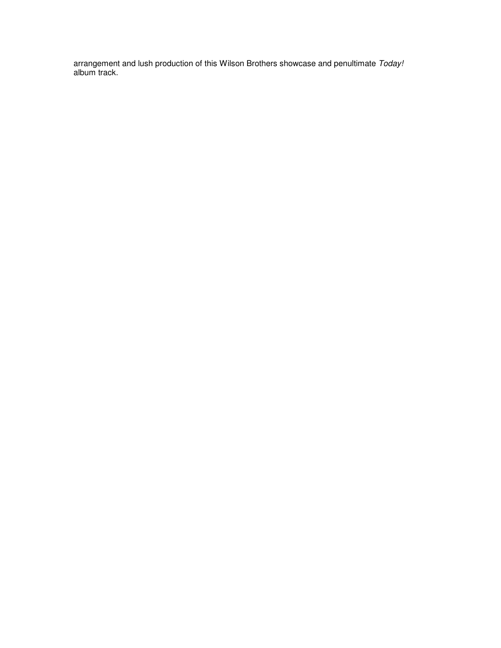arrangement and lush production of this Wilson Brothers showcase and penultimate Today! album track.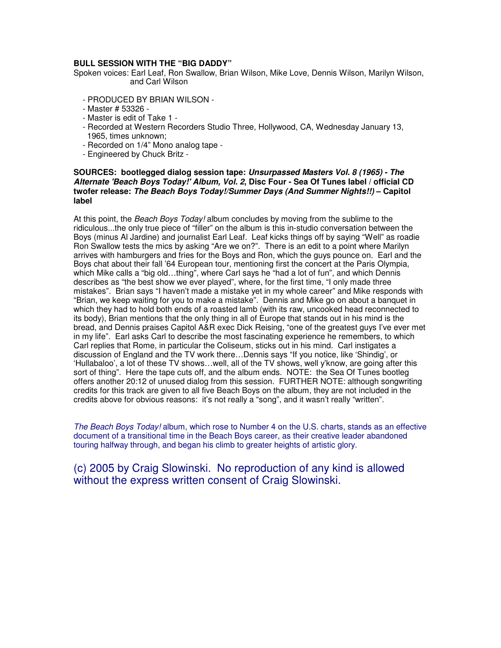## **BULL SESSION WITH THE "BIG DADDY"**

Spoken voices: Earl Leaf, Ron Swallow, Brian Wilson, Mike Love, Dennis Wilson, Marilyn Wilson, and Carl Wilson

- PRODUCED BY BRIAN WILSON -
- Master # 53326 -
- Master is edit of Take 1 -
- Recorded at Western Recorders Studio Three, Hollywood, CA, Wednesday January 13, 1965, times unknown;
- Recorded on 1/4" Mono analog tape -
- Engineered by Chuck Britz -

#### **SOURCES: bootlegged dialog session tape: Unsurpassed Masters Vol. 8 (1965) - The Alternate 'Beach Boys Today!' Album, Vol. 2, Disc Four - Sea Of Tunes label / official CD twofer release: The Beach Boys Today!/Summer Days (And Summer Nights!!) – Capitol label**

At this point, the Beach Boys Today! album concludes by moving from the sublime to the ridiculous...the only true piece of "filler" on the album is this in-studio conversation between the Boys (minus Al Jardine) and journalist Earl Leaf. Leaf kicks things off by saying "Well" as roadie Ron Swallow tests the mics by asking "Are we on?". There is an edit to a point where Marilyn arrives with hamburgers and fries for the Boys and Ron, which the guys pounce on. Earl and the Boys chat about their fall '64 European tour, mentioning first the concert at the Paris Olympia, which Mike calls a "big old…thing", where Carl says he "had a lot of fun", and which Dennis describes as "the best show we ever played", where, for the first time, "I only made three mistakes". Brian says "I haven't made a mistake yet in my whole career" and Mike responds with "Brian, we keep waiting for you to make a mistake". Dennis and Mike go on about a banquet in which they had to hold both ends of a roasted lamb (with its raw, uncooked head reconnected to its body), Brian mentions that the only thing in all of Europe that stands out in his mind is the bread, and Dennis praises Capitol A&R exec Dick Reising, "one of the greatest guys I've ever met in my life". Earl asks Carl to describe the most fascinating experience he remembers, to which Carl replies that Rome, in particular the Coliseum, sticks out in his mind. Carl instigates a discussion of England and the TV work there…Dennis says "If you notice, like 'Shindig', or 'Hullabaloo', a lot of these TV shows…well, all of the TV shows, well y'know, are going after this sort of thing". Here the tape cuts off, and the album ends. NOTE: the Sea Of Tunes bootleg offers another 20:12 of unused dialog from this session. FURTHER NOTE: although songwriting credits for this track are given to all five Beach Boys on the album, they are not included in the credits above for obvious reasons: it's not really a "song", and it wasn't really "written".

The Beach Boys Today! album, which rose to Number 4 on the U.S. charts, stands as an effective document of a transitional time in the Beach Boys career, as their creative leader abandoned touring halfway through, and began his climb to greater heights of artistic glory.

(c) 2005 by Craig Slowinski. No reproduction of any kind is allowed without the express written consent of Craig Slowinski.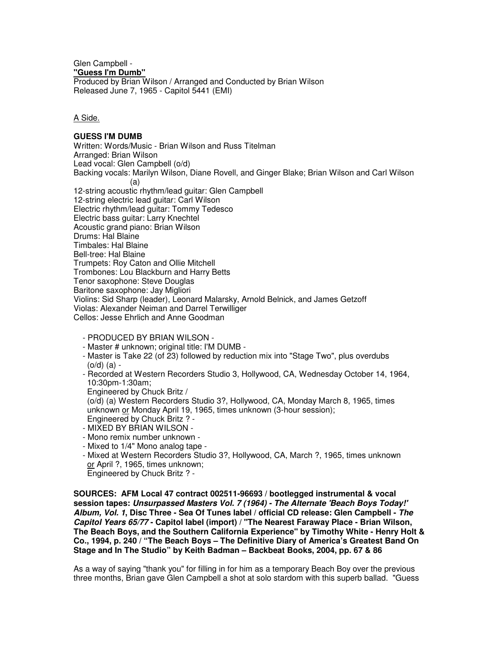Glen Campbell - **"Guess I'm Dumb"**

Produced by Brian Wilson / Arranged and Conducted by Brian Wilson Released June 7, 1965 - Capitol 5441 (EMI)

A Side.

## **GUESS I'M DUMB**

Written: Words/Music - Brian Wilson and Russ Titelman Arranged: Brian Wilson Lead vocal: Glen Campbell (o/d) Backing vocals: Marilyn Wilson, Diane Rovell, and Ginger Blake; Brian Wilson and Carl Wilson (a) 12-string acoustic rhythm/lead guitar: Glen Campbell 12-string electric lead guitar: Carl Wilson Electric rhythm/lead guitar: Tommy Tedesco Electric bass guitar: Larry Knechtel Acoustic grand piano: Brian Wilson Drums: Hal Blaine Timbales: Hal Blaine Bell-tree: Hal Blaine Trumpets: Roy Caton and Ollie Mitchell Trombones: Lou Blackburn and Harry Betts Tenor saxophone: Steve Douglas Baritone saxophone: Jay Migliori Violins: Sid Sharp (leader), Leonard Malarsky, Arnold Belnick, and James Getzoff Violas: Alexander Neiman and Darrel Terwilliger Cellos: Jesse Ehrlich and Anne Goodman

- PRODUCED BY BRIAN WILSON -

- Master # unknown; original title: I'M DUMB -
- Master is Take 22 (of 23) followed by reduction mix into "Stage Two", plus overdubs (o/d) (a) -
- Recorded at Western Recorders Studio 3, Hollywood, CA, Wednesday October 14, 1964, 10:30pm-1:30am;

Engineered by Chuck Britz /

- (o/d) (a) Western Recorders Studio 3?, Hollywood, CA, Monday March 8, 1965, times unknown or Monday April 19, 1965, times unknown (3-hour session);
- Engineered by Chuck Britz ? - MIXED BY BRIAN WILSON -
- Mono remix number unknown -
- Mixed to 1/4" Mono analog tape -
- Mixed at Western Recorders Studio 3?, Hollywood, CA, March ?, 1965, times unknown or April ?, 1965, times unknown;

Engineered by Chuck Britz ? -

**SOURCES: AFM Local 47 contract 002511-96693 / bootlegged instrumental & vocal session tapes: Unsurpassed Masters Vol. 7 (1964) - The Alternate 'Beach Boys Today!' Album, Vol. 1, Disc Three - Sea Of Tunes label / official CD release: Glen Campbell - The Capitol Years 65/77 - Capitol label (import) / "The Nearest Faraway Place - Brian Wilson, The Beach Boys, and the Southern California Experience" by Timothy White - Henry Holt & Co., 1994, p. 240 / "The Beach Boys – The Definitive Diary of America's Greatest Band On Stage and In The Studio" by Keith Badman – Backbeat Books, 2004, pp. 67 & 86** 

As a way of saying "thank you" for filling in for him as a temporary Beach Boy over the previous three months, Brian gave Glen Campbell a shot at solo stardom with this superb ballad. "Guess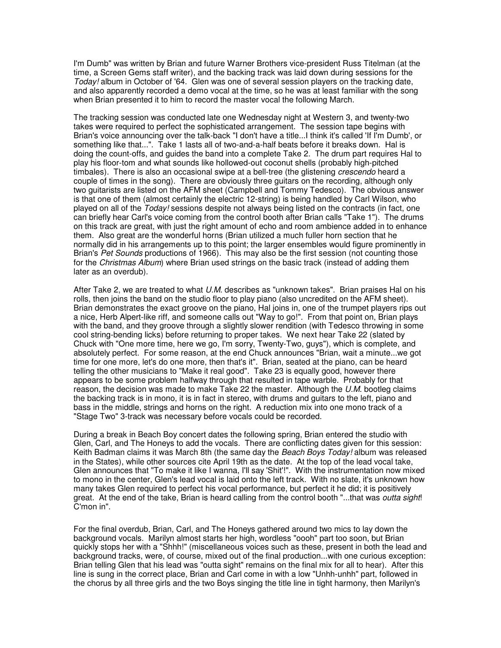I'm Dumb" was written by Brian and future Warner Brothers vice-president Russ Titelman (at the time, a Screen Gems staff writer), and the backing track was laid down during sessions for the Today! album in October of '64. Glen was one of several session players on the tracking date, and also apparently recorded a demo vocal at the time, so he was at least familiar with the song when Brian presented it to him to record the master vocal the following March.

The tracking session was conducted late one Wednesday night at Western 3, and twenty-two takes were required to perfect the sophisticated arrangement. The session tape begins with Brian's voice announcing over the talk-back "I don't have a title...I think it's called 'If I'm Dumb', or something like that...". Take 1 lasts all of two-and-a-half beats before it breaks down. Hal is doing the count-offs, and guides the band into a complete Take 2. The drum part requires Hal to play his floor-tom and what sounds like hollowed-out coconut shells (probably high-pitched timbales). There is also an occasional swipe at a bell-tree (the glistening *crescendo* heard a couple of times in the song). There are obviously three guitars on the recording, although only two guitarists are listed on the AFM sheet (Campbell and Tommy Tedesco). The obvious answer is that one of them (almost certainly the electric 12-string) is being handled by Carl Wilson, who played on all of the Today! sessions despite not always being listed on the contracts (in fact, one can briefly hear Carl's voice coming from the control booth after Brian calls "Take 1"). The drums on this track are great, with just the right amount of echo and room ambience added in to enhance them. Also great are the wonderful horns (Brian utilized a much fuller horn section that he normally did in his arrangements up to this point; the larger ensembles would figure prominently in Brian's Pet Sounds productions of 1966). This may also be the first session (not counting those for the Christmas Album) where Brian used strings on the basic track (instead of adding them later as an overdub).

After Take 2, we are treated to what  $U.M.$  describes as "unknown takes". Brian praises Hal on his rolls, then joins the band on the studio floor to play piano (also uncredited on the AFM sheet). Brian demonstrates the exact groove on the piano, Hal joins in, one of the trumpet players rips out a nice, Herb Alpert-like riff, and someone calls out "Way to go!". From that point on, Brian plays with the band, and they groove through a slightly slower rendition (with Tedesco throwing in some cool string-bending licks) before returning to proper takes. We next hear Take 22 (slated by Chuck with "One more time, here we go, I'm sorry, Twenty-Two, guys"), which is complete, and absolutely perfect. For some reason, at the end Chuck announces "Brian, wait a minute...we got time for one more, let's do one more, then that's it". Brian, seated at the piano, can be heard telling the other musicians to "Make it real good". Take 23 is equally good, however there appears to be some problem halfway through that resulted in tape warble. Probably for that reason, the decision was made to make Take 22 the master. Although the  $U.M.$  bootleg claims the backing track is in mono, it is in fact in stereo, with drums and guitars to the left, piano and bass in the middle, strings and horns on the right. A reduction mix into one mono track of a "Stage Two" 3-track was necessary before vocals could be recorded.

During a break in Beach Boy concert dates the following spring, Brian entered the studio with Glen, Carl, and The Honeys to add the vocals. There are conflicting dates given for this session: Keith Badman claims it was March 8th (the same day the Beach Boys Today! album was released in the States), while other sources cite April 19th as the date. At the top of the lead vocal take, Glen announces that "To make it like I wanna, I'll say 'Shit'!". With the instrumentation now mixed to mono in the center, Glen's lead vocal is laid onto the left track. With no slate, it's unknown how many takes Glen required to perfect his vocal performance, but perfect it he did; it is positively great. At the end of the take, Brian is heard calling from the control booth "...that was *outta sight!* C'mon in".

For the final overdub, Brian, Carl, and The Honeys gathered around two mics to lay down the background vocals. Marilyn almost starts her high, wordless "oooh" part too soon, but Brian quickly stops her with a "Shhh!" (miscellaneous voices such as these, present in both the lead and background tracks, were, of course, mixed out of the final production...with one curious exception: Brian telling Glen that his lead was "outta sight" remains on the final mix for all to hear). After this line is sung in the correct place, Brian and Carl come in with a low "Unhh-unhh" part, followed in the chorus by all three girls and the two Boys singing the title line in tight harmony, then Marilyn's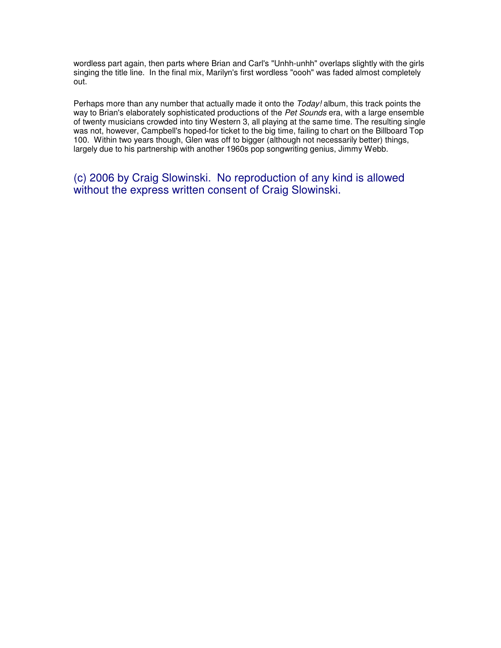wordless part again, then parts where Brian and Carl's "Unhh-unhh" overlaps slightly with the girls singing the title line. In the final mix, Marilyn's first wordless "oooh" was faded almost completely out.

Perhaps more than any number that actually made it onto the Today! album, this track points the way to Brian's elaborately sophisticated productions of the Pet Sounds era, with a large ensemble of twenty musicians crowded into tiny Western 3, all playing at the same time. The resulting single was not, however, Campbell's hoped-for ticket to the big time, failing to chart on the Billboard Top 100. Within two years though, Glen was off to bigger (although not necessarily better) things, largely due to his partnership with another 1960s pop songwriting genius, Jimmy Webb.

(c) 2006 by Craig Slowinski. No reproduction of any kind is allowed without the express written consent of Craig Slowinski.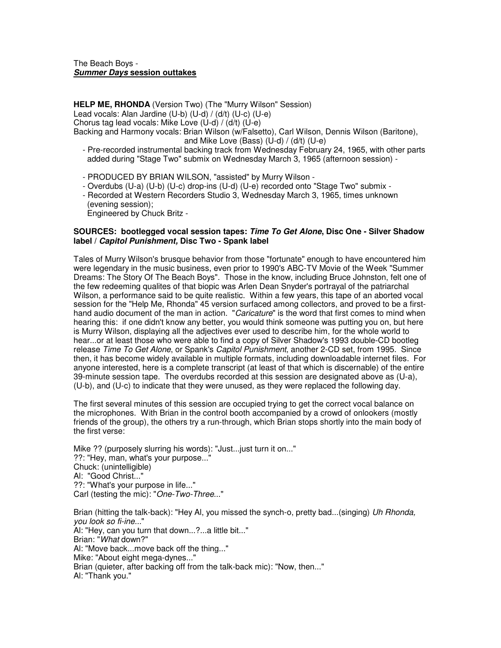#### The Beach Boys - **Summer Days session outtakes**

**HELP ME, RHONDA** (Version Two) (The "Murry Wilson" Session) Lead vocals: Alan Jardine (U-b) (U-d) / (d/t) (U-c) (U-e) Chorus tag lead vocals: Mike Love (U-d) / (d/t) (U-e) Backing and Harmony vocals: Brian Wilson (w/Falsetto), Carl Wilson, Dennis Wilson (Baritone), and Mike Love (Bass) (U-d) / (d/t) (U-e)

- Pre-recorded instrumental backing track from Wednesday February 24, 1965, with other parts added during "Stage Two" submix on Wednesday March 3, 1965 (afternoon session) -
- PRODUCED BY BRIAN WILSON, "assisted" by Murry Wilson -
- Overdubs (U-a) (U-b) (U-c) drop-ins (U-d) (U-e) recorded onto "Stage Two" submix -
- Recorded at Western Recorders Studio 3, Wednesday March 3, 1965, times unknown (evening session);

Engineered by Chuck Britz -

## **SOURCES: bootlegged vocal session tapes: Time To Get Alone, Disc One - Silver Shadow label / Capitol Punishment, Disc Two - Spank label**

Tales of Murry Wilson's brusque behavior from those "fortunate" enough to have encountered him were legendary in the music business, even prior to 1990's ABC-TV Movie of the Week "Summer Dreams: The Story Of The Beach Boys". Those in the know, including Bruce Johnston, felt one of the few redeeming qualites of that biopic was Arlen Dean Snyder's portrayal of the patriarchal Wilson, a performance said to be quite realistic. Within a few years, this tape of an aborted vocal session for the "Help Me, Rhonda" 45 version surfaced among collectors, and proved to be a firsthand audio document of the man in action. "Caricature" is the word that first comes to mind when hearing this: if one didn't know any better, you would think someone was putting you on, but here is Murry Wilson, displaying all the adjectives ever used to describe him, for the whole world to hear...or at least those who were able to find a copy of Silver Shadow's 1993 double-CD bootleg release Time To Get Alone, or Spank's Capitol Punishment, another 2-CD set, from 1995. Since then, it has become widely available in multiple formats, including downloadable internet files. For anyone interested, here is a complete transcript (at least of that which is discernable) of the entire 39-minute session tape. The overdubs recorded at this session are designated above as (U-a), (U-b), and (U-c) to indicate that they were unused, as they were replaced the following day.

The first several minutes of this session are occupied trying to get the correct vocal balance on the microphones. With Brian in the control booth accompanied by a crowd of onlookers (mostly friends of the group), the others try a run-through, which Brian stops shortly into the main body of the first verse:

Mike ?? (purposely slurring his words): "Just...just turn it on..." ??: "Hey, man, what's your purpose..." Chuck: (unintelligible) Al: "Good Christ..." ??: "What's your purpose in life..." Carl (testing the mic): "One-Two-Three..."

Brian (hitting the talk-back): "Hey Al, you missed the synch-o, pretty bad...(singing) Uh Rhonda, you look so fi-ine..." Al: "Hey, can you turn that down...?...a little bit..." Brian: "What down?" Al: "Move back...move back off the thing..." Mike: "About eight mega-dynes..." Brian (quieter, after backing off from the talk-back mic): "Now, then..." Al: "Thank you."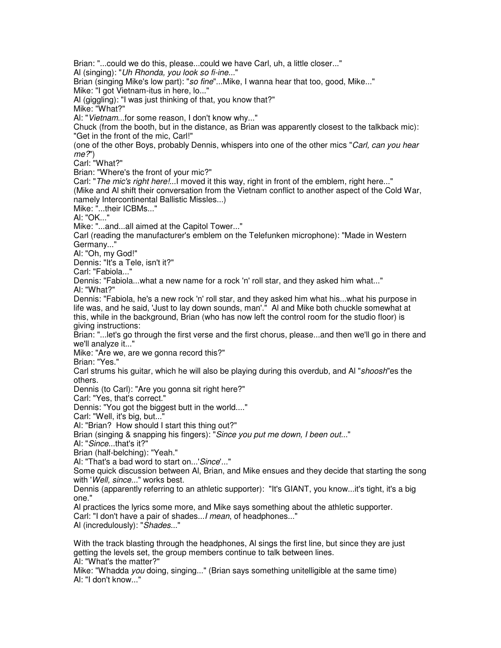Brian: "...could we do this, please...could we have Carl, uh, a little closer..." Al (singing): "Uh Rhonda, you look so fi-ine..." Brian (singing Mike's low part): "so fine"...Mike, I wanna hear that too, good, Mike..." Mike: "I got Vietnam-itus in here, lo..." Al (giggling): "I was just thinking of that, you know that?" Mike: "What?" Al: "Vietnam...for some reason, I don't know why..." Chuck (from the booth, but in the distance, as Brian was apparently closest to the talkback mic): "Get in the front of the mic, Carl!" (one of the other Boys, probably Dennis, whispers into one of the other mics "Carl, can you hear me?") Carl: "What?" Brian: "Where's the front of your mic?" Carl: "The mic's right here!... I moved it this way, right in front of the emblem, right here..." (Mike and Al shift their conversation from the Vietnam conflict to another aspect of the Cold War, namely Intercontinental Ballistic Missles...) Mike: "...their ICBMs..." Al: "OK..." Mike: "...and...all aimed at the Capitol Tower..." Carl (reading the manufacturer's emblem on the Telefunken microphone): "Made in Western Germany..." Al: "Oh, my God!" Dennis: "It's a Tele, isn't it?" Carl: "Fabiola..." Dennis: "Fabiola...what a new name for a rock 'n' roll star, and they asked him what..." Al: "What?" Dennis: "Fabiola, he's a new rock 'n' roll star, and they asked him what his...what his purpose in life was, and he said, 'Just to lay down sounds, man'." Al and Mike both chuckle somewhat at this, while in the background, Brian (who has now left the control room for the studio floor) is giving instructions: Brian: "...let's go through the first verse and the first chorus, please...and then we'll go in there and we'll analyze it..." Mike: "Are we, are we gonna record this?" Brian: "Yes." Carl strums his quitar, which he will also be playing during this overdub, and Al "*shoosh*"es the others. Dennis (to Carl): "Are you gonna sit right here?" Carl: "Yes, that's correct." Dennis: "You got the biggest butt in the world...." Carl: "Well, it's big, but..." Al: "Brian? How should I start this thing out?" Brian (singing & snapping his fingers): "Since you put me down, I been out..." Al: "Since...that's it?" Brian (half-belching): "Yeah." Al: "That's a bad word to start on...'Since'..." Some quick discussion between Al, Brian, and Mike ensues and they decide that starting the song with 'Well, since..." works best. Dennis (apparently referring to an athletic supporter): "It's GIANT, you know...it's tight, it's a big one." Al practices the lyrics some more, and Mike says something about the athletic supporter. Carl: "I don't have a pair of shades...I mean, of headphones..." Al (incredulously): "Shades..." With the track blasting through the headphones, Al sings the first line, but since they are just getting the levels set, the group members continue to talk between lines. Al: "What's the matter?" Mike: "Whadda you doing, singing..." (Brian says something unitelligible at the same time) Al: "I don't know..."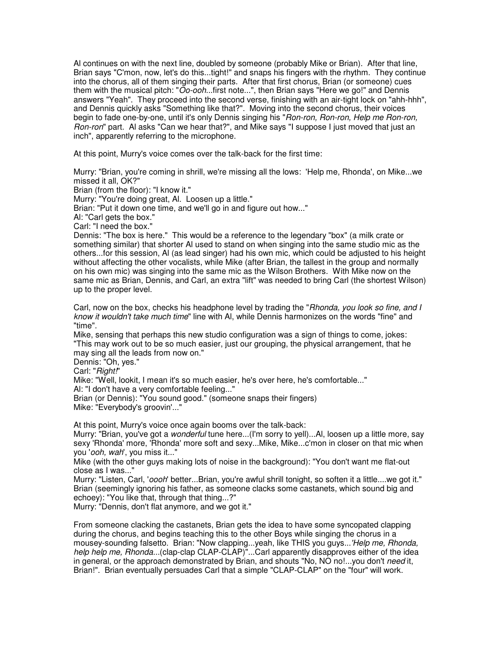Al continues on with the next line, doubled by someone (probably Mike or Brian). After that line, Brian says "C'mon, now, let's do this...tight!" and snaps his fingers with the rhythm. They continue into the chorus, all of them singing their parts. After that first chorus, Brian (or someone) cues them with the musical pitch: "Oo-ooh...first note...", then Brian says "Here we go!" and Dennis answers "Yeah". They proceed into the second verse, finishing with an air-tight lock on "ahh-hhh", and Dennis quickly asks "Something like that?". Moving into the second chorus, their voices begin to fade one-by-one, until it's only Dennis singing his "Ron-ron, Ron-ron, Help me Ron-ron, Ron-ron" part. Al asks "Can we hear that?", and Mike says "I suppose I just moved that just an inch", apparently referring to the microphone.

At this point, Murry's voice comes over the talk-back for the first time:

Murry: "Brian, you're coming in shrill, we're missing all the lows: 'Help me, Rhonda', on Mike...we missed it all, OK?"

Brian (from the floor): "I know it."

Murry: "You're doing great, Al. Loosen up a little."

Brian: "Put it down one time, and we'll go in and figure out how..."

Al: "Carl gets the box."

Carl: "I need the box."

Dennis: "The box is here." This would be a reference to the legendary "box" (a milk crate or something similar) that shorter Al used to stand on when singing into the same studio mic as the others...for this session, Al (as lead singer) had his own mic, which could be adjusted to his height without affecting the other vocalists, while Mike (after Brian, the tallest in the group and normally on his own mic) was singing into the same mic as the Wilson Brothers. With Mike now on the same mic as Brian, Dennis, and Carl, an extra "lift" was needed to bring Carl (the shortest Wilson) up to the proper level.

Carl, now on the box, checks his headphone level by trading the "Rhonda, you look so fine, and I know it wouldn't take much time" line with Al, while Dennis harmonizes on the words "fine" and "time".

Mike, sensing that perhaps this new studio configuration was a sign of things to come, jokes: "This may work out to be so much easier, just our grouping, the physical arrangement, that he may sing all the leads from now on."

Dennis: "Oh, yes."

Carl: "Right!"

Mike: "Well, lookit, I mean it's so much easier, he's over here, he's comfortable..."

Al: "I don't have a very comfortable feeling..."

Brian (or Dennis): "You sound good." (someone snaps their fingers) Mike: "Everybody's groovin'..."

At this point, Murry's voice once again booms over the talk-back:

Murry: "Brian, you've got a *wonderful* tune here...(I'm sorry to yell)...Al, loosen up a little more, say sexy 'Rhonda' more, 'Rhonda' more soft and sexy...Mike, Mike...c'mon in closer on that mic when you 'ooh, wah', you miss it..."

Mike (with the other guys making lots of noise in the background): "You don't want me flat-out close as I was..."

Murry: "Listen, Carl, 'oooh' better...Brian, you're awful shrill tonight, so soften it a little....we got it." Brian (seemingly ignoring his father, as someone clacks some castanets, which sound big and echoey): "You like that, through that thing...?"

Murry: "Dennis, don't flat anymore, and we got it."

From someone clacking the castanets, Brian gets the idea to have some syncopated clapping during the chorus, and begins teaching this to the other Boys while singing the chorus in a mousey-sounding falsetto. Brian: "Now clapping...yeah, like THIS you guys...'Help me, Rhonda, help help me, Rhonda...(clap-clap CLAP-CLAP)"...Carl apparently disapproves either of the idea in general, or the approach demonstrated by Brian, and shouts "No, NO no!...you don't need it, Brian!". Brian eventually persuades Carl that a simple "CLAP-CLAP" on the "four" will work.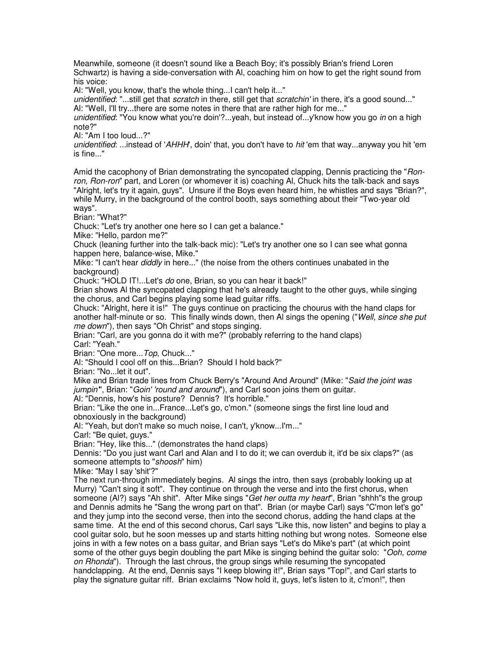Meanwhile, someone (it doesn't sound like a Beach Boy; it's possibly Brian's friend Loren Schwartz) is having a side-conversation with Al, coaching him on how to get the right sound from his voice:

Al: "Well, you know, that's the whole thing...I can't help it..."

unidentified: "...still get that scratch in there, still get that scratchin' in there, it's a good sound..." Al: "Well, I'll try...there are some notes in there that are rather high for me..."

unidentified: "You know what you're doin'?...yeah, but instead of...y'know how you go in on a high note?"

Al: "Am I too loud...?"

unidentified: ...instead of 'AHHH', doin' that, you don't have to hit 'em that way...anyway you hit 'em is fine..."

Amid the cacophony of Brian demonstrating the syncopated clapping, Dennis practicing the "Ronron, Ron-ron" part, and Loren (or whomever it is) coaching Al, Chuck hits the talk-back and says "Alright, let's try it again, guys". Unsure if the Boys even heard him, he whistles and says "Brian?", while Murry, in the background of the control booth, says something about their "Two-year old ways".

Brian: "What?"

Chuck: "Let's try another one here so I can get a balance."

Mike: "Hello, pardon me?"

Chuck (leaning further into the talk-back mic): "Let's try another one so I can see what gonna happen here, balance-wise, Mike."

Mike: "I can't hear *diddly* in here..." (the noise from the others continues unabated in the background)

Chuck: "HOLD IT!...Let's do one, Brian, so you can hear it back!"

Brian shows Al the syncopated clapping that he's already taught to the other guys, while singing the chorus, and Carl begins playing some lead guitar riffs.

Chuck: "Alright, here it is!" The guys continue on practicing the chourus with the hand claps for another half-minute or so. This finally winds down, then AI sings the opening ("Well, since she put me down"), then says "Oh Christ" and stops singing.

Brian: "Carl, are you gonna do it with me?" (probably referring to the hand claps) Carl: "Yeah."

Brian: "One more... Top, Chuck..."

Al: "Should I cool off on this...Brian? Should I hold back?"

Brian: "No...let it out".

Mike and Brian trade lines from Chuck Berry's "Around And Around" (Mike: "Said the joint was jumpin", Brian: "Goin' 'round and around''), and Carl soon joins them on guitar.

Al: "Dennis, how's his posture? Dennis? It's horrible."

Brian: "Like the one in...France...Let's go, c'mon." (someone sings the first line loud and obnoxiously in the background)

Al: "Yeah, but don't make so much noise, I can't, y'know...I'm..."

Carl: "Be quiet, guys."

Brian: "Hey, like this..." (demonstrates the hand claps)

Dennis: "Do you just want Carl and Alan and I to do it; we can overdub it, it'd be six claps?" (as someone attempts to "shoosh" him)

Mike: "May I say 'shit'?"

The next run-through immediately begins. Al sings the intro, then says (probably looking up at Murry) "Can't sing it soft". They continue on through the verse and into the first chorus, when someone (Al?) says "Ah shit". After Mike sings "Get her outta my heart", Brian "shhh"s the group and Dennis admits he "Sang the wrong part on that". Brian (or maybe Carl) says "C'mon let's go" and they jump into the second verse, then into the second chorus, adding the hand claps at the same time. At the end of this second chorus, Carl says "Like this, now listen" and begins to play a cool guitar solo, but he soon messes up and starts hitting nothing but wrong notes. Someone else joins in with a few notes on a bass guitar, and Brian says "Let's do Mike's part" (at which point some of the other guys begin doubling the part Mike is singing behind the guitar solo: "Ooh, come on Rhonda"). Through the last chrous, the group sings while resuming the syncopated handclapping. At the end, Dennis says "I keep blowing it!", Brian says "Top!", and Carl starts to play the signature guitar riff. Brian exclaims "Now hold it, guys, let's listen to it, c'mon!", then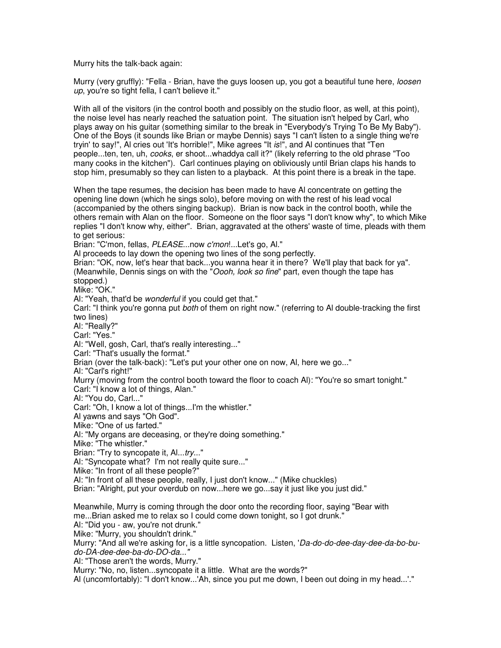Murry hits the talk-back again:

Murry (very gruffly): "Fella - Brian, have the guys loosen up, you got a beautiful tune here, loosen up, you're so tight fella, I can't believe it."

With all of the visitors (in the control booth and possibly on the studio floor, as well, at this point), the noise level has nearly reached the satuation point. The situation isn't helped by Carl, who plays away on his guitar (something similar to the break in "Everybody's Trying To Be My Baby"). One of the Boys (it sounds like Brian or maybe Dennis) says "I can't listen to a single thing we're tryin' to say!", AI cries out 'It's horrible!", Mike agrees "It is!", and AI continues that "Ten people...ten, ten, uh, cooks, er shoot...whaddya call it?" (likely referring to the old phrase "Too many cooks in the kitchen"). Carl continues playing on obliviously until Brian claps his hands to stop him, presumably so they can listen to a playback. At this point there is a break in the tape.

When the tape resumes, the decision has been made to have Al concentrate on getting the opening line down (which he sings solo), before moving on with the rest of his lead vocal (accompanied by the others singing backup). Brian is now back in the control booth, while the others remain with Alan on the floor. Someone on the floor says "I don't know why", to which Mike replies "I don't know why, either". Brian, aggravated at the others' waste of time, pleads with them to get serious:

Brian: "C'mon, fellas, PLEASE...now c'mon!...Let's go, Al." Al proceeds to lay down the opening two lines of the song perfectly. Brian: "OK, now, let's hear that back...you wanna hear it in there? We'll play that back for ya". (Meanwhile, Dennis sings on with the "Oooh, look so fine" part, even though the tape has stopped.) Mike: "OK." Al: "Yeah, that'd be wonderful if you could get that." Carl: "I think you're gonna put both of them on right now." (referring to Al double-tracking the first two lines) Al: "Really?" Carl: "Yes." Al: "Well, gosh, Carl, that's really interesting..." Carl: "That's usually the format." Brian (over the talk-back): "Let's put your other one on now, Al, here we go..." Al: "Carl's right!" Murry (moving from the control booth toward the floor to coach Al): "You're so smart tonight." Carl: "I know a lot of things, Alan." Al: "You do, Carl..." Carl: "Oh, I know a lot of things...I'm the whistler." Al yawns and says "Oh God". Mike: "One of us farted." Al: "My organs are deceasing, or they're doing something." Mike: "The whistler." Brian: "Try to syncopate it, Al...try..." Al: "Syncopate what? I'm not really quite sure..." Mike: "In front of all these people?" Al: "In front of all these people, really, I just don't know..." (Mike chuckles) Brian: "Alright, put your overdub on now...here we go...say it just like you just did."

Meanwhile, Murry is coming through the door onto the recording floor, saying "Bear with me...Brian asked me to relax so I could come down tonight, so I got drunk."

Al: "Did you - aw, you're not drunk."

Mike: "Murry, you shouldn't drink."

Murry: "And all we're asking for, is a little syncopation. Listen, 'Da-do-do-dee-day-dee-da-bo-budo-DA-dee-dee-ba-do-DO-da..."

Al: "Those aren't the words, Murry."

Murry: "No, no, listen...syncopate it a little. What are the words?"

Al (uncomfortably): "I don't know...'Ah, since you put me down, I been out doing in my head...'."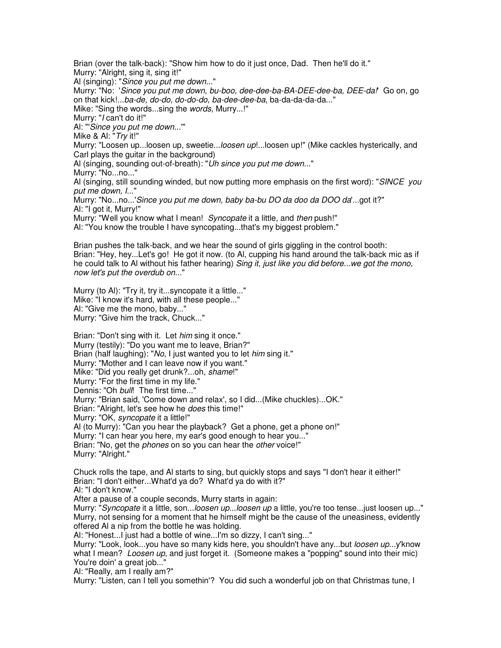Brian (over the talk-back): "Show him how to do it just once, Dad. Then he'll do it." Murry: "Alright, sing it, sing it!" Al (singing): "Since you put me down..." Murry: "No: 'Since you put me down, bu-boo, dee-dee-ba-BA-DEE-dee-ba, DEE-da!' Go on, go on that kick!...ba-de, do-do, do-do-do, ba-dee-dee-ba, ba-da-da-da-da..." Mike: "Sing the words...sing the words, Murry...!" Murry: "I can't do it!" Al: "'Since you put me down...'" Mike & Al: "Try it!" Murry: "Loosen up...loosen up, sweetie...*loosen up!...l*oosen up!" (Mike cackles hysterically, and Carl plays the guitar in the background) Al (singing, sounding out-of-breath): "Uh since you put me down..." Murry: "No...no..." Al (singing, still sounding winded, but now putting more emphasis on the first word): "SINCE you put me down, I..." Murry: "No...no...'Since you put me down, baby ba-bu DO da doo da DOO da'...got it?" Al: "I got it, Murry!" Murry: "Well you know what I mean! Syncopate it a little, and then push!" Al: "You know the trouble I have syncopating...that's my biggest problem." Brian pushes the talk-back, and we hear the sound of girls giggling in the control booth:

Brian: "Hey, hey...Let's go! He got it now. (to Al, cupping his hand around the talk-back mic as if he could talk to Al without his father hearing) Sing it, just like you did before...we got the mono, now let's put the overdub on..."

Murry (to Al): "Try it, try it...syncopate it a little..." Mike: "I know it's hard, with all these people..." Al: "Give me the mono, baby..." Murry: "Give him the track, Chuck..."

Brian: "Don't sing with it. Let him sing it once." Murry (testily): "Do you want me to leave, Brian?" Brian (half laughing): "No, I just wanted you to let him sing it." Murry: "Mother and I can leave now if you want." Mike: "Did you really get drunk?...oh, shame!" Murry: "For the first time in my life." Dennis: "Oh bull! The first time..." Murry: "Brian said, 'Come down and relax', so I did...(Mike chuckles)...OK." Brian: "Alright, let's see how he *does* this time!" Murry: "OK, syncopate it a little!" Al (to Murry): "Can you hear the playback? Get a phone, get a phone on!" Murry: "I can hear you here, my ear's good enough to hear you..." Brian: "No, get the *phones* on so you can hear the *other* voice!" Murry: "Alright."

Chuck rolls the tape, and Al starts to sing, but quickly stops and says "I don't hear it either!" Brian: "I don't either...What'd ya do? What'd ya do with it?" Al: "I don't know."

After a pause of a couple seconds, Murry starts in again:

Murry: "Syncopate it a little, son...loosen up...loosen up a little, you're too tense...just loosen up..." Murry, not sensing for a moment that he himself might be the cause of the uneasiness, evidently offered Al a nip from the bottle he was holding.

Al: "Honest...I just had a bottle of wine...I'm so dizzy, I can't sing..."

Murry: "Look, look...you have so many kids here, you shouldn't have any...but loosen up...y'know what I mean? Loosen up, and just forget it. (Someone makes a "popping" sound into their mic) You're doin' a great job..."

Al: "Really, am I really am?"

Murry: "Listen, can I tell you somethin'? You did such a wonderful job on that Christmas tune, I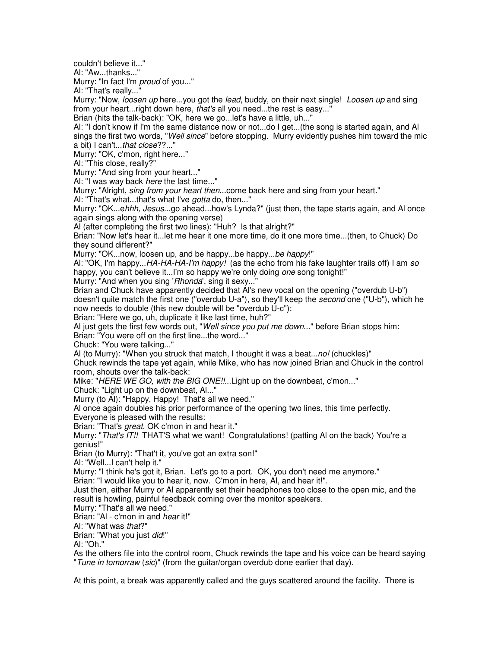couldn't believe it..."

Al: "Aw...thanks..."

Murry: "In fact I'm proud of you..."

Al: "That's really..."

Murry: "Now, loosen up here...you got the lead, buddy, on their next single! Loosen up and sing from your heart...right down here, that's all you need...the rest is easy..."

Brian (hits the talk-back): "OK, here we go...let's have a little, uh..."

Al: "I don't know if I'm the same distance now or not...do I get...(the song is started again, and Al sings the first two words, "*Well since*" before stopping. Murry evidently pushes him toward the mic a bit) I can't...that close??..."

Murry: "OK, c'mon, right here..."

Al: "This close, really?"

Murry: "And sing from your heart..."

AI: "I was way back *here* the last time..."

Murry: "Alright, *sing from your heart then...*come back here and sing from your heart."

Al: "That's what...that's what I've *gotta* do, then..."

Murry: "OK...ehhh, Jesus...go ahead...how's Lynda?" (just then, the tape starts again, and Al once again sings along with the opening verse)

Al (after completing the first two lines): "Huh? Is that alright?"

Brian: "Now let's hear it...let me hear it one more time, do it one more time...(then, to Chuck) Do they sound different?"

Murry: "OK...now, loosen up, and be happy...be happy...be happy!"

Al: "OK, I'm happy...HA-HA-HA-I'm happy! (as the echo from his fake laughter trails off) I am so happy, you can't believe it...I'm so happy we're only doing one song tonight!"

Murry: "And when you sing 'Rhonda', sing it sexy..."

Brian and Chuck have apparently decided that Al's new vocal on the opening ("overdub U-b") doesn't quite match the first one ("overdub U-a"), so they'll keep the *second* one ("U-b"), which he now needs to double (this new double will be "overdub U-c"):

Brian: "Here we go, uh, duplicate it like last time, huh?"

Al just gets the first few words out, "Well since you put me down..." before Brian stops him:

Brian: "You were off on the first line...the word..."

Chuck: "You were talking..."

Al (to Murry): "When you struck that match, I thought it was a beat...no! (chuckles)"

Chuck rewinds the tape yet again, while Mike, who has now joined Brian and Chuck in the control room, shouts over the talk-back:

Mike: "HERE WE GO, with the BIG ONE!!...Light up on the downbeat, c'mon..."

Chuck: "Light up on the downbeat, Al..."

Murry (to Al): "Happy, Happy! That's all we need."

Al once again doubles his prior performance of the opening two lines, this time perfectly. Everyone is pleased with the results:

Brian: "That's great, OK c'mon in and hear it."

Murry: "That's IT!! THAT'S what we want! Congratulations! (patting AI on the back) You're a genius!"

Brian (to Murry): "That't it, you've got an extra son!"

Al: "Well...I can't help it."

Murry: "I think he's got it, Brian. Let's go to a port. OK, you don't need me anymore."

Brian: "I would like you to hear it, now. C'mon in here, Al, and hear it!".

Just then, either Murry or Al apparently set their headphones too close to the open mic, and the result is howling, painful feedback coming over the monitor speakers.

Murry: "That's all we need."

Brian: "Al - c'mon in and hear it!"

Al: "What was that?"

Brian: "What you just did!"

Al: "Oh."

As the others file into the control room, Chuck rewinds the tape and his voice can be heard saying "Tune in tomorraw (sic)" (from the guitar/organ overdub done earlier that day).

At this point, a break was apparently called and the guys scattered around the facility. There is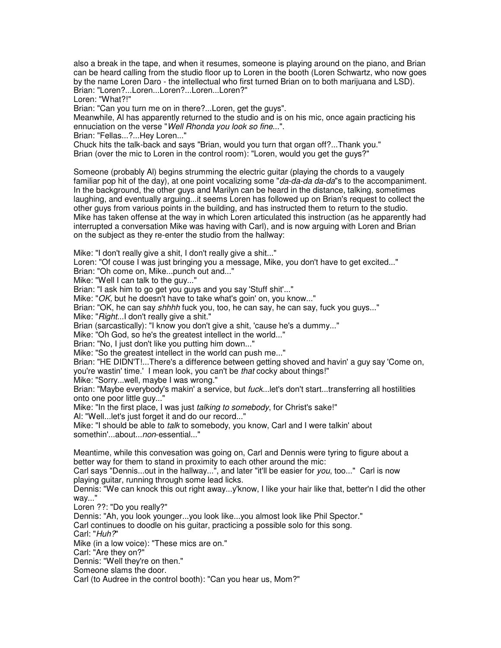also a break in the tape, and when it resumes, someone is playing around on the piano, and Brian can be heard calling from the studio floor up to Loren in the booth (Loren Schwartz, who now goes by the name Loren Daro - the intellectual who first turned Brian on to both marijuana and LSD). Brian: "Loren?...Loren...Loren?...Loren...Loren?"

Loren: "What?!"

Brian: "Can you turn me on in there?...Loren, get the guys".

Meanwhile, Al has apparently returned to the studio and is on his mic, once again practicing his ennuciation on the verse "Well Rhonda you look so fine...".

Brian: "Fellas...?...Hey Loren..."

Chuck hits the talk-back and says "Brian, would you turn that organ off?...Thank you." Brian (over the mic to Loren in the control room): "Loren, would you get the guys?"

Someone (probably Al) begins strumming the electric guitar (playing the chords to a vaugely familiar pop hit of the day), at one point vocalizing some "da-da-da da-da"s to the accompaniment. In the background, the other guys and Marilyn can be heard in the distance, talking, sometimes laughing, and eventually arguing...it seems Loren has followed up on Brian's request to collect the other guys from various points in the building, and has instructed them to return to the studio. Mike has taken offense at the way in which Loren articulated this instruction (as he apparently had interrupted a conversation Mike was having with Carl), and is now arguing with Loren and Brian on the subject as they re-enter the studio from the hallway:

Mike: "I don't really give a shit, I don't really give a shit..."

Loren: "Of couse I was just bringing you a message, Mike, you don't have to get excited..."

Brian: "Oh come on, Mike...punch out and..."

Mike: "Well I can talk to the guy..."

Brian: "I ask him to go get you guys and you say 'Stuff shit'..."

Mike: "OK, but he doesn't have to take what's goin' on, you know..."

Brian: "OK, he can say shhhh fuck you, too, he can say, he can say, fuck you guys..."

Mike: "Right...I don't really give a shit."

Brian (sarcastically): "I know you don't give a shit, 'cause he's a dummy..."

Mike: "Oh God, so he's the greatest intellect in the world..."

Brian: "No, I just don't like you putting him down..."

Mike: "So the greatest intellect in the world can push me..."

Brian: "HE DIDN'T!...There's a difference between getting shoved and havin' a guy say 'Come on, you're wastin' time.' I mean look, you can't be that cocky about things!"

Mike: "Sorry...well, maybe I was wrong."

Brian: "Maybe everybody's makin' a service, but fuck...let's don't start...transferring all hostilities onto one poor little guy...'

Mike: "In the first place, I was just talking to somebody, for Christ's sake!"

Al: "Well...let's just forget it and do our record..."

Mike: "I should be able to *talk* to somebody, you know, Carl and I were talkin' about somethin'...about...*non*-essential..."

Meantime, while this convesation was going on, Carl and Dennis were tyring to figure about a better way for them to stand in proximity to each other around the mic:

Carl says "Dennis...out in the hallway...", and later "it'll be easier for you, too..." Carl is now playing guitar, running through some lead licks.

Dennis: "We can knock this out right away...y'know, I like your hair like that, better'n I did the other way..."

Loren ??: "Do you really?"

Dennis: "Ah, you look younger...you look like...you almost look like Phil Spector." Carl continues to doodle on his guitar, practicing a possible solo for this song. Carl: "Huh?" Mike (in a low voice): "These mics are on." Carl: "Are they on?" Dennis: "Well they're on then." Someone slams the door. Carl (to Audree in the control booth): "Can you hear us, Mom?"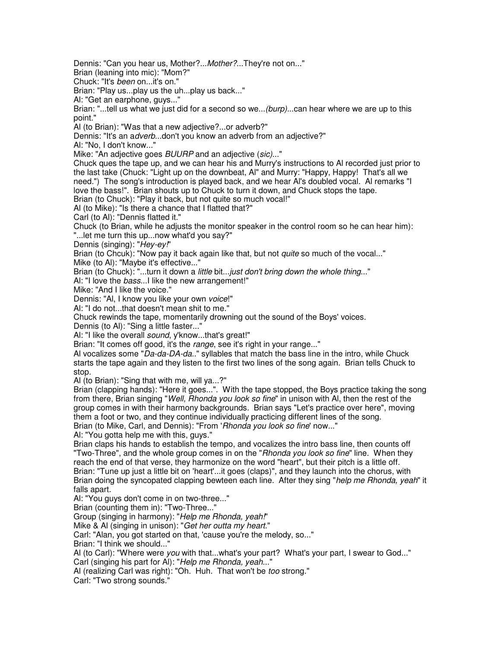Dennis: "Can you hear us, Mother?...Mother?...They're not on..."

Brian (leaning into mic): "Mom?"

Chuck: "It's been on...it's on."

Brian: "Play us...play us the uh...play us back..."

Al: "Get an earphone, guys..."

Brian: "...tell us what we just did for a second so we...(burp)...can hear where we are up to this point."

Al (to Brian): "Was that a new adjective?...or adverb?"

Dennis: "It's an adverb...don't you know an adverb from an adjective?"

Al: "No, I don't know..."

Mike: "An adjective goes BUURP and an adjective (sic)..."

Chuck ques the tape up, and we can hear his and Murry's instructions to Al recorded just prior to the last take (Chuck: "Light up on the downbeat, Al" and Murry: "Happy, Happy! That's all we need.") The song's introduction is played back, and we hear Al's doubled vocal. Al remarks "I love the bass!". Brian shouts up to Chuck to turn it down, and Chuck stops the tape. Brian (to Chuck): "Play it back, but not quite so much vocal!"

Al (to Mike): "Is there a chance that I flatted that?"

Carl (to Al): "Dennis flatted it."

Chuck (to Brian, while he adjusts the monitor speaker in the control room so he can hear him): "...let me turn this up...now what'd you say?"

Dennis (singing): "Hey-ey!"

Brian (to Chcuk): "Now pay it back again like that, but not *quite* so much of the vocal..."

Mike (to Al): "Maybe it's effective..."

Brian (to Chuck): "...turn it down a little bit...just don't bring down the whole thing..."

AI: "I love the bass...I like the new arrangement!"

Mike: "And I like the voice."

Dennis: "Al, I know you like your own voice!"

Al: "I do not...that doesn't mean shit to me."

Chuck rewinds the tape, momentarily drowning out the sound of the Boys' voices.

Dennis (to Al): "Sing a little faster..."

Al: "I like the overall sound, y'know...that's great!"

Brian: "It comes off good, it's the range, see it's right in your range..."

Al vocalizes some "Da-da-DA-da.." syllables that match the bass line in the intro, while Chuck starts the tape again and they listen to the first two lines of the song again. Brian tells Chuck to stop.

Al (to Brian): "Sing that with me, will ya...?"

Brian (clapping hands): "Here it goes...". With the tape stopped, the Boys practice taking the song from there, Brian singing "Well, Rhonda you look so fine" in unison with AI, then the rest of the group comes in with their harmony backgrounds. Brian says "Let's practice over here", moving them a foot or two, and they continue individually practicing different lines of the song. Brian (to Mike, Carl, and Dennis): "From 'Rhonda you look so fine' now..."

Al: "You gotta help me with this, guys."

Brian claps his hands to establish the tempo, and vocalizes the intro bass line, then counts off "Two-Three", and the whole group comes in on the "Rhonda you look so fine" line. When they reach the end of that verse, they harmonize on the word "heart", but their pitch is a little off. Brian: "Tune up just a little bit on 'heart'...it goes (claps)", and they launch into the chorus, with Brian doing the syncopated clapping bewteen each line. After they sing "help me Rhonda, yeah" it falls apart.

Al: "You guys don't come in on two-three..."

Brian (counting them in): "Two-Three..."

Group (singing in harmony): "Help me Rhonda, yeah!"

Mike & Al (singing in unison): "Get her outta my heart."

Carl: "Alan, you got started on that, 'cause you're the melody, so..."

Brian: "I think we should..."

Al (to Carl): "Where were you with that...what's your part? What's your part, I swear to God..."

Carl (singing his part for Al): "Help me Rhonda, yeah..."

Al (realizing Carl was right): "Oh. Huh. That won't be too strong."

Carl: "Two strong sounds."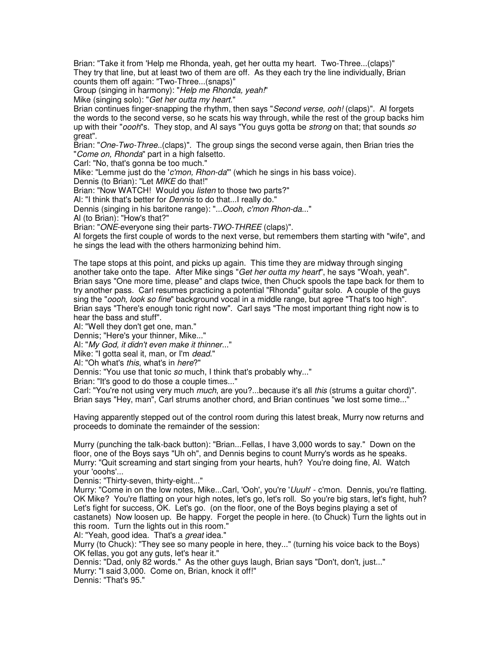Brian: "Take it from 'Help me Rhonda, yeah, get her outta my heart. Two-Three...(claps)" They try that line, but at least two of them are off. As they each try the line individually, Brian counts them off again: "Two-Three...(snaps)"

Group (singing in harmony): "Help me Rhonda, yeah!"

Mike (singing solo): "Get her outta my heart."

Brian continues finger-snapping the rhythm, then says "Second verse, ooh! (claps)". Al forgets the words to the second verse, so he scats his way through, while the rest of the group backs him up with their "*oooh*"s. They stop, and AI says "You guys gotta be *strong* on that; that sounds so great".

Brian: "One-Two-Three..(claps)". The group sings the second verse again, then Brian tries the "Come on, Rhonda" part in a high falsetto.

Carl: "No, that's gonna be too much."

Mike: "Lemme just do the 'c'mon, Rhon-da"' (which he sings in his bass voice).

Dennis (to Brian): "Let MIKE do that!"

Brian: "Now WATCH! Would you *listen* to those two parts?"

Al: "I think that's better for *Dennis* to do that...I really do."

Dennis (singing in his baritone range): "...Oooh, c'mon Rhon-da..."

Al (to Brian): "How's that?"

Brian: "ONE-everyone sing their parts-TWO-THREE (claps)".

Al forgets the first couple of words to the next verse, but remembers them starting with "wife", and he sings the lead with the others harmonizing behind him.

The tape stops at this point, and picks up again. This time they are midway through singing another take onto the tape. After Mike sings "Get her outta my heart", he says "Woah, yeah". Brian says "One more time, please" and claps twice, then Chuck spools the tape back for them to try another pass. Carl resumes practicing a potential "Rhonda" guitar solo. A couple of the guys sing the "oooh, look so fine" background vocal in a middle range, but agree "That's too high". Brian says "There's enough tonic right now". Carl says "The most important thing right now is to hear the bass and stuff".

Al: "Well they don't get one, man."

Dennis; "Here's your thinner, Mike..."

Al: "My God, it didn't even make it thinner..."

Mike: "I gotta seal it, man, or I'm dead."

AI: "Oh what's *this*, what's in *here*?"

Dennis: "You use that tonic so much, I think that's probably why..."

Brian: "It's good to do those a couple times..."

Carl: "You're not using very much *much*, are you?...because it's all this (strums a guitar chord)". Brian says "Hey, man", Carl strums another chord, and Brian continues "we lost some time..."

Having apparently stepped out of the control room during this latest break, Murry now returns and proceeds to dominate the remainder of the session:

Murry (punching the talk-back button): "Brian...Fellas, I have 3,000 words to say." Down on the floor, one of the Boys says "Uh oh", and Dennis begins to count Murry's words as he speaks. Murry: "Quit screaming and start singing from your hearts, huh? You're doing fine, Al. Watch your 'ooohs'...

Dennis: "Thirty-seven, thirty-eight..."

Murry: "Come in on the low notes, Mike...Carl, 'Ooh', you're 'Uuuh' - c'mon. Dennis, you're flatting. OK Mike? You're flatting on your high notes, let's go, let's roll. So you're big stars, let's fight, huh? Let's fight for success, OK. Let's go. (on the floor, one of the Boys begins playing a set of castanets) Now loosen up. Be happy. Forget the people in here. (to Chuck) Turn the lights out in this room. Turn the lights out in this room."

Al: "Yeah, good idea. That's a great idea."

Murry (to Chuck): "They see so many people in here, they..." (turning his voice back to the Boys) OK fellas, you got any guts, let's hear it."

Dennis: "Dad, only 82 words." As the other guys laugh, Brian says "Don't, don't, just..." Murry: "I said 3,000. Come on, Brian, knock it off!" Dennis: "That's 95."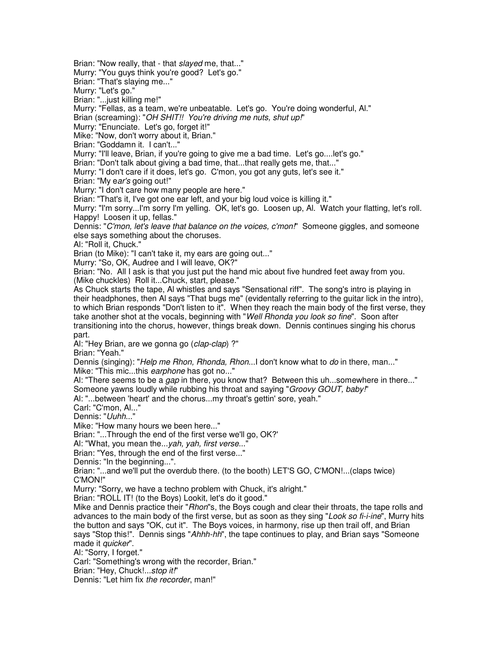Brian: "Now really, that - that slayed me, that..."

Murry: "You guys think you're good? Let's go."

Brian: "That's slaying me..."

Murry: "Let's go."

Brian: "...just killing me!"

Murry: "Fellas, as a team, we're unbeatable. Let's go. You're doing wonderful, Al."

Brian (screaming): "OH SHIT!! You're driving me nuts, shut up!"

Murry: "Enunciate. Let's go, forget it!"

Mike: "Now, don't worry about it, Brian."

Brian: "Goddamn it. I can't..."

Murry: "I'll leave, Brian, if you're going to give me a bad time. Let's go....let's go."

Brian: "Don't talk about giving a bad time, that...that really gets me, that..."

Murry: "I don't care if it does, let's go. C'mon, you got any guts, let's see it."

Brian: "My ear's going out!"

Murry: "I don't care how many people are here."

Brian: "That's it, I've got one ear left, and your big loud voice is killing it."

Murry: "I'm sorry...I'm sorry I'm yelling. OK, let's go. Loosen up, Al. Watch your flatting, let's roll. Happy! Loosen it up, fellas."

Dennis: "C'mon, let's leave that balance on the voices, c'mon!" Someone giggles, and someone else says something about the choruses.

Al: "Roll it, Chuck."

Brian (to Mike): "I can't take it, my ears are going out..."

Murry: "So, OK, Audree and I will leave, OK?"

Brian: "No. All I ask is that you just put the hand mic about five hundred feet away from you. (Mike chuckles) Roll it...Chuck, start, please."

As Chuck starts the tape, Al whistles and says "Sensational riff". The song's intro is playing in their headphones, then Al says "That bugs me" (evidentally referring to the guitar lick in the intro), to which Brian responds "Don't listen to it". When they reach the main body of the first verse, they take another shot at the vocals, beginning with "Well Rhonda you look so fine". Soon after transitioning into the chorus, however, things break down. Dennis continues singing his chorus part.

Al: "Hey Brian, are we gonna go (clap-clap) ?"

Brian: "Yeah."

Dennis (singing): "Help me Rhon, Rhonda, Rhon...I don't know what to do in there, man..." Mike: "This mic...this earphone has got no..."

Al: "There seems to be a *gap* in there, you know that? Between this uh...somewhere in there..." Someone yawns loudly while rubbing his throat and saying "Groovy GOUT, baby!"

Al: "...between 'heart' and the chorus...my throat's gettin' sore, yeah."

Carl: "C'mon, Al..."

Dennis: "Uuhh..."

Mike: "How many hours we been here..."

Brian: "...Through the end of the first verse we'll go, OK?'

Al: "What, you mean the...yah, yah, first verse..."

Brian: "Yes, through the end of the first verse..."

Dennis: "In the beginning...".

Brian: "...and we'll put the overdub there. (to the booth) LET'S GO, C'MON!...(claps twice) C'MON!"

Murry: "Sorry, we have a techno problem with Chuck, it's alright."

Brian: "ROLL IT! (to the Boys) Lookit, let's do it good."

Mike and Dennis practice their "*Rhon*"s, the Boys cough and clear their throats, the tape rolls and advances to the main body of the first verse, but as soon as they sing "Look so fi-i-ine", Murry hits the button and says "OK, cut it". The Boys voices, in harmony, rise up then trail off, and Brian says "Stop this!". Dennis sings "Ahhh-hh", the tape continues to play, and Brian says "Someone made it quicker".

Al: "Sorry, I forget."

Carl: "Something's wrong with the recorder, Brian."

Brian: "Hey, Chuck!...stop it!"

Dennis: "Let him fix the recorder, man!"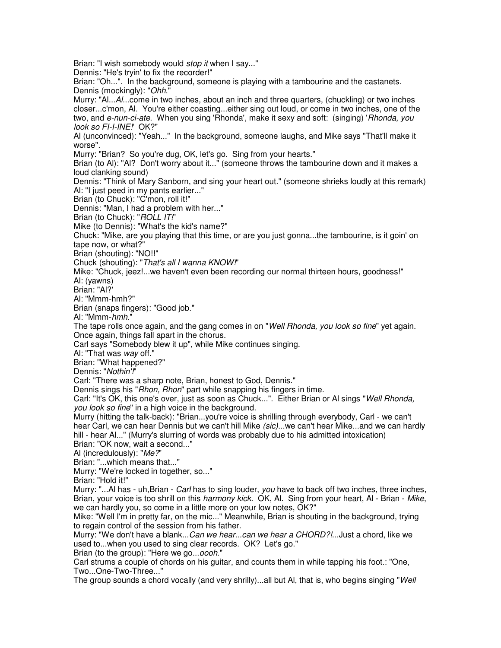Brian: "I wish somebody would stop it when I say..." Dennis: "He's tryin' to fix the recorder!" Brian: "Oh...". In the background, someone is playing with a tambourine and the castanets. Dennis (mockingly): "Ohh." Murry: "Al...Al...come in two inches, about an inch and three quarters, (chuckling) or two inches closer...c'mon, Al. You're either coasting...either sing out loud, or come in two inches, one of the two, and e-nun-ci-ate. When you sing 'Rhonda', make it sexy and soft: (singing) 'Rhonda, you look so FI-I-INE! OK?" Al (unconvinced): "Yeah..." In the background, someone laughs, and Mike says "That'll make it worse". Murry: "Brian? So you're dug, OK, let's go. Sing from your hearts." Brian (to Al): "Al? Don't worry about it..." (someone throws the tambourine down and it makes a loud clanking sound) Dennis: "Think of Mary Sanborn, and sing your heart out." (someone shrieks loudly at this remark) Al: "I just peed in my pants earlier..." Brian (to Chuck): "C'mon, roll it!" Dennis: "Man, I had a problem with her..." Brian (to Chuck): "ROLL IT!" Mike (to Dennis): "What's the kid's name?" Chuck: "Mike, are you playing that this time, or are you just gonna...the tambourine, is it goin' on tape now, or what?" Brian (shouting): "NO!!" Chuck (shouting): "That's all I wanna KNOW!" Mike: "Chuck, jeez!...we haven't even been recording our normal thirteen hours, goodness!" Al: (yawns) Brian: "Al?' Al: "Mmm-hmh?" Brian (snaps fingers): "Good job." Al: "Mmm-hmh." The tape rolls once again, and the gang comes in on "Well Rhonda, you look so fine" yet again. Once again, things fall apart in the chorus. Carl says "Somebody blew it up", while Mike continues singing. Al: "That was way off." Brian: "What happened?" Dennis: "Nothin'!" Carl: "There was a sharp note, Brian, honest to God, Dennis." Dennis sings his "Rhon, Rhon" part while snapping his fingers in time. Carl: "It's OK, this one's over, just as soon as Chuck...". Either Brian or Al sings "Well Rhonda, you look so fine" in a high voice in the background. Murry (hitting the talk-back): "Brian...you're voice is shrilling through everybody, Carl - we can't hear Carl, we can hear Dennis but we can't hill Mike (sic)...we can't hear Mike...and we can hardly hill - hear Al..." (Murry's slurring of words was probably due to his admitted intoxication) Brian: "OK now, wait a second..." Al (incredulously): "Me?" Brian: "...which means that..." Murry: "We're locked in together, so..." Brian: "Hold it!" Murry: "...Al has - uh, Brian - *Carl* has to sing louder, you have to back off two inches, three inches, Brian, your voice is too shrill on this harmony kick. OK, Al. Sing from your heart, Al - Brian - Mike, we can hardly you, so come in a little more on your low notes, OK?" Mike: "Well I'm in pretty far, on the mic..." Meanwhile, Brian is shouting in the background, trying to regain control of the session from his father. Murry: "We don't have a blank...Can we hear...can we hear a CHORD?!...Just a chord, like we used to...when you used to sing clear records. OK? Let's go." Brian (to the group): "Here we go...oooh." Carl strums a couple of chords on his guitar, and counts them in while tapping his foot.: "One, Two...One-Two-Three..." The group sounds a chord vocally (and very shrilly)...all but AI, that is, who begins singing "Well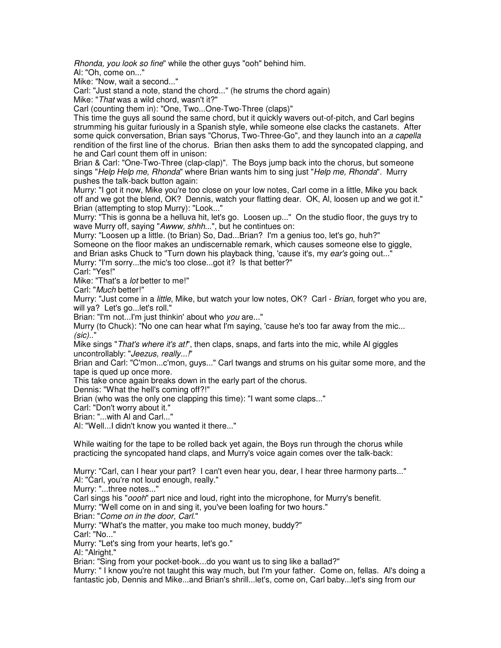Rhonda, you look so fine" while the other guys "ooh" behind him.

Al: "Oh, come on..."

Mike: "Now, wait a second..."

Carl: "Just stand a note, stand the chord..." (he strums the chord again)

Mike: "That was a wild chord, wasn't it?"

Carl (counting them in): "One, Two...One-Two-Three (claps)"

This time the guys all sound the same chord, but it quickly wavers out-of-pitch, and Carl begins strumming his guitar furiously in a Spanish style, while someone else clacks the castanets. After some quick conversation, Brian says "Chorus, Two-Three-Go", and they launch into an a capella rendition of the first line of the chorus. Brian then asks them to add the syncopated clapping, and he and Carl count them off in unison:

Brian & Carl: "One-Two-Three (clap-clap)". The Boys jump back into the chorus, but someone sings "Help Help me, Rhonda" where Brian wants him to sing just "Help me, Rhonda". Murry pushes the talk-back button again:

Murry: "I got it now, Mike you're too close on your low notes, Carl come in a little, Mike you back off and we got the blend, OK? Dennis, watch your flatting dear. OK, Al, loosen up and we got it." Brian (attempting to stop Murry): "Look..."

Murry: "This is gonna be a helluva hit, let's go. Loosen up..." On the studio floor, the guys try to wave Murry off, saying "Awww, shhh...", but he contintues on:

Murry: "Loosen up a little. (to Brian) So, Dad...Brian? I'm a genius too, let's go, huh?" Someone on the floor makes an undiscernable remark, which causes someone else to giggle,

and Brian asks Chuck to "Turn down his playback thing, 'cause it's, my ear's going out..."

Murry: "I'm sorry...the mic's too close...got it? Is that better?"

Carl: "Yes!"

Mike: "That's a lot better to me!"

Carl: "Much better!"

Murry: "Just come in a *little*, Mike, but watch your low notes, OK? Carl - Brian, forget who you are, will ya? Let's go...let's roll."

Brian: "I'm not...I'm just thinkin' about who you are..."

Murry (to Chuck): "No one can hear what I'm saying, 'cause he's too far away from the mic... (sic).."

Mike sings "That's where it's at!", then claps, snaps, and farts into the mic, while AI giggles uncontrollably: "Jeezus, really...!"

Brian and Carl: "C'mon...c'mon, guys..." Carl twangs and strums on his guitar some more, and the tape is qued up once more.

This take once again breaks down in the early part of the chorus.

Dennis: "What the hell's coming off?!"

Brian (who was the only one clapping this time): "I want some claps..."

Carl: "Don't worry about it."

Brian: "...with Al and Carl..."

Al: "Well...I didn't know you wanted it there..."

While waiting for the tape to be rolled back yet again, the Boys run through the chorus while practicing the syncopated hand claps, and Murry's voice again comes over the talk-back:

Murry: "Carl, can I hear your part? I can't even hear you, dear, I hear three harmony parts..." Al: "Carl, you're not loud enough, really."

Murry: "...three notes..."

Carl sings his "oooh" part nice and loud, right into the microphone, for Murry's benefit.

Murry: "Well come on in and sing it, you've been loafing for two hours."

Brian: "Come on in the door, Carl."

Murry: "What's the matter, you make too much money, buddy?"

Carl: "No..."

Murry: "Let's sing from your hearts, let's go."

Al: "Alright."

Brian: "Sing from your pocket-book...do you want us to sing like a ballad?"

Murry: " I know you're not taught this way much, but I'm your father. Come on, fellas. Al's doing a fantastic job, Dennis and Mike...and Brian's shrill...let's, come on, Carl baby...let's sing from our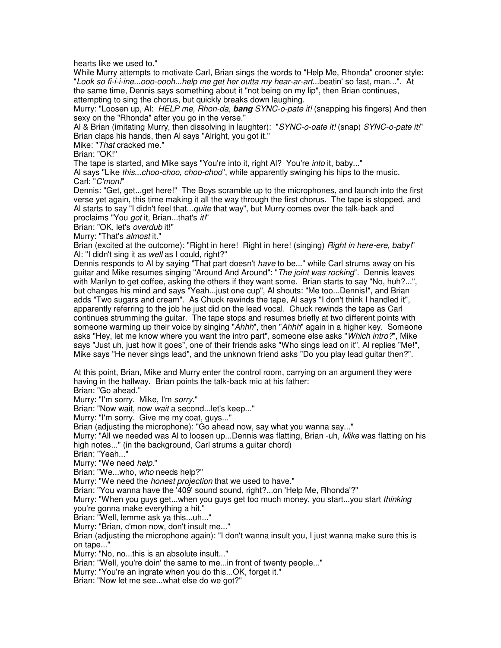hearts like we used to."

While Murry attempts to motivate Carl, Brian sings the words to "Help Me, Rhonda" crooner style: "Look so fi-i-i-ine...ooo-oooh...help me get her outta my hear-ar-art...beatin' so fast, man...". At the same time, Dennis says something about it "not being on my lip", then Brian continues, attempting to sing the chorus, but quickly breaks down laughing.

Murry: "Loosen up, Al: HELP me, Rhon-da, **bang** SYNC-o-pate it! (snapping his fingers) And then sexy on the "Rhonda" after you go in the verse."

Al & Brian (imitating Murry, then dissolving in laughter): "SYNC-o-oate it! (snap) SYNC-o-pate it!" Brian claps his hands, then Al says "Alright, you got it."

Mike: "That cracked me."

Brian: "OK!"

The tape is started, and Mike says "You're into it, right Al? You're *into* it, baby..."

Al says "Like *this...choo-choo, choo-choo*", while apparently swinging his hips to the music. Carl: "C'mon!"

Dennis: "Get, get...get here!" The Boys scramble up to the microphones, and launch into the first verse yet again, this time making it all the way through the first chorus. The tape is stopped, and Al starts to say "I didn't feel that...*quite* that way", but Murry comes over the talk-back and proclaims "You *got* it, Brian...that's *it!*"

Brian: "OK, let's overdub it!"

Murry: "That's almost it."

Brian (excited at the outcome): "Right in here! Right in here! (singing) Right in here-ere, baby!" Al: "I didn't sing it as *well* as I could, right?"

Dennis responds to Al by saying "That part doesn't have to be..." while Carl strums away on his guitar and Mike resumes singing "Around And Around": "The joint was rocking". Dennis leaves with Marilyn to get coffee, asking the others if they want some. Brian starts to say "No, huh?...", but changes his mind and says "Yeah...just one cup", Al shouts: "Me too...Dennis!", and Brian adds "Two sugars and cream". As Chuck rewinds the tape, Al says "I don't think I handled it", apparently referring to the job he just did on the lead vocal. Chuck rewinds the tape as Carl continues strumming the guitar. The tape stops and resumes briefly at two different points with someone warming up their voice by singing "Ahhh", then "Ahhh" again in a higher key. Someone asks "Hey, let me know where you want the intro part", someone else asks "Which intro?", Mike says "Just uh, just how it goes", one of their friends asks "Who sings lead on it", Al replies "Me!", Mike says "He never sings lead", and the unknown friend asks "Do you play lead guitar then?".

At this point, Brian, Mike and Murry enter the control room, carrying on an argument they were having in the hallway. Brian points the talk-back mic at his father:

Brian: "Go ahead."

Murry: "I'm sorry. Mike, I'm sorry."

Brian: "Now wait, now wait a second...let's keep..."

Murry: "I'm sorry. Give me my coat, guys..."

Brian (adjusting the microphone): "Go ahead now, say what you wanna say..."

Murry: "All we needed was AI to loosen up...Dennis was flatting, Brian -uh, Mike was flatting on his high notes..." (in the background, Carl strums a guitar chord)

Brian: "Yeah..."

Murry: "We need help."

Brian: "We...who, who needs help?"

Murry: "We need the *honest projection* that we used to have."

Brian: "You wanna have the '409' sound sound, right?...on 'Help Me, Rhonda'?"

Murry: "When you guys get...when you guys get too much money, you start...you start thinking you're gonna make everything a hit."

Brian: "Well, lemme ask ya this...uh..."

Murry: "Brian, c'mon now, don't insult me..."

Brian (adjusting the microphone again): "I don't wanna insult you, I just wanna make sure this is on tape..."

Murry: "No, no...this is an absolute insult..."

Brian: "Well, you're doin' the same to me...in front of twenty people..."

Murry: "You're an ingrate when you do this...OK, forget it."

Brian: "Now let me see...what else do we got?"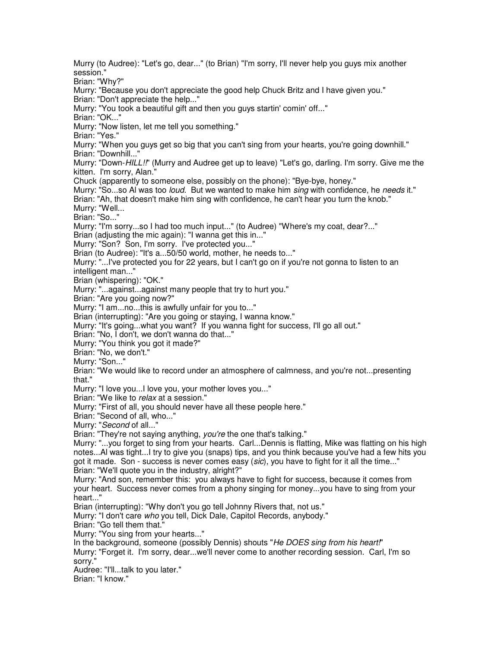Murry (to Audree): "Let's go, dear..." (to Brian) "I'm sorry, I'll never help you guys mix another session." Brian: "Why?" Murry: "Because you don't appreciate the good help Chuck Britz and I have given you." Brian: "Don't appreciate the help..." Murry: "You took a beautiful gift and then you guys startin' comin' off..." Brian: "OK..." Murry: "Now listen, let me tell you something." Brian: "Yes." Murry: "When you guys get so big that you can't sing from your hearts, you're going downhill." Brian: "Downhill..." Murry: "Down-HILL!!" (Murry and Audree get up to leave) "Let's go, darling. I'm sorry. Give me the kitten. I'm sorry, Alan." Chuck (apparently to someone else, possibly on the phone): "Bye-bye, honey." Murry: "So...so AI was too *loud*. But we wanted to make him sing with confidence, he needs it." Brian: "Ah, that doesn't make him sing with confidence, he can't hear you turn the knob." Murry: "Well... Brian: "So..." Murry: "I'm sorry...so I had too much input..." (to Audree) "Where's my coat, dear?..." Brian (adjusting the mic again): "I wanna get this in..." Murry: "Son? Son, I'm sorry. I've protected you..." Brian (to Audree): "It's a...50/50 world, mother, he needs to..." Murry: "...I've protected you for 22 years, but I can't go on if you're not gonna to listen to an intelligent man..." Brian (whispering): "OK." Murry: "...against...against many people that try to hurt you." Brian: "Are you going now?" Murry: "I am...no...this is awfully unfair for you to..." Brian (interrupting): "Are you going or staying, I wanna know." Murry: "It's going...what you want? If you wanna fight for success, I'll go all out." Brian: "No, I don't, we don't wanna do that..." Murry: "You think you got it made?" Brian: "No, we don't." Murry: "Son..." Brian: "We would like to record under an atmosphere of calmness, and you're not...presenting that." Murry: "I love you...I love you, your mother loves you..." Brian: "We like to relax at a session." Murry: "First of all, you should never have all these people here." Brian: "Second of all, who..." Murry: "Second of all..." Brian: "They're not saying anything, you're the one that's talking." Murry: "...you forget to sing from your hearts. Carl...Dennis is flatting, Mike was flatting on his high notes...Al was tight...I try to give you (snaps) tips, and you think because you've had a few hits you got it made. Son - success is never comes easy  $(sic)$ , you have to fight for it all the time..." Brian: "We'll quote you in the industry, alright?" Murry: "And son, remember this: you always have to fight for success, because it comes from your heart. Success never comes from a phony singing for money...you have to sing from your heart..." Brian (interrupting): "Why don't you go tell Johnny Rivers that, not us." Murry: "I don't care who you tell, Dick Dale, Capitol Records, anybody." Brian: "Go tell them that." Murry: "You sing from your hearts..." In the background, someone (possibly Dennis) shouts "He DOES sing from his heart!" Murry: "Forget it. I'm sorry, dear...we'll never come to another recording session. Carl, I'm so sorry." Audree: "I'll...talk to you later." Brian: "I know."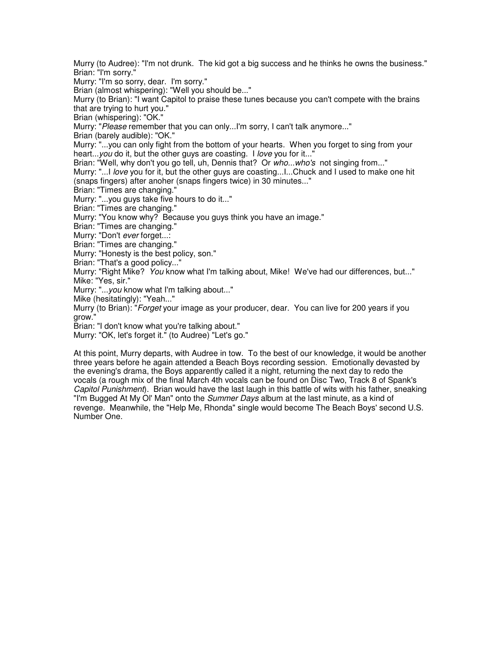Murry (to Audree): "I'm not drunk. The kid got a big success and he thinks he owns the business." Brian: "I'm sorry."

Murry: "I'm so sorry, dear. I'm sorry."

Brian (almost whispering): "Well you should be..."

Murry (to Brian): "I want Capitol to praise these tunes because you can't compete with the brains that are trying to hurt you."

Brian (whispering): "OK."

Murry: "Please remember that you can only...I'm sorry, I can't talk anymore..."

Brian (barely audible): "OK."

Murry: "...you can only fight from the bottom of your hearts. When you forget to sing from your heart...you do it, but the other guys are coasting. I love you for it..."

Brian: "Well, why don't you go tell, uh, Dennis that? Or who...who's not singing from..."

Murry: "...! love you for it, but the other guys are coasting...!...Chuck and I used to make one hit (snaps fingers) after anoher (snaps fingers twice) in 30 minutes..."

Brian: "Times are changing."

Murry: "...you guys take five hours to do it..."

Brian: "Times are changing."

Murry: "You know why? Because you guys think you have an image."

Brian: "Times are changing."

Murry: "Don't ever forget...:

Brian: "Times are changing."

Murry: "Honesty is the best policy, son."

Brian: "That's a good policy..."

Murry: "Right Mike? You know what I'm talking about, Mike! We've had our differences, but..." Mike: "Yes, sir."

Murry: "...you know what I'm talking about..."

Mike (hesitatingly): "Yeah..."

Murry (to Brian): "*Forget* your image as your producer, dear. You can live for 200 years if you grow."

Brian: "I don't know what you're talking about."

Murry: "OK, let's forget it." (to Audree) "Let's go."

At this point, Murry departs, with Audree in tow. To the best of our knowledge, it would be another three years before he again attended a Beach Boys recording session. Emotionally devasted by the evening's drama, the Boys apparently called it a night, returning the next day to redo the vocals (a rough mix of the final March 4th vocals can be found on Disc Two, Track 8 of Spank's Capitol Punishment). Brian would have the last laugh in this battle of wits with his father, sneaking "I'm Bugged At My OI' Man" onto the Summer Days album at the last minute, as a kind of revenge. Meanwhile, the "Help Me, Rhonda" single would become The Beach Boys' second U.S. Number One.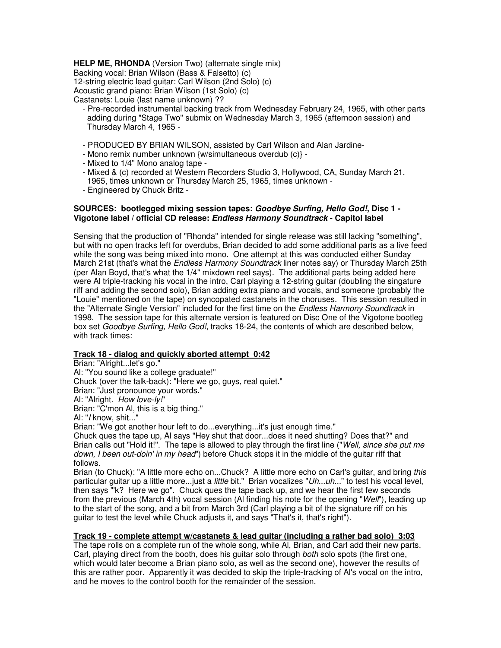**HELP ME, RHONDA** (Version Two) (alternate single mix) Backing vocal: Brian Wilson (Bass & Falsetto) (c) 12-string electric lead guitar: Carl Wilson (2nd Solo) (c) Acoustic grand piano: Brian Wilson (1st Solo) (c) Castanets: Louie (last name unknown) ??

- Pre-recorded instrumental backing track from Wednesday February 24, 1965, with other parts adding during "Stage Two" submix on Wednesday March 3, 1965 (afternoon session) and Thursday March 4, 1965 -
- PRODUCED BY BRIAN WILSON, assisted by Carl Wilson and Alan Jardine-
- Mono remix number unknown {w/simultaneous overdub (c)} -
- Mixed to 1/4" Mono analog tape -
- Mixed & (c) recorded at Western Recorders Studio 3, Hollywood, CA, Sunday March 21, 1965, times unknown or Thursday March 25, 1965, times unknown -
- Engineered by Chuck Britz -

## **SOURCES: bootlegged mixing session tapes: Goodbye Surfing, Hello God!, Disc 1 - Vigotone label / official CD release: Endless Harmony Soundtrack - Capitol label**

Sensing that the production of "Rhonda" intended for single release was still lacking "something", but with no open tracks left for overdubs, Brian decided to add some additional parts as a live feed while the song was being mixed into mono. One attempt at this was conducted either Sunday March 21st (that's what the *Endless Harmony Soundtrack* liner notes say) or Thursday March 25th (per Alan Boyd, that's what the 1/4" mixdown reel says). The additional parts being added here were Al triple-tracking his vocal in the intro, Carl playing a 12-string guitar (doubling the singature riff and adding the second solo), Brian adding extra piano and vocals, and someone (probably the "Louie" mentioned on the tape) on syncopated castanets in the choruses. This session resulted in the "Alternate Single Version" included for the first time on the *Endless Harmony Soundtrack* in 1998. The session tape for this alternate version is featured on Disc One of the Vigotone bootleg box set Goodbye Surfing, Hello God!, tracks 18-24, the contents of which are described below, with track times:

# **Track 18 - dialog and quickly aborted attempt 0:42**

Brian: "Alright...let's go." Al: "You sound like a college graduate!" Chuck (over the talk-back): "Here we go, guys, real quiet." Brian: "Just pronounce your words." Al: "Alright. How love-ly!" Brian: "C'mon Al, this is a big thing."

Al: "I know, shit..."

Brian: "We got another hour left to do...everything...it's just enough time."

Chuck ques the tape up, Al says "Hey shut that door...does it need shutting? Does that?" and Brian calls out "Hold it!". The tape is allowed to play through the first line ("Well, since she put me down, I been out-doin' in my head") before Chuck stops it in the middle of the quitar riff that follows.

Brian (to Chuck): "A little more echo on...Chuck? A little more echo on Carl's guitar, and bring this particular guitar up a little more...just a *little* bit." Brian vocalizes "Uh...uh..." to test his vocal level, then says "'k? Here we go". Chuck ques the tape back up, and we hear the first few seconds from the previous (March 4th) vocal session (Al finding his note for the opening "Well"), leading up to the start of the song, and a bit from March 3rd (Carl playing a bit of the signature riff on his guitar to test the level while Chuck adjusts it, and says "That's it, that's right").

## **Track 19 - complete attempt w/castanets & lead guitar (including a rather bad solo) 3:03**

The tape rolls on a complete run of the whole song, while Al, Brian, and Carl add their new parts. Carl, playing direct from the booth, does his guitar solo through both solo spots (the first one, which would later become a Brian piano solo, as well as the second one), however the results of this are rather poor. Apparently it was decided to skip the triple-tracking of Al's vocal on the intro, and he moves to the control booth for the remainder of the session.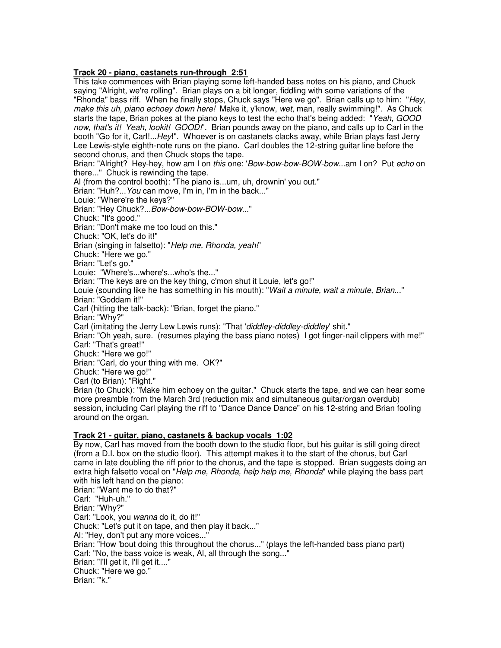## **Track 20 - piano, castanets run-through 2:51**

This take commences with Brian playing some left-handed bass notes on his piano, and Chuck saying "Alright, we're rolling". Brian plays on a bit longer, fiddling with some variations of the "Rhonda" bass riff. When he finally stops, Chuck says "Here we go". Brian calls up to him: "Hey, make this uh, piano echoey down here! Make it, y'know, wet, man, really swimming!". As Chuck starts the tape, Brian pokes at the piano keys to test the echo that's being added: "Yeah, GOOD now, that's it! Yeah, lookit! GOOD!". Brian pounds away on the piano, and calls up to Carl in the booth "Go for it, Carl!...Hey!". Whoever is on castanets clacks away, while Brian plays fast Jerry Lee Lewis-style eighth-note runs on the piano. Carl doubles the 12-string guitar line before the second chorus, and then Chuck stops the tape. Brian: "Alright? Hey-hey, how am I on this one: 'Bow-bow-bow-BOW-bow...am I on? Put echo on there..." Chuck is rewinding the tape. Al (from the control booth): "The piano is...um, uh, drownin' you out." Brian: "Huh?... You can move, I'm in, I'm in the back..." Louie: "Where're the keys?" Brian: "Hey Chuck?...Bow-bow-bow-BOW-bow..." Chuck: "It's good." Brian: "Don't make me too loud on this." Chuck: "OK, let's do it!" Brian (singing in falsetto): "Help me, Rhonda, yeah!" Chuck: "Here we go." Brian: "Let's go." Louie: "Where's...where's...who's the..." Brian: "The keys are on the key thing, c'mon shut it Louie, let's go!" Louie (sounding like he has something in his mouth): "Wait a minute, wait a minute, Brian..." Brian: "Goddam it!" Carl (hitting the talk-back): "Brian, forget the piano." Brian: "Why?" Carl (imitating the Jerry Lew Lewis runs): "That 'diddley-diddley-diddley' shit." Brian: "Oh yeah, sure. (resumes playing the bass piano notes) I got finger-nail clippers with me!" Carl: "That's great!" Chuck: "Here we go!" Brian: "Carl, do your thing with me. OK?" Chuck: "Here we go!" Carl (to Brian): "Right." Brian (to Chuck): "Make him echoey on the guitar." Chuck starts the tape, and we can hear some more preamble from the March 3rd (reduction mix and simultaneous guitar/organ overdub) session, including Carl playing the riff to "Dance Dance Dance" on his 12-string and Brian fooling around on the organ.

# **Track 21 - guitar, piano, castanets & backup vocals 1:02**

By now, Carl has moved from the booth down to the studio floor, but his guitar is still going direct (from a D.I. box on the studio floor). This attempt makes it to the start of the chorus, but Carl came in late doubling the riff prior to the chorus, and the tape is stopped. Brian suggests doing an extra high falsetto vocal on "Help me, Rhonda, help help me, Rhonda" while playing the bass part with his left hand on the piano: Brian: "Want me to do that?" Carl: "Huh-uh." Brian: "Why?" Carl: "Look, you wanna do it, do it!" Chuck: "Let's put it on tape, and then play it back..." Al: "Hey, don't put any more voices..." Brian: "How 'bout doing this throughout the chorus..." (plays the left-handed bass piano part)

Carl: "No, the bass voice is weak, Al, all through the song..."

Brian: "I'll get it, I'll get it...."

Chuck: "Here we go."

Brian: "'k."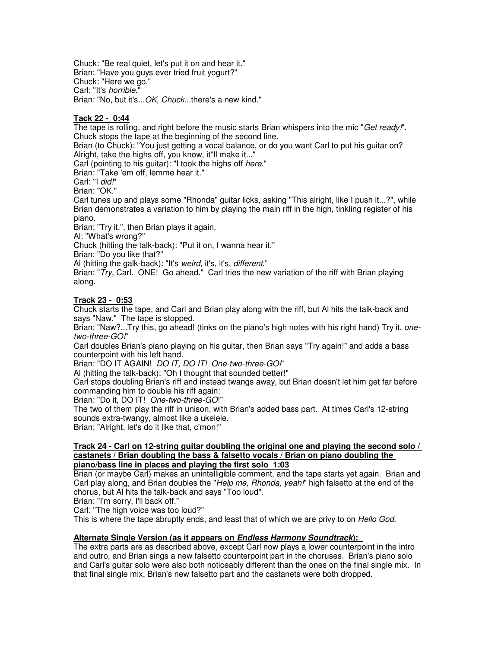Chuck: "Be real quiet, let's put it on and hear it." Brian: "Have you guys ever tried fruit yogurt?" Chuck: "Here we go." Carl: "It's horrible." Brian: "No, but it's...OK, Chuck...there's a new kind."

# **Tack 22 - 0:44**

The tape is rolling, and right before the music starts Brian whispers into the mic "Get ready!". Chuck stops the tape at the beginning of the second line.

Brian (to Chuck): "You just getting a vocal balance, or do you want Carl to put his guitar on? Alright, take the highs off, you know, it''ll make it..."

Carl (pointing to his quitar): "I took the highs off here."

Brian: "Take 'em off, lemme hear it."

Carl: "I did!"

Brian: "OK."

Carl tunes up and plays some "Rhonda" guitar licks, asking "This alright, like I push it...?", while Brian demonstrates a variation to him by playing the main riff in the high, tinkling register of his piano.

Brian: "Try it.", then Brian plays it again.

Al: "What's wrong?"

Chuck (hitting the talk-back): "Put it on, I wanna hear it."

Brian: "Do you like that?"

Al (hitting the galk-back): "It's weird, it's, it's, different."

Brian: "Try, Carl. ONE! Go ahead." Carl tries the new variation of the riff with Brian playing along.

## **Track 23 - 0:53**

Chuck starts the tape, and Carl and Brian play along with the riff, but Al hits the talk-back and says "Naw." The tape is stopped.

Brian: "Naw?...Try this, go ahead! (tinks on the piano's high notes with his right hand) Try it, onetwo-three-GO!"

Carl doubles Brian's piano playing on his guitar, then Brian says "Try again!" and adds a bass counterpoint with his left hand.

Brian: "DO IT AGAIN! DO IT, DO IT! One-two-three-GO!"

Al (hitting the talk-back): "Oh I thought that sounded better!"

Carl stops doubling Brian's riff and instead twangs away, but Brian doesn't let him get far before commanding him to double his riff again:

Brian: "Do it, DO IT! One-two-three-GO!"

The two of them play the riff in unison, with Brian's added bass part. At times Carl's 12-string sounds extra-twangy, almost like a ukelele.

Brian: "Alright, let's do it like that, c'mon!"

#### **Track 24 - Carl on 12-string guitar doubling the original one and playing the second solo / castanets / Brian doubling the bass & falsetto vocals / Brian on piano doubling the piano/bass line in places and playing the first solo 1:03**

Brian (or maybe Carl) makes an unintelligible comment, and the tape starts yet again. Brian and Carl play along, and Brian doubles the "Help me, Rhonda, yeah!" high falsetto at the end of the chorus, but Al hits the talk-back and says "Too loud".

Brian: "I'm sorry, I'll back off."

Carl: "The high voice was too loud?"

This is where the tape abruptly ends, and least that of which we are privy to on *Hello God*.

## **Alternate Single Version (as it appears on Endless Harmony Soundtrack):**

The extra parts are as described above, except Carl now plays a lower counterpoint in the intro and outro, and Brian sings a new falsetto counterpoint part in the choruses. Brian's piano solo and Carl's guitar solo were also both noticeably different than the ones on the final single mix. In that final single mix, Brian's new falsetto part and the castanets were both dropped.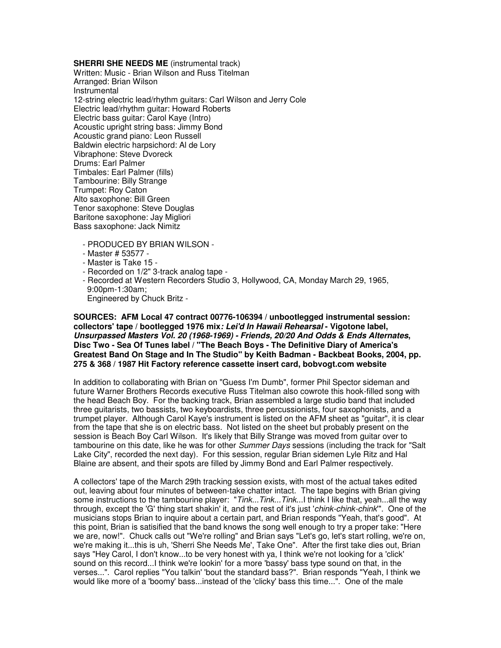**SHERRI SHE NEEDS ME** (instrumental track) Written: Music - Brian Wilson and Russ Titelman Arranged: Brian Wilson Instrumental 12-string electric lead/rhythm guitars: Carl Wilson and Jerry Cole Electric lead/rhythm guitar: Howard Roberts Electric bass guitar: Carol Kaye (Intro) Acoustic upright string bass: Jimmy Bond Acoustic grand piano: Leon Russell Baldwin electric harpsichord: Al de Lory Vibraphone: Steve Dvoreck Drums: Earl Palmer Timbales: Earl Palmer (fills) Tambourine: Billy Strange Trumpet: Roy Caton Alto saxophone: Bill Green Tenor saxophone: Steve Douglas Baritone saxophone: Jay Migliori Bass saxophone: Jack Nimitz

- PRODUCED BY BRIAN WILSON -
- Master # 53577 -
- Master is Take 15 -
- Recorded on 1/2" 3-track analog tape -
- Recorded at Western Recorders Studio 3, Hollywood, CA, Monday March 29, 1965, 9:00pm-1:30am;
- Engineered by Chuck Britz -

## **SOURCES: AFM Local 47 contract 00776-106394 / unbootlegged instrumental session: collectors' tape / bootlegged 1976 mix: Lei'd In Hawaii Rehearsal - Vigotone label, Unsurpassed Masters Vol. 20 (1968-1969) - Friends, 20/20 And Odds & Ends Alternates, Disc Two - Sea Of Tunes label / "The Beach Boys - The Definitive Diary of America's Greatest Band On Stage and In The Studio" by Keith Badman - Backbeat Books, 2004, pp. 275 & 368 / 1987 Hit Factory reference cassette insert card, bobvogt.com website**

In addition to collaborating with Brian on "Guess I'm Dumb", former Phil Spector sideman and future Warner Brothers Records executive Russ Titelman also cowrote this hook-filled song with the head Beach Boy. For the backing track, Brian assembled a large studio band that included three guitarists, two bassists, two keyboardists, three percussionists, four saxophonists, and a trumpet player. Although Carol Kaye's instrument is listed on the AFM sheet as "guitar", it is clear from the tape that she is on electric bass. Not listed on the sheet but probably present on the session is Beach Boy Carl Wilson. It's likely that Billy Strange was moved from guitar over to tambourine on this date, like he was for other Summer Days sessions (including the track for "Salt Lake City", recorded the next day). For this session, regular Brian sidemen Lyle Ritz and Hal Blaine are absent, and their spots are filled by Jimmy Bond and Earl Palmer respectively.

A collectors' tape of the March 29th tracking session exists, with most of the actual takes edited out, leaving about four minutes of between-take chatter intact. The tape begins with Brian giving some instructions to the tambourine player: "Tink...Tink...Tink...I think I like that, yeah...all the way through, except the 'G' thing start shakin' it, and the rest of it's just 'chink-chink-chink'". One of the musicians stops Brian to inquire about a certain part, and Brian responds "Yeah, that's good". At this point, Brian is satisified that the band knows the song well enough to try a proper take: "Here we are, now!". Chuck calls out "We're rolling" and Brian says "Let's go, let's start rolling, we're on, we're making it...this is uh, 'Sherri She Needs Me', Take One". After the first take dies out, Brian says "Hey Carol, I don't know...to be very honest with ya, I think we're not looking for a 'click' sound on this record...I think we're lookin' for a more 'bassy' bass type sound on that, in the verses...". Carol replies "You talkin' 'bout the standard bass?". Brian responds "Yeah, I think we would like more of a 'boomy' bass...instead of the 'clicky' bass this time...". One of the male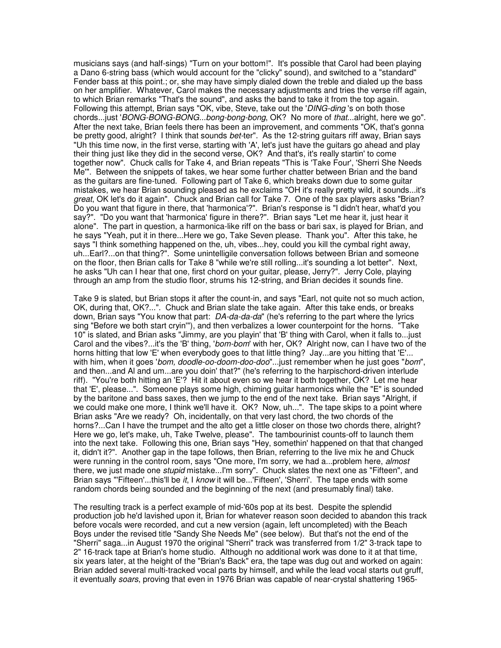musicians says (and half-sings) "Turn on your bottom!". It's possible that Carol had been playing a Dano 6-string bass (which would account for the "clicky" sound), and switched to a "standard" Fender bass at this point.; or, she may have simply dialed down the treble and dialed up the bass on her amplifier. Whatever, Carol makes the necessary adjustments and tries the verse riff again, to which Brian remarks "That's the sound", and asks the band to take it from the top again. Following this attempt, Brian says "OK, vibe, Steve, take out the 'DING-ding's on both those chords...just 'BONG-BONG-BONG...bong-bong-bong, OK? No more of that...alright, here we go". After the next take, Brian feels there has been an improvement, and comments "OK, that's gonna be pretty good, alright? I think that sounds bet-ter". As the 12-string guitars riff away, Brian says "Uh this time now, in the first verse, starting with 'A', let's just have the guitars go ahead and play their thing just like they did in the second verse, OK? And that's, it's really startin' to come together now". Chuck calls for Take 4, and Brian repeats "This is 'Take Four', 'Sherri She Needs Me'". Between the snippets of takes, we hear some further chatter between Brian and the band as the guitars are fine-tuned. Following part of Take 6, which breaks down due to some guitar mistakes, we hear Brian sounding pleased as he exclaims "OH it's really pretty wild, it sounds...it's great, OK let's do it again". Chuck and Brian call for Take 7. One of the sax players asks "Brian? Do you want that figure in there, that 'harmonica'?". Brian's response is "I didn't hear, what'd you say?". "Do you want that 'harmonica' figure in there?". Brian says "Let me hear it, just hear it alone". The part in question, a harmonica-like riff on the bass or bari sax, is played for Brian, and he says "Yeah, put it in there...Here we go, Take Seven please. Thank you". After this take, he says "I think something happened on the, uh, vibes...hey, could you kill the cymbal right away, uh...Earl?...on that thing?". Some unintelligile conversation follows between Brian and someone on the floor, then Brian calls for Take 8 "while we're still rolling...it's sounding a lot better". Next, he asks "Uh can I hear that one, first chord on your guitar, please, Jerry?". Jerry Cole, playing through an amp from the studio floor, strums his 12-string, and Brian decides it sounds fine.

Take 9 is slated, but Brian stops it after the count-in, and says "Earl, not quite not so much action, OK, during that, OK?...". Chuck and Brian slate the take again. After this take ends, or breaks down, Brian says "You know that part: DA-da-da-da" (he's referring to the part where the lyrics sing "Before we both start cryin'"), and then verbalizes a lower counterpoint for the horns. "Take 10" is slated, and Brian asks "Jimmy, are you playin' that 'B' thing with Carol, when it falls to...just Carol and the vibes?...it's the 'B' thing, 'bom-bom' with her, OK? Alright now, can I have two of the horns hitting that low 'E' when everybody goes to that little thing? Jay...are you hitting that 'E'... with him, when it goes 'bom, doodle-oo-doom-doo-doo"...just remember when he just goes "bom", and then...and Al and um...are you doin' that?" (he's referring to the harpischord-driven interlude riff). "You're both hitting an 'E'? Hit it about even so we hear it both together, OK? Let me hear that 'E', please...". Someone plays some high, chiming guitar harmonics while the "E" is sounded by the baritone and bass saxes, then we jump to the end of the next take. Brian says "Alright, if we could make one more, I think we'll have it. OK? Now, uh...". The tape skips to a point where Brian asks "Are we ready? Oh, incidentally, on that very last chord, the two chords of the horns?...Can I have the trumpet and the alto get a little closer on those two chords there, alright? Here we go, let's make, uh, Take Twelve, please". The tambourinist counts-off to launch them into the next take. Following this one, Brian says "Hey, somethin' happened on that that changed it, didn't it?". Another gap in the tape follows, then Brian, referring to the live mix he and Chuck were running in the control room, says "One more, I'm sorry, we had a...problem here, almost there, we just made one *stupid* mistake...I'm sorry". Chuck slates the next one as "Fifteen", and Brian says "'Fifteen'...this'll be *it*, I know it will be...'Fifteen', 'Sherri'. The tape ends with some random chords being sounded and the beginning of the next (and presumably final) take.

The resulting track is a perfect example of mid-'60s pop at its best. Despite the splendid production job he'd lavished upon it, Brian for whatever reason soon decided to abandon this track before vocals were recorded, and cut a new version (again, left uncompleted) with the Beach Boys under the revised title "Sandy She Needs Me" (see below). But that's not the end of the "Sherri" saga...in August 1970 the original "Sherri" track was transferred from 1/2" 3-track tape to 2" 16-track tape at Brian's home studio. Although no additional work was done to it at that time, six years later, at the height of the "Brian's Back" era, the tape was dug out and worked on again: Brian added several multi-tracked vocal parts by himself, and while the lead vocal starts out gruff, it eventually soars, proving that even in 1976 Brian was capable of near-crystal shattering 1965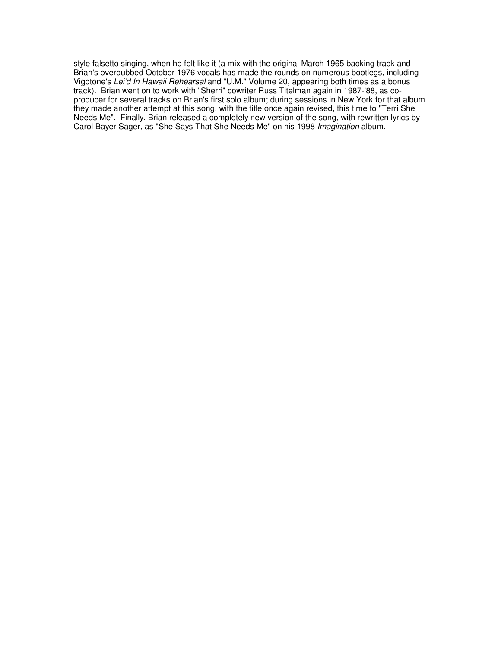style falsetto singing, when he felt like it (a mix with the original March 1965 backing track and Brian's overdubbed October 1976 vocals has made the rounds on numerous bootlegs, including Vigotone's Lei'd In Hawaii Rehearsal and "U.M." Volume 20, appearing both times as a bonus track). Brian went on to work with "Sherri" cowriter Russ Titelman again in 1987-'88, as coproducer for several tracks on Brian's first solo album; during sessions in New York for that album they made another attempt at this song, with the title once again revised, this time to "Terri She Needs Me". Finally, Brian released a completely new version of the song, with rewritten lyrics by Carol Bayer Sager, as "She Says That She Needs Me" on his 1998 Imagination album.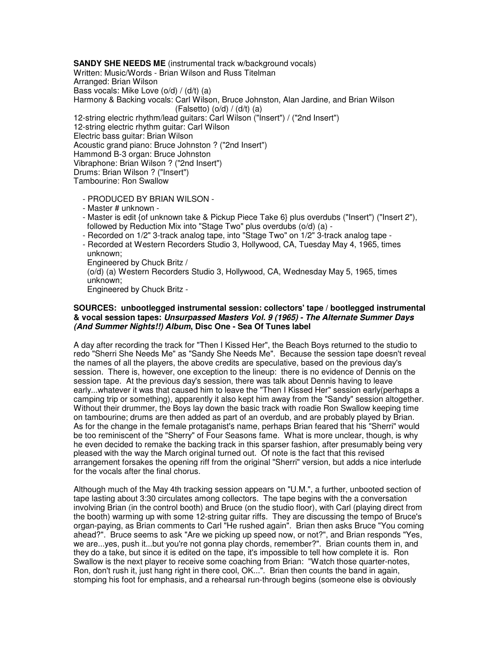**SANDY SHE NEEDS ME** (instrumental track w/background vocals) Written: Music/Words - Brian Wilson and Russ Titelman Arranged: Brian Wilson Bass vocals: Mike Love (o/d) / (d/t) (a) Harmony & Backing vocals: Carl Wilson, Bruce Johnston, Alan Jardine, and Brian Wilson  $(Falsetto)$   $(o/d) / (d/t)$   $(a)$ 12-string electric rhythm/lead guitars: Carl Wilson ("Insert") / ("2nd Insert") 12-string electric rhythm guitar: Carl Wilson Electric bass guitar: Brian Wilson Acoustic grand piano: Bruce Johnston ? ("2nd Insert") Hammond B-3 organ: Bruce Johnston Vibraphone: Brian Wilson ? ("2nd Insert") Drums: Brian Wilson ? ("Insert") Tambourine: Ron Swallow

- PRODUCED BY BRIAN WILSON -
- Master # unknown -
- Master is edit {of unknown take & Pickup Piece Take 6} plus overdubs ("Insert") ("Insert 2"), followed by Reduction Mix into "Stage Two" plus overdubs (o/d) (a) -
- Recorded on 1/2" 3-track analog tape, into "Stage Two" on 1/2" 3-track analog tape -
- Recorded at Western Recorders Studio 3, Hollywood, CA, Tuesday May 4, 1965, times unknown;

Engineered by Chuck Britz /

 (o/d) (a) Western Recorders Studio 3, Hollywood, CA, Wednesday May 5, 1965, times unknown;

Engineered by Chuck Britz -

## **SOURCES: unbootlegged instrumental session: collectors' tape / bootlegged instrumental & vocal session tapes: Unsurpassed Masters Vol. 9 (1965) - The Alternate Summer Days (And Summer Nights!!) Album, Disc One - Sea Of Tunes label**

A day after recording the track for "Then I Kissed Her", the Beach Boys returned to the studio to redo "Sherri She Needs Me" as "Sandy She Needs Me". Because the session tape doesn't reveal the names of all the players, the above credits are speculative, based on the previous day's session. There is, however, one exception to the lineup: there is no evidence of Dennis on the session tape. At the previous day's session, there was talk about Dennis having to leave early...whatever it was that caused him to leave the "Then I Kissed Her" session early(perhaps a camping trip or something), apparently it also kept him away from the "Sandy" session altogether. Without their drummer, the Boys lay down the basic track with roadie Ron Swallow keeping time on tambourine; drums are then added as part of an overdub, and are probably played by Brian. As for the change in the female protaganist's name, perhaps Brian feared that his "Sherri" would be too reminiscent of the "Sherry" of Four Seasons fame. What is more unclear, though, is why he even decided to remake the backing track in this sparser fashion, after presumably being very pleased with the way the March original turned out. Of note is the fact that this revised arrangement forsakes the opening riff from the original "Sherri" version, but adds a nice interlude for the vocals after the final chorus.

Although much of the May 4th tracking session appears on "U.M.", a further, unbooted section of tape lasting about 3:30 circulates among collectors. The tape begins with the a conversation involving Brian (in the control booth) and Bruce (on the studio floor), with Carl (playing direct from the booth) warming up with some 12-string guitar riffs. They are discussing the tempo of Bruce's organ-paying, as Brian comments to Carl "He rushed again". Brian then asks Bruce "You coming ahead?". Bruce seems to ask "Are we picking up speed now, or not?", and Brian responds "Yes, we are...yes, push it...but you're not gonna play chords, remember?". Brian counts them in, and they do a take, but since it is edited on the tape, it's impossible to tell how complete it is. Ron Swallow is the next player to receive some coaching from Brian: "Watch those quarter-notes, Ron, don't rush it, just hang right in there cool, OK...". Brian then counts the band in again, stomping his foot for emphasis, and a rehearsal run-through begins (someone else is obviously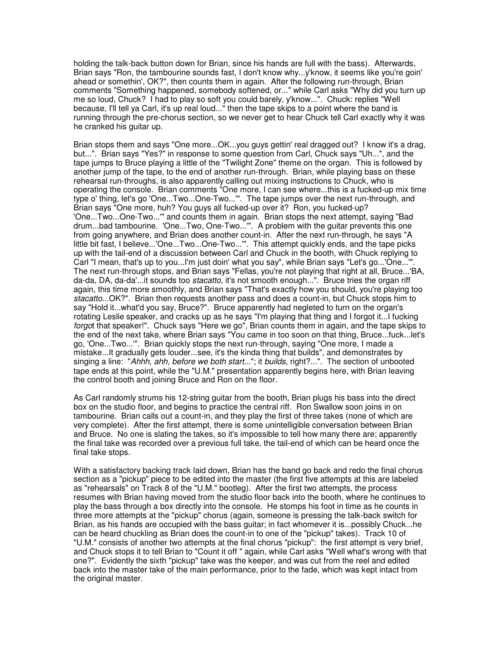holding the talk-back button down for Brian, since his hands are full with the bass). Afterwards, Brian says "Ron, the tambourine sounds fast, I don't know why...y'know, it seems like you're goin' ahead or somethin', OK?", then counts them in again. After the following run-through, Brian comments "Something happened, somebody softened, or..." while Carl asks "Why did you turn up me so loud, Chuck? I had to play so soft you could barely, y'know...". Chuck: replies "Well because, I'll tell ya Carl, it's up real loud..." then the tape skips to a point where the band is running through the pre-chorus section, so we never get to hear Chuck tell Carl exactly why it was he cranked his guitar up.

Brian stops them and says "One more...OK...you guys gettin' real dragged out? I know it's a drag, but...". Brian says "Yes?" in response to some question from Carl, Chuck says "Uh...", and the tape jumps to Bruce playing a little of the "Twilight Zone" theme on the organ. This is followed by another jump of the tape, to the end of another run-through. Brian, while playing bass on these rehearsal run-throughs, is also apparently calling out mixing instructions to Chuck, who is operating the console. Brian comments "One more, I can see where...this is a fucked-up mix time type o' thing, let's go 'One...Two...One-Two...'". The tape jumps over the next run-through, and Brian says "One more, huh? You guys all fucked-up over it? Ron, you fucked-up? 'One...Two...One-Two...'" and counts them in again. Brian stops the next attempt, saying "Bad drum...bad tambourine. 'One...Two, One-Two...'". A problem with the guitar prevents this one from going anywhere, and Brian does another count-in. After the next run-through, he says "A little bit fast, I believe...'One...Two...One-Two...'". This attempt quickly ends, and the tape picks up with the tail-end of a discussion between Carl and Chuck in the booth, with Chuck replying to Carl "I mean, that's up to you...I'm just doin' what you say", while Brian says "Let's go...'One...'". The next run-through stops, and Brian says "Fellas, you're not playing that right at all, Bruce...'BA, da-da, DA, da-da'...it sounds too *stacatto*, it's not smooth enough...". Bruce tries the organ riff again, this time more smoothly, and Brian says "That's exactly how you should, you're playing too stacatto...OK?". Brian then requests another pass and does a count-in, but Chuck stops him to say "Hold it...what'd you say, Bruce?". Bruce apparently had negleted to turn on the organ's rotating Leslie speaker, and cracks up as he says "I'm playing that thing and I forgot it...I fucking forgot that speaker!". Chuck says "Here we go", Brian counts them in again, and the tape skips to the end of the next take, where Brian says "You came in too soon on that thing, Bruce...fuck...let's go, 'One...Two...'". Brian quickly stops the next run-through, saying "One more, I made a mistake...It gradually gets louder...see, it's the kinda thing that builds", and demonstrates by singing a line: "Ahhh, ahh, before we both start..."; it builds, right?...". The section of unbooted tape ends at this point, while the "U.M." presentation apparently begins here, with Brian leaving the control booth and joining Bruce and Ron on the floor.

As Carl randomly strums his 12-string guitar from the booth, Brian plugs his bass into the direct box on the studio floor, and begins to practice the central riff. Ron Swallow soon joins in on tambourine. Brian calls out a count-in, and they play the first of three takes (none of which are very complete). After the first attempt, there is some unintelligible conversation between Brian and Bruce. No one is slating the takes, so it's impossible to tell how many there are; apparently the final take was recorded over a previous full take, the tail-end of which can be heard once the final take stops.

With a satisfactory backing track laid down, Brian has the band go back and redo the final chorus section as a "pickup" piece to be edited into the master (the first five attempts at this are labeled as "rehearsals" on Track 8 of the "U.M." bootleg). After the first two attempts, the process resumes with Brian having moved from the studio floor back into the booth, where he continues to play the bass through a box directly into the console. He stomps his foot in time as he counts in three more attempts at the "pickup" chorus (again, someone is pressing the talk-back switch for Brian, as his hands are occupied with the bass guitar; in fact whomever it is...possibly Chuck...he can be heard chuckling as Brian does the count-in to one of the "pickup" takes). Track 10 of "U.M." consists of another two attempts at the final chorus "pickup": the first attempt is very brief, and Chuck stops it to tell Brian to "Count it off " again, while Carl asks "Well what's wrong with that one?". Evidently the sixth "pickup" take was the keeper, and was cut from the reel and edited back into the master take of the main performance, prior to the fade, which was kept intact from the original master.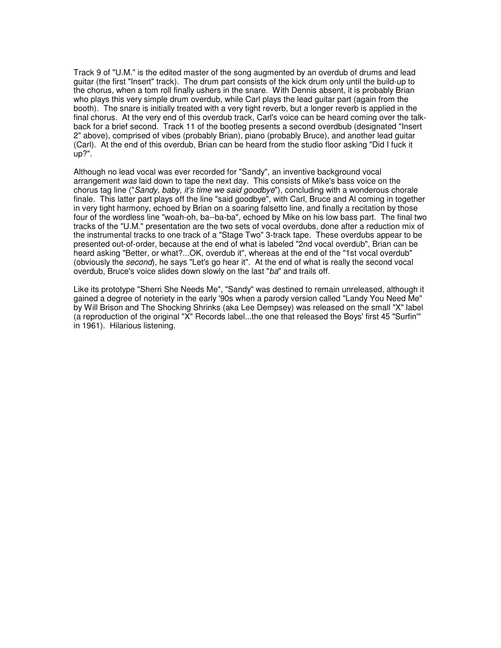Track 9 of "U.M." is the edited master of the song augmented by an overdub of drums and lead guitar (the first "Insert" track). The drum part consists of the kick drum only until the build-up to the chorus, when a tom roll finally ushers in the snare. With Dennis absent, it is probably Brian who plays this very simple drum overdub, while Carl plays the lead guitar part (again from the booth). The snare is initially treated with a very tight reverb, but a longer reverb is applied in the final chorus. At the very end of this overdub track, Carl's voice can be heard coming over the talkback for a brief second. Track 11 of the bootleg presents a second overdbub (designated "Insert 2" above), comprised of vibes (probably Brian), piano (probably Bruce), and another lead guitar (Carl). At the end of this overdub, Brian can be heard from the studio floor asking "Did I fuck it up?".

Although no lead vocal was ever recorded for "Sandy", an inventive background vocal arrangement was laid down to tape the next day. This consists of Mike's bass voice on the chorus tag line ("Sandy, baby, it's time we said goodbye"), concluding with a wonderous chorale finale. This latter part plays off the line "said goodbye", with Carl, Bruce and Al coming in together in very tight harmony, echoed by Brian on a soaring falsetto line, and finally a recitation by those four of the wordless line "woah-oh, ba--ba-ba", echoed by Mike on his low bass part. The final two tracks of the "U.M." presentation are the two sets of vocal overdubs, done after a reduction mix of the instrumental tracks to one track of a "Stage Two" 3-track tape. These overdubs appear to be presented out-of-order, because at the end of what is labeled "2nd vocal overdub", Brian can be heard asking "Better, or what?...OK, overdub it", whereas at the end of the "1st vocal overdub" (obviously the second), he says "Let's go hear it". At the end of what is really the second vocal overdub, Bruce's voice slides down slowly on the last "ba" and trails off.

Like its prototype "Sherri She Needs Me", "Sandy" was destined to remain unreleased, although it gained a degree of noteriety in the early '90s when a parody version called "Landy You Need Me" by Will Brison and The Shocking Shrinks (aka Lee Dempsey) was released on the small "X" label (a reproduction of the original "X" Records label...the one that released the Boys' first 45 "Surfin'" in 1961). Hilarious listening.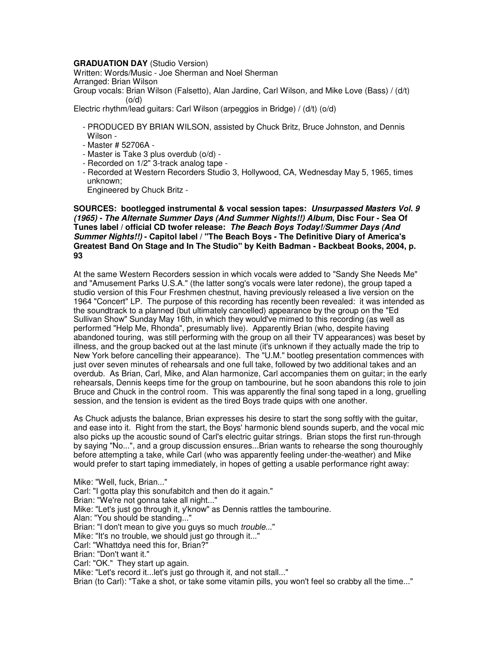## **GRADUATION DAY** (Studio Version)

Written: Words/Music - Joe Sherman and Noel Sherman Arranged: Brian Wilson Group vocals: Brian Wilson (Falsetto), Alan Jardine, Carl Wilson, and Mike Love (Bass) / (d/t) (o/d)

Electric rhythm/lead guitars: Carl Wilson (arpeggios in Bridge) / (d/t) (o/d)

- PRODUCED BY BRIAN WILSON, assisted by Chuck Britz, Bruce Johnston, and Dennis Wilson -
- Master # 52706A -
- Master is Take 3 plus overdub (o/d) -
- Recorded on 1/2" 3-track analog tape -
- Recorded at Western Recorders Studio 3, Hollywood, CA, Wednesday May 5, 1965, times unknown;

Engineered by Chuck Britz -

## **SOURCES: bootlegged instrumental & vocal session tapes: Unsurpassed Masters Vol. 9 (1965) - The Alternate Summer Days (And Summer Nights!!) Album, Disc Four - Sea Of Tunes label / official CD twofer release: The Beach Boys Today!/Summer Days (And Summer Nights!!) - Capitol label / "The Beach Boys - The Definitive Diary of America's Greatest Band On Stage and In The Studio" by Keith Badman - Backbeat Books, 2004, p. 93**

At the same Western Recorders session in which vocals were added to "Sandy She Needs Me" and "Amusement Parks U.S.A." (the latter song's vocals were later redone), the group taped a studio version of this Four Freshmen chestnut, having previously released a live version on the 1964 "Concert" LP. The purpose of this recording has recently been revealed: it was intended as the soundtrack to a planned (but ultimately cancelled) appearance by the group on the "Ed Sullivan Show" Sunday May 16th, in which they would've mimed to this recording (as well as performed "Help Me, Rhonda", presumably live). Apparently Brian (who, despite having abandoned touring, was still performing with the group on all their TV appearances) was beset by illness, and the group backed out at the last minute (it's unknown if they actually made the trip to New York before cancelling their appearance). The "U.M." bootleg presentation commences with just over seven minutes of rehearsals and one full take, followed by two additional takes and an overdub. As Brian, Carl, Mike, and Alan harmonize, Carl accompanies them on guitar; in the early rehearsals, Dennis keeps time for the group on tambourine, but he soon abandons this role to join Bruce and Chuck in the control room. This was apparently the final song taped in a long, gruelling session, and the tension is evident as the tired Boys trade quips with one another.

As Chuck adjusts the balance, Brian expresses his desire to start the song softly with the guitar, and ease into it. Right from the start, the Boys' harmonic blend sounds superb, and the vocal mic also picks up the acoustic sound of Carl's electric guitar strings. Brian stops the first run-through by saying "No...", and a group discussion ensures...Brian wants to rehearse the song thouroughly before attempting a take, while Carl (who was apparently feeling under-the-weather) and Mike would prefer to start taping immediately, in hopes of getting a usable performance right away:

Mike: "Well, fuck, Brian..." Carl: "I gotta play this sonufabitch and then do it again." Brian: "We're not gonna take all night..." Mike: "Let's just go through it, y'know" as Dennis rattles the tambourine. Alan: "You should be standing..." Brian: "I don't mean to give you guys so much *trouble...*" Mike: "It's no trouble, we should just go through it..." Carl: "Whattdya need this for, Brian?" Brian: "Don't want it." Carl: "OK." They start up again. Mike: "Let's record it...let's just go through it, and not stall..." Brian (to Carl): "Take a shot, or take some vitamin pills, you won't feel so crabby all the time..."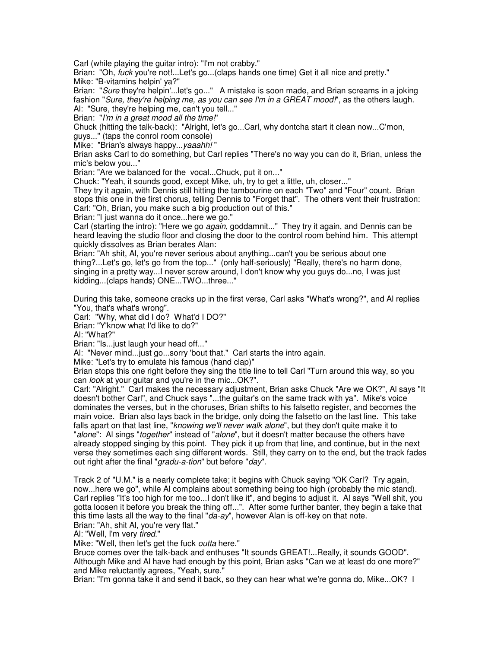Carl (while playing the guitar intro): "I'm not crabby."

Brian: "Oh, fuck you're not!...Let's go...(claps hands one time) Get it all nice and pretty." Mike: "B-vitamins helpin' ya?"

Brian: "Sure they're helpin'...let's go..." A mistake is soon made, and Brian screams in a joking fashion "Sure, they're helping me, as you can see I'm in a GREAT mood!", as the others laugh. Al: "Sure, they're helping me, can't you tell..."

Brian: "I'm in a great mood all the time!"

Chuck (hitting the talk-back): "Alright, let's go...Carl, why dontcha start it clean now...C'mon,

guys..." (taps the conrol room console)

Mike: "Brian's always happy... yaaahh!"

Brian asks Carl to do something, but Carl replies "There's no way you can do it, Brian, unless the mic's below you..."

Brian: "Are we balanced for the vocal...Chuck, put it on..."

Chuck: "Yeah, it sounds good, except Mike, uh, try to get a little, uh, closer..."

They try it again, with Dennis still hitting the tambourine on each "Two" and "Four" count. Brian stops this one in the first chorus, telling Dennis to "Forget that". The others vent their frustration: Carl: "Oh, Brian, you make such a big production out of this."

Brian: "I just wanna do it once...here we go."

Carl (starting the intro): "Here we go *again*, goddamnit..." They try it again, and Dennis can be heard leaving the studio floor and closing the door to the control room behind him. This attempt quickly dissolves as Brian berates Alan:

Brian: "Ah shit, Al, you're never serious about anything...can't you be serious about one thing?...Let's go, let's go from the top..." (only half-seriously) "Really, there's no harm done, singing in a pretty way...I never screw around, I don't know why you guys do...no, I was just kidding...(claps hands) ONE...TWO...three..."

During this take, someone cracks up in the first verse, Carl asks "What's wrong?", and Al replies "You, that's what's wrong".

Carl: "Why, what did I do? What'd I DO?"

Brian: "Y'know what I'd like to do?"

Al: "What?"

Brian: "Is...just laugh your head off..."

Al: "Never mind...just go...sorry 'bout that." Carl starts the intro again.

Mike: "Let's try to emulate his famous (hand clap)"

Brian stops this one right before they sing the title line to tell Carl "Turn around this way, so you can *look* at your guitar and you're in the mic...OK?".

Carl: "Alright." Carl makes the necessary adjustment, Brian asks Chuck "Are we OK?", Al says "It doesn't bother Carl", and Chuck says "...the guitar's on the same track with ya". Mike's voice dominates the verses, but in the choruses, Brian shifts to his falsetto register, and becomes the main voice. Brian also lays back in the bridge, only doing the falsetto on the last line. This take falls apart on that last line, "*knowing we'll never walk alone*", but they don't quite make it to "alone": Al sings "together" instead of "alone", but it doesn't matter because the others have already stopped singing by this point. They pick it up from that line, and continue, but in the next verse they sometimes each sing different words. Still, they carry on to the end, but the track fades out right after the final "gradu-a-tion" but before "day".

Track 2 of "U.M." is a nearly complete take; it begins with Chuck saying "OK Carl? Try again, now...here we go", while Al complains about something being too high (probably the mic stand). Carl replies "It's too high for me too...I don't like it", and begins to adjust it. Al says "Well shit, you gotta loosen it before you break the thing off...". After some further banter, they begin a take that this time lasts all the way to the final " $da$ -ay", however Alan is off-key on that note. Brian: "Ah, shit Al, you're very flat."

AI: "Well, I'm very tired."

Mike: "Well, then let's get the fuck outta here."

Bruce comes over the talk-back and enthuses "It sounds GREAT!...Really, it sounds GOOD". Although Mike and Al have had enough by this point, Brian asks "Can we at least do one more?" and Mike reluctantly agrees, "Yeah, sure."

Brian: "I'm gonna take it and send it back, so they can hear what we're gonna do, Mike...OK? I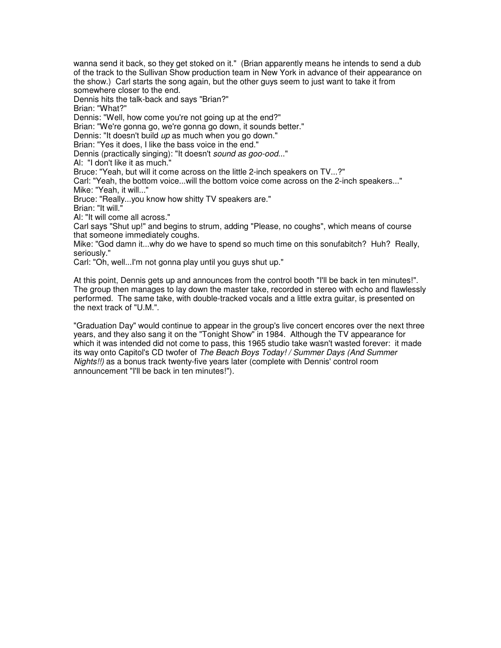wanna send it back, so they get stoked on it." (Brian apparently means he intends to send a dub of the track to the Sullivan Show production team in New York in advance of their appearance on the show.) Carl starts the song again, but the other guys seem to just want to take it from somewhere closer to the end.

Dennis hits the talk-back and says "Brian?"

Brian: "What?"

Dennis: "Well, how come you're not going up at the end?"

Brian: "We're gonna go, we're gonna go down, it sounds better."

Dennis: "It doesn't build up as much when you go down."

Brian: "Yes it does, I like the bass voice in the end."

Dennis (practically singing): "It doesn't sound as goo-ood..."

Al: "I don't like it as much."

Bruce: "Yeah, but will it come across on the little 2-inch speakers on TV...?"

Carl: "Yeah, the bottom voice...will the bottom voice come across on the 2-inch speakers..." Mike: "Yeah, it will..."

Bruce: "Really...you know how shitty TV speakers are."

Brian: "It will."

Al: "It will come all across."

Carl says "Shut up!" and begins to strum, adding "Please, no coughs", which means of course that someone immediately coughs.

Mike: "God damn it...why do we have to spend so much time on this sonufabitch? Huh? Really, seriously."

Carl: "Oh, well...I'm not gonna play until you guys shut up."

At this point, Dennis gets up and announces from the control booth "I'll be back in ten minutes!". The group then manages to lay down the master take, recorded in stereo with echo and flawlessly performed. The same take, with double-tracked vocals and a little extra guitar, is presented on the next track of "U.M.".

"Graduation Day" would continue to appear in the group's live concert encores over the next three years, and they also sang it on the "Tonight Show" in 1984. Although the TV appearance for which it was intended did not come to pass, this 1965 studio take wasn't wasted forever: it made its way onto Capitol's CD twofer of The Beach Boys Today! / Summer Days (And Summer Nights!!) as a bonus track twenty-five years later (complete with Dennis' control room announcement "I'll be back in ten minutes!").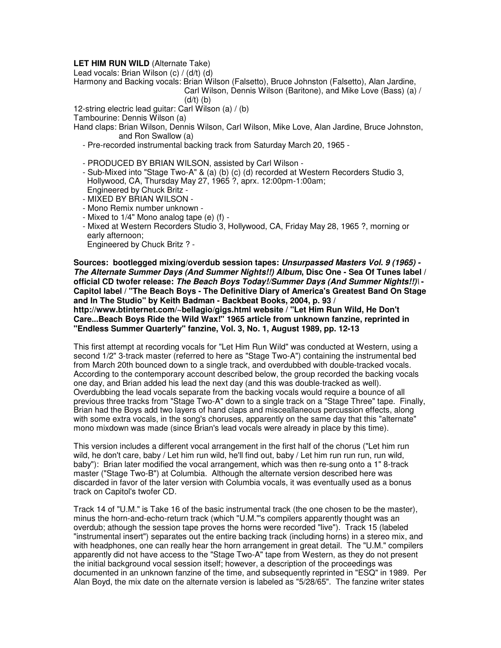## **LET HIM RUN WILD** (Alternate Take)

Lead vocals: Brian Wilson (c) / (d/t) (d)

Harmony and Backing vocals: Brian Wilson (Falsetto), Bruce Johnston (Falsetto), Alan Jardine,

Carl Wilson, Dennis Wilson (Baritone), and Mike Love (Bass) (a) /

 $(d/t)$   $(b)$ 

12-string electric lead guitar: Carl Wilson (a) / (b)

Tambourine: Dennis Wilson (a)

Hand claps: Brian Wilson, Dennis Wilson, Carl Wilson, Mike Love, Alan Jardine, Bruce Johnston, and Ron Swallow (a)

- Pre-recorded instrumental backing track from Saturday March 20, 1965 -
- PRODUCED BY BRIAN WILSON, assisted by Carl Wilson -
- Sub-Mixed into "Stage Two-A" & (a) (b) (c) (d) recorded at Western Recorders Studio 3, Hollywood, CA, Thursday May 27, 1965 ?, aprx. 12:00pm-1:00am; Engineered by Chuck Britz -
- MIXED BY BRIAN WILSON -
- Mono Remix number unknown -
- Mixed to 1/4" Mono analog tape (e) (f) -
- Mixed at Western Recorders Studio 3, Hollywood, CA, Friday May 28, 1965 ?, morning or early afternoon;

Engineered by Chuck Britz ? -

**Sources: bootlegged mixing/overdub session tapes: Unsurpassed Masters Vol. 9 (1965) - The Alternate Summer Days (And Summer Nights!!) Album, Disc One - Sea Of Tunes label / official CD twofer release: The Beach Boys Today!/Summer Days (And Summer Nights!!)\ - Capitol label / "The Beach Boys - The Definitive Diary of America's Greatest Band On Stage and In The Studio" by Keith Badman - Backbeat Books, 2004, p. 93 / http://www.btinternet.com/~bellagio/gigs.html website / "Let Him Run Wild, He Don't Care...Beach Boys Ride the Wild Wax!" 1965 article from unknown fanzine, reprinted in "Endless Summer Quarterly" fanzine, Vol. 3, No. 1, August 1989, pp. 12-13** 

This first attempt at recording vocals for "Let Him Run Wild" was conducted at Western, using a second 1/2" 3-track master (referred to here as "Stage Two-A") containing the instrumental bed from March 20th bounced down to a single track, and overdubbed with double-tracked vocals. According to the contemporary account described below, the group recorded the backing vocals one day, and Brian added his lead the next day (and this was double-tracked as well). Overdubbing the lead vocals separate from the backing vocals would require a bounce of all previous three tracks from "Stage Two-A" down to a single track on a "Stage Three" tape. Finally, Brian had the Boys add two layers of hand claps and misceallaneous percussion effects, along with some extra vocals, in the song's choruses, apparently on the same day that this "alternate" mono mixdown was made (since Brian's lead vocals were already in place by this time).

This version includes a different vocal arrangement in the first half of the chorus ("Let him run wild, he don't care, baby / Let him run wild, he'll find out, baby / Let him run run run, run wild, baby"): Brian later modified the vocal arrangement, which was then re-sung onto a 1" 8-track master ("Stage Two-B") at Columbia. Although the alternate version described here was discarded in favor of the later version with Columbia vocals, it was eventually used as a bonus track on Capitol's twofer CD.

Track 14 of "U.M." is Take 16 of the basic instrumental track (the one chosen to be the master), minus the horn-and-echo-return track (which "U.M."'s compilers apparently thought was an overdub; athough the session tape proves the horns were recorded "live"). Track 15 (labeled "instrumental insert") separates out the entire backing track (including horns) in a stereo mix, and with headphones, one can really hear the horn arrangement in great detail. The "U.M." compilers apparently did not have access to the "Stage Two-A" tape from Western, as they do not present the initial background vocal session itself; however, a description of the proceedings was documented in an unknown fanzine of the time, and subsequently reprinted in "ESQ" in 1989. Per Alan Boyd, the mix date on the alternate version is labeled as "5/28/65". The fanzine writer states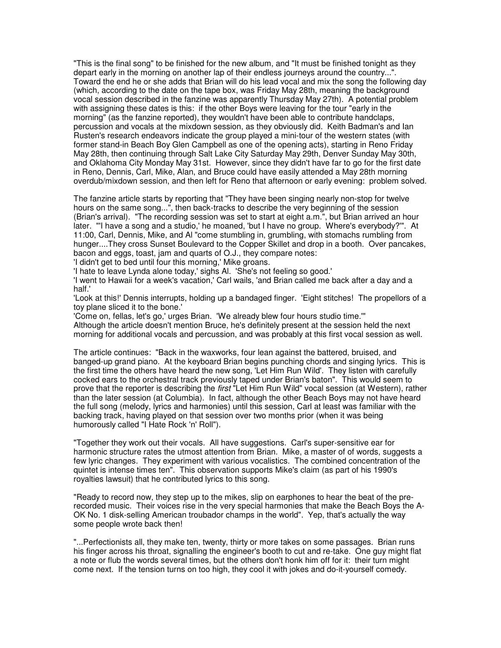"This is the final song" to be finished for the new album, and "It must be finished tonight as they depart early in the morning on another lap of their endless journeys around the country...". Toward the end he or she adds that Brian will do his lead vocal and mix the song the following day (which, according to the date on the tape box, was Friday May 28th, meaning the background vocal session described in the fanzine was apparently Thursday May 27th). A potential problem with assigning these dates is this: if the other Boys were leaving for the tour "early in the morning" (as the fanzine reported), they wouldn't have been able to contribute handclaps, percussion and vocals at the mixdown session, as they obviously did. Keith Badman's and Ian Rusten's research endeavors indicate the group played a mini-tour of the western states (with former stand-in Beach Boy Glen Campbell as one of the opening acts), starting in Reno Friday May 28th, then continuing through Salt Lake City Saturday May 29th, Denver Sunday May 30th, and Oklahoma City Monday May 31st. However, since they didn't have far to go for the first date in Reno, Dennis, Carl, Mike, Alan, and Bruce could have easily attended a May 28th morning overdub/mixdown session, and then left for Reno that afternoon or early evening: problem solved.

The fanzine article starts by reporting that "They have been singing nearly non-stop for twelve hours on the same song...", then back-tracks to describe the very beginning of the session (Brian's arrival). "The recording session was set to start at eight a.m.", but Brian arrived an hour later. "'I have a song and a studio,' he moaned, 'but I have no group. Where's everybody?'". At 11:00, Carl, Dennis, Mike, and Al "come stumbling in, grumbling, with stomachs rumbling from hunger....They cross Sunset Boulevard to the Copper Skillet and drop in a booth. Over pancakes, bacon and eggs, toast, jam and quarts of O.J., they compare notes:

'I didn't get to bed until four this morning,' Mike groans.

'I hate to leave Lynda alone today,' sighs Al. 'She's not feeling so good.'

'I went to Hawaii for a week's vacation,' Carl wails, 'and Brian called me back after a day and a half.'

'Look at this!' Dennis interrupts, holding up a bandaged finger. 'Eight stitches! The propellors of a toy plane sliced it to the bone.'

'Come on, fellas, let's go,' urges Brian. 'We already blew four hours studio time.'" Although the article doesn't mention Bruce, he's definitely present at the session held the next morning for additional vocals and percussion, and was probably at this first vocal session as well.

The article continues: "Back in the waxworks, four lean against the battered, bruised, and banged-up grand piano. At the keyboard Brian begins punching chords and singing lyrics. This is the first time the others have heard the new song, 'Let Him Run Wild'. They listen with carefully cocked ears to the orchestral track previously taped under Brian's baton". This would seem to prove that the reporter is describing the first "Let Him Run Wild" vocal session (at Western), rather than the later session (at Columbia). In fact, although the other Beach Boys may not have heard the full song (melody, lyrics and harmonies) until this session, Carl at least was familiar with the backing track, having played on that session over two months prior (when it was being humorously called "I Hate Rock 'n' Roll").

"Together they work out their vocals. All have suggestions. Carl's super-sensitive ear for harmonic structure rates the utmost attention from Brian. Mike, a master of of words, suggests a few lyric changes. They experiment with various vocalistics. The combined concentration of the quintet is intense times ten". This observation supports Mike's claim (as part of his 1990's royalties lawsuit) that he contributed lyrics to this song.

"Ready to record now, they step up to the mikes, slip on earphones to hear the beat of the prerecorded music. Their voices rise in the very special harmonies that make the Beach Boys the A-OK No. 1 disk-selling American troubador champs in the world". Yep, that's actually the way some people wrote back then!

"...Perfectionists all, they make ten, twenty, thirty or more takes on some passages. Brian runs his finger across his throat, signalling the engineer's booth to cut and re-take. One guy might flat a note or flub the words several times, but the others don't honk him off for it: their turn might come next. If the tension turns on too high, they cool it with jokes and do-it-yourself comedy.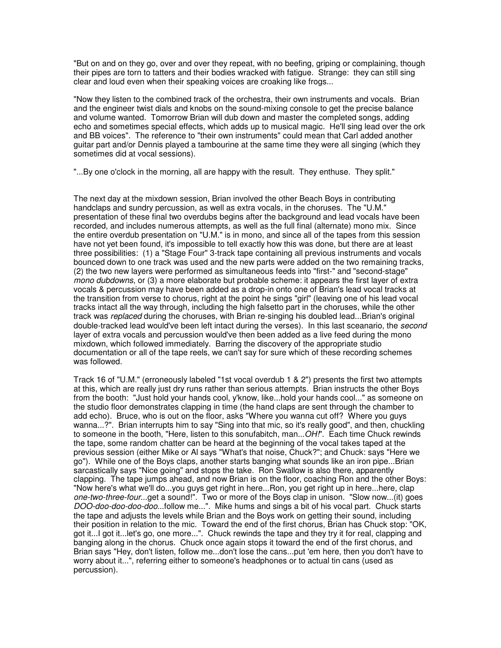"But on and on they go, over and over they repeat, with no beefing, griping or complaining, though their pipes are torn to tatters and their bodies wracked with fatigue. Strange: they can still sing clear and loud even when their speaking voices are croaking like frogs...

"Now they listen to the combined track of the orchestra, their own instruments and vocals. Brian and the engineer twist dials and knobs on the sound-mixing console to get the precise balance and volume wanted. Tomorrow Brian will dub down and master the completed songs, adding echo and sometimes special effects, which adds up to musical magic. He'll sing lead over the ork and BB voices". The reference to "their own instruments" could mean that Carl added another guitar part and/or Dennis played a tambourine at the same time they were all singing (which they sometimes did at vocal sessions).

"...By one o'clock in the morning, all are happy with the result. They enthuse. They split."

The next day at the mixdown session, Brian involved the other Beach Boys in contributing handclaps and sundry percussion, as well as extra vocals, in the choruses. The "U.M." presentation of these final two overdubs begins after the background and lead vocals have been recorded, and includes numerous attempts, as well as the full final (alternate) mono mix. Since the entire overdub presentation on "U.M." is in mono, and since all of the tapes from this session have not yet been found, it's impossible to tell exactly how this was done, but there are at least three possibilities: (1) a "Stage Four" 3-track tape containing all previous instruments and vocals bounced down to one track was used and the new parts were added on the two remaining tracks, (2) the two new layers were performed as simultaneous feeds into "first-" and "second-stage" mono dubdowns, or (3) a more elaborate but probable scheme: it appears the first layer of extra vocals & percussion may have been added as a drop-in onto one of Brian's lead vocal tracks at the transition from verse to chorus, right at the point he sings "girl" (leaving one of his lead vocal tracks intact all the way through, including the high falsetto part in the choruses, while the other track was replaced during the choruses, with Brian re-singing his doubled lead...Brian's original double-tracked lead would've been left intact during the verses). In this last sceanario, the second layer of extra vocals and percussion would've then been added as a live feed during the mono mixdown, which followed immediately. Barring the discovery of the appropriate studio documentation or all of the tape reels, we can't say for sure which of these recording schemes was followed.

Track 16 of "U.M." (erroneously labeled "1st vocal overdub 1 & 2") presents the first two attempts at this, which are really just dry runs rather than serious attempts. Brian instructs the other Boys from the booth: "Just hold your hands cool, y'know, like...hold your hands cool..." as someone on the studio floor demonstrates clapping in time (the hand claps are sent through the chamber to add echo). Bruce, who is out on the floor, asks "Where you wanna cut off? Where you guys wanna...?". Brian interrupts him to say "Sing into that mic, so it's really good", and then, chuckling to someone in the booth, "Here, listen to this sonufabitch, man...OH!". Each time Chuck rewinds the tape, some random chatter can be heard at the beginning of the vocal takes taped at the previous session (either Mike or Al says "What's that noise, Chuck?"; and Chuck: says "Here we go"). While one of the Boys claps, another starts banging what sounds like an iron pipe...Brian sarcastically says "Nice going" and stops the take. Ron Swallow is also there, apparently clapping. The tape jumps ahead, and now Brian is on the floor, coaching Ron and the other Boys: "Now here's what we'll do...you guys get right in here...Ron, you get right up in here...here, clap one-two-three-four...get a sound!". Two or more of the Boys clap in unison. "Slow now...(it) goes DOO-doo-doo-doo-doo...follow me...". Mike hums and sings a bit of his vocal part. Chuck starts the tape and adjusts the levels while Brian and the Boys work on getting their sound, including their position in relation to the mic. Toward the end of the first chorus, Brian has Chuck stop: "OK, got it...I got it...let's go, one more...". Chuck rewinds the tape and they try it for real, clapping and banging along in the chorus. Chuck once again stops it toward the end of the first chorus, and Brian says "Hey, don't listen, follow me...don't lose the cans...put 'em here, then you don't have to worry about it...", referring either to someone's headphones or to actual tin cans (used as percussion).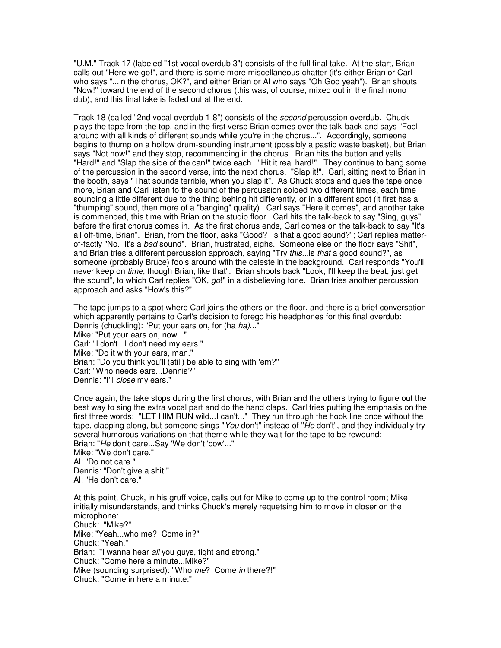"U.M." Track 17 (labeled "1st vocal overdub 3") consists of the full final take. At the start, Brian calls out "Here we go!", and there is some more miscellaneous chatter (it's either Brian or Carl who says "...in the chorus, OK?", and either Brian or Al who says "Oh God yeah"). Brian shouts "Now!" toward the end of the second chorus (this was, of course, mixed out in the final mono dub), and this final take is faded out at the end.

Track 18 (called "2nd vocal overdub 1-8") consists of the second percussion overdub. Chuck plays the tape from the top, and in the first verse Brian comes over the talk-back and says "Fool around with all kinds of different sounds while you're in the chorus...". Accordingly, someone begins to thump on a hollow drum-sounding instrument (possibly a pastic waste basket), but Brian says "Not now!" and they stop, recommencing in the chorus. Brian hits the button and yells "Hard!" and "Slap the side of the can!" twice each. "Hit it real hard!". They continue to bang some of the percussion in the second verse, into the next chorus. "Slap it!". Carl, sitting next to Brian in the booth, says "That sounds terrible, when you slap it". As Chuck stops and ques the tape once more, Brian and Carl listen to the sound of the percussion soloed two different times, each time sounding a little different due to the thing behing hit differently, or in a different spot (it first has a "thumping" sound, then more of a "banging" quality). Carl says "Here it comes", and another take is commenced, this time with Brian on the studio floor. Carl hits the talk-back to say "Sing, guys" before the first chorus comes in. As the first chorus ends, Carl comes on the talk-back to say "It's all off-time, Brian". Brian, from the floor, asks "Good? Is that a good sound?"; Carl replies matterof-factly "No. It's a bad sound". Brian, frustrated, sighs. Someone else on the floor says "Shit", and Brian tries a different percussion approach, saying "Try this...is that a good sound?", as someone (probably Bruce) fools around with the celeste in the background. Carl responds "You'll never keep on *time*, though Brian, like that". Brian shoots back "Look, I'll keep the beat, just get the sound", to which Carl replies "OK, go!" in a disbelieving tone. Brian tries another percussion approach and asks "How's this?".

The tape jumps to a spot where Carl joins the others on the floor, and there is a brief conversation which apparently pertains to Carl's decision to forego his headphones for this final overdub: Dennis (chuckling): "Put your ears on, for (ha ha)..." Mike: "Put your ears on, now..." Carl: "I don't...I don't need my ears." Mike: "Do it with your ears, man." Brian: "Do you think you'll (still) be able to sing with 'em?" Carl: "Who needs ears...Dennis?" Dennis: "I'll *close* my ears."

Once again, the take stops during the first chorus, with Brian and the others trying to figure out the best way to sing the extra vocal part and do the hand claps. Carl tries putting the emphasis on the first three words: "LET HIM RUN wild...I can't..." They run through the hook line once without the tape, clapping along, but someone sings "You don't" instead of "He don't", and they individually try several humorous variations on that theme while they wait for the tape to be rewound: Brian: "He don't care...Say 'We don't 'cow'..." Mike: "We don't care." Al: "Do not care." Dennis: "Don't give a shit."

Al: "He don't care."

At this point, Chuck, in his gruff voice, calls out for Mike to come up to the control room; Mike initially misunderstands, and thinks Chuck's merely requetsing him to move in closer on the microphone: Chuck: "Mike?" Mike: "Yeah...who me? Come in?" Chuck: "Yeah." Brian: "I wanna hear all you guys, tight and strong." Chuck: "Come here a minute...Mike?" Mike (sounding surprised): "Who me? Come in there?!" Chuck: "Come in here a minute:"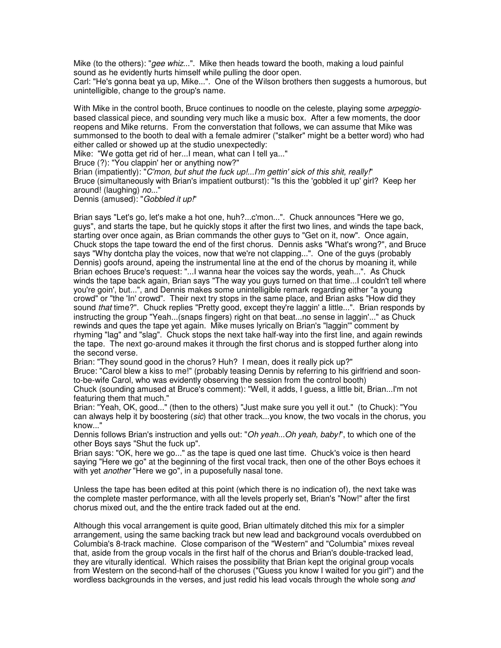Mike (to the others): "gee whiz...". Mike then heads toward the booth, making a loud painful sound as he evidently hurts himself while pulling the door open.

Carl: "He's gonna beat ya up, Mike...". One of the Wilson brothers then suggests a humorous, but unintelligible, change to the group's name.

With Mike in the control booth, Bruce continues to noodle on the celeste, playing some arpeggiobased classical piece, and sounding very much like a music box. After a few moments, the door reopens and Mike returns. From the converstation that follows, we can assume that Mike was summonsed to the booth to deal with a female admirer ("stalker" might be a better word) who had either called or showed up at the studio unexpectedly:

Mike: "We gotta get rid of her...I mean, what can I tell ya..."

Bruce (?): "You clappin' her or anything now?"

Brian (impatiently): "C'mon, but shut the fuck up!...I'm gettin' sick of this shit, really!" Bruce (simultaneously with Brian's impatient outburst): "Is this the 'gobbled it up' girl? Keep her around! (laughing) no..."

Dennis (amused): "Gobbled it up!"

Brian says "Let's go, let's make a hot one, huh?...c'mon...". Chuck announces "Here we go, guys", and starts the tape, but he quickly stops it after the first two lines, and winds the tape back, starting over once again, as Brian commands the other guys to "Get on it, now". Once again, Chuck stops the tape toward the end of the first chorus. Dennis asks "What's wrong?", and Bruce says "Why dontcha play the voices, now that we're not clapping...". One of the guys (probably Dennis) goofs around, apeing the instrumental line at the end of the chorus by moaning it, while Brian echoes Bruce's request: "...I wanna hear the voices say the words, yeah...". As Chuck winds the tape back again, Brian says "The way you guys turned on that time...I couldn't tell where you're goin', but...", and Dennis makes some unintelligible remark regarding either "a young crowd" or "the 'In' crowd". Their next try stops in the same place, and Brian asks "How did they sound *that* time?". Chuck replies "Pretty good, except they're laggin' a little...". Brian responds by instructing the group "Yeah...(snaps fingers) right on that beat...no sense in laggin'..." as Chuck rewinds and ques the tape yet again. Mike muses lyrically on Brian's "laggin'" comment by rhyming "lag" and "slag". Chuck stops the next take half-way into the first line, and again rewinds the tape. The next go-around makes it through the first chorus and is stopped further along into the second verse.

Brian: "They sound good in the chorus? Huh? I mean, does it really pick up?"

Bruce: "Carol blew a kiss to me!" (probably teasing Dennis by referring to his girlfriend and soonto-be-wife Carol, who was evidently observing the session from the control booth)

Chuck (sounding amused at Bruce's comment): "Well, it adds, I guess, a little bit, Brian...I'm not featuring them that much."

Brian: "Yeah, OK, good..." (then to the others) "Just make sure you yell it out." (to Chuck): "You can always help it by boostering (sic) that other track...you know, the two vocals in the chorus, you know..."

Dennis follows Brian's instruction and yells out: "Oh yeah...Oh yeah, baby!", to which one of the other Boys says "Shut the fuck up".

Brian says: "OK, here we go..." as the tape is qued one last time. Chuck's voice is then heard saying "Here we go" at the beginning of the first vocal track, then one of the other Boys echoes it with yet *another* "Here we go", in a puposefully nasal tone.

Unless the tape has been edited at this point (which there is no indication of), the next take was the complete master performance, with all the levels properly set, Brian's "Now!" after the first chorus mixed out, and the the entire track faded out at the end.

Although this vocal arrangement is quite good, Brian ultimately ditched this mix for a simpler arrangement, using the same backing track but new lead and background vocals overdubbed on Columbia's 8-track machine. Close comparison of the "Western" and "Columbia" mixes reveal that, aside from the group vocals in the first half of the chorus and Brian's double-tracked lead, they are viturally identical. Which raises the possibility that Brian kept the original group vocals from Western on the second-half of the choruses ("Guess you know I waited for you girl") and the wordless backgrounds in the verses, and just redid his lead vocals through the whole song and